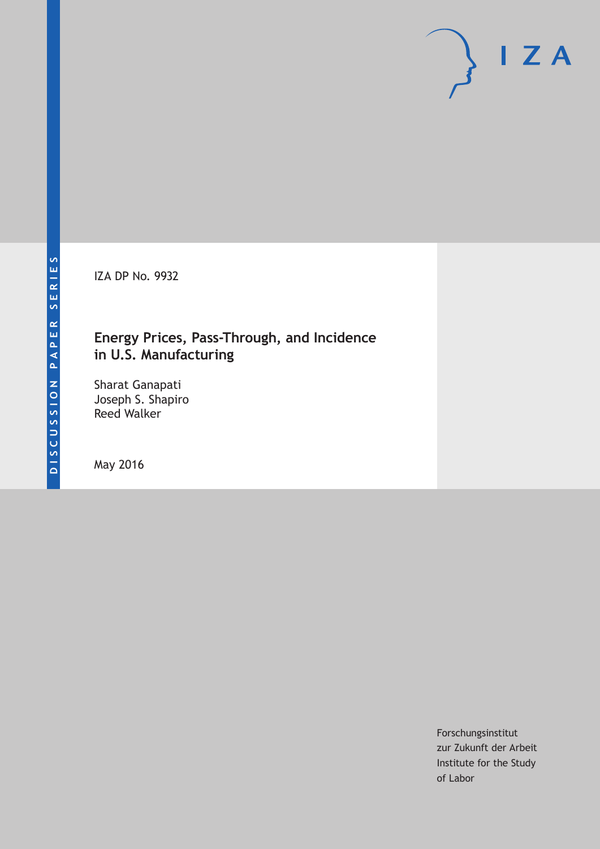IZA DP No. 9932

## **Energy Prices, Pass-Through, and Incidence in U.S. Manufacturing**

Sharat Ganapati Joseph S. Shapiro Reed Walker

May 2016

Forschungsinstitut zur Zukunft der Arbeit Institute for the Study of Labor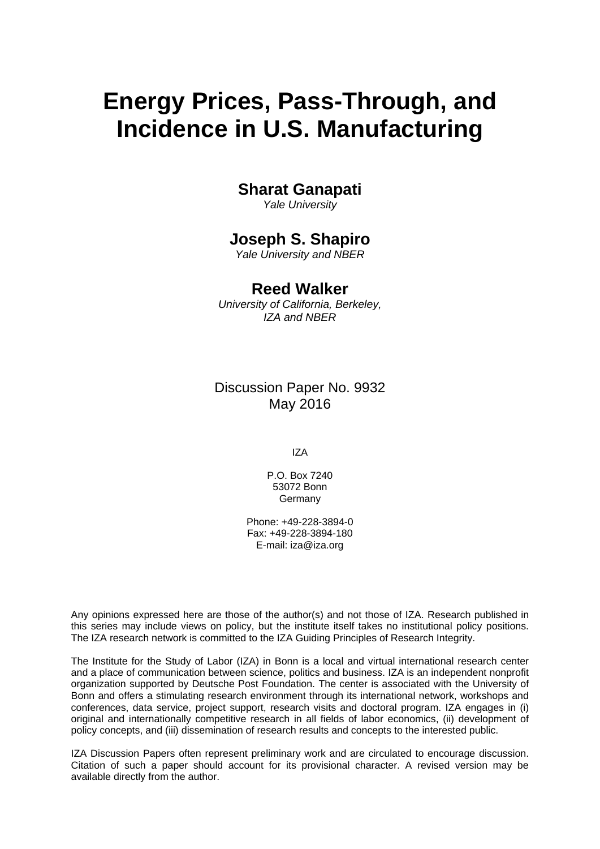# **Energy Prices, Pass-Through, and Incidence in U.S. Manufacturing**

## **Sharat Ganapati**

*Yale University* 

## **Joseph S. Shapiro**

*Yale University and NBER* 

## **Reed Walker**

*University of California, Berkeley, IZA and NBER*

Discussion Paper No. 9932 May 2016

IZA

P.O. Box 7240 53072 Bonn Germany

Phone: +49-228-3894-0 Fax: +49-228-3894-180 E-mail: iza@iza.org

Any opinions expressed here are those of the author(s) and not those of IZA. Research published in this series may include views on policy, but the institute itself takes no institutional policy positions. The IZA research network is committed to the IZA Guiding Principles of Research Integrity.

The Institute for the Study of Labor (IZA) in Bonn is a local and virtual international research center and a place of communication between science, politics and business. IZA is an independent nonprofit organization supported by Deutsche Post Foundation. The center is associated with the University of Bonn and offers a stimulating research environment through its international network, workshops and conferences, data service, project support, research visits and doctoral program. IZA engages in (i) original and internationally competitive research in all fields of labor economics, (ii) development of policy concepts, and (iii) dissemination of research results and concepts to the interested public.

IZA Discussion Papers often represent preliminary work and are circulated to encourage discussion. Citation of such a paper should account for its provisional character. A revised version may be available directly from the author.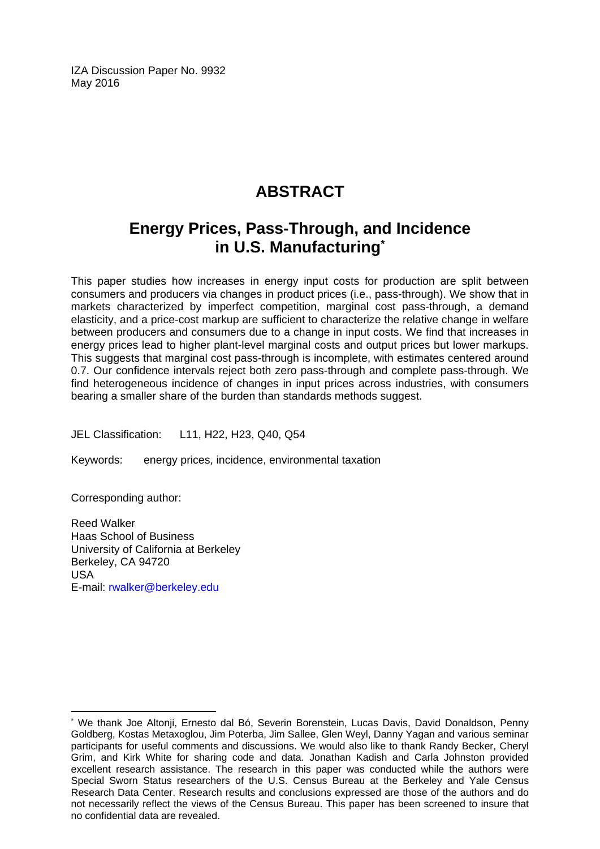IZA Discussion Paper No. 9932 May 2016

## **ABSTRACT**

## **Energy Prices, Pass-Through, and Incidence in U.S. Manufacturing\***

This paper studies how increases in energy input costs for production are split between consumers and producers via changes in product prices (i.e., pass-through). We show that in markets characterized by imperfect competition, marginal cost pass-through, a demand elasticity, and a price-cost markup are sufficient to characterize the relative change in welfare between producers and consumers due to a change in input costs. We find that increases in energy prices lead to higher plant-level marginal costs and output prices but lower markups. This suggests that marginal cost pass-through is incomplete, with estimates centered around 0.7. Our confidence intervals reject both zero pass-through and complete pass-through. We find heterogeneous incidence of changes in input prices across industries, with consumers bearing a smaller share of the burden than standards methods suggest.

JEL Classification: L11, H22, H23, Q40, Q54

Keywords: energy prices, incidence, environmental taxation

Corresponding author:

 $\overline{a}$ 

Reed Walker Haas School of Business University of California at Berkeley Berkeley, CA 94720 USA E-mail: rwalker@berkeley.edu

<sup>\*</sup> We thank Joe Altonji, Ernesto dal Bó, Severin Borenstein, Lucas Davis, David Donaldson, Penny Goldberg, Kostas Metaxoglou, Jim Poterba, Jim Sallee, Glen Weyl, Danny Yagan and various seminar participants for useful comments and discussions. We would also like to thank Randy Becker, Cheryl Grim, and Kirk White for sharing code and data. Jonathan Kadish and Carla Johnston provided excellent research assistance. The research in this paper was conducted while the authors were Special Sworn Status researchers of the U.S. Census Bureau at the Berkeley and Yale Census Research Data Center. Research results and conclusions expressed are those of the authors and do not necessarily reflect the views of the Census Bureau. This paper has been screened to insure that no confidential data are revealed.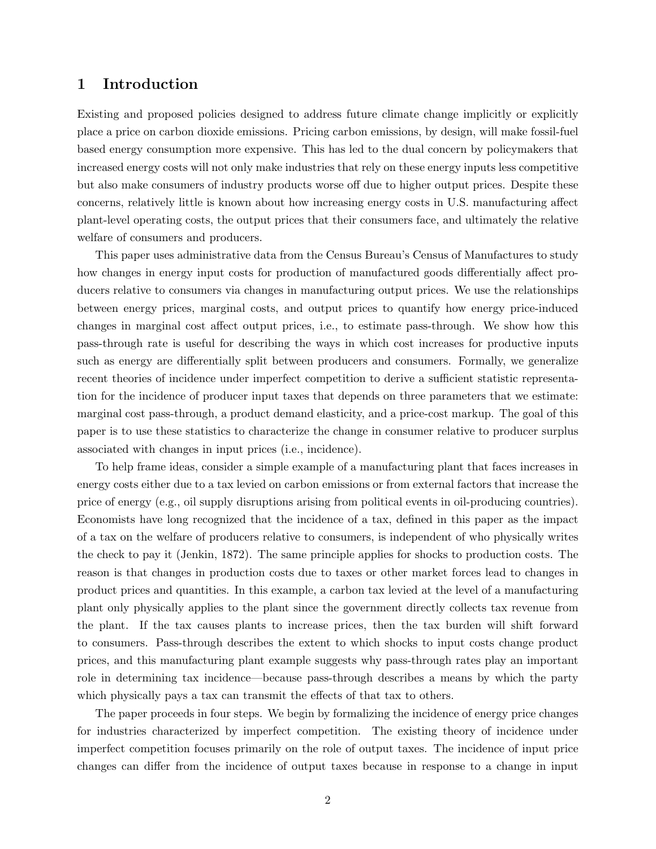### 1 Introduction

Existing and proposed policies designed to address future climate change implicitly or explicitly place a price on carbon dioxide emissions. Pricing carbon emissions, by design, will make fossil-fuel based energy consumption more expensive. This has led to the dual concern by policymakers that increased energy costs will not only make industries that rely on these energy inputs less competitive but also make consumers of industry products worse off due to higher output prices. Despite these concerns, relatively little is known about how increasing energy costs in U.S. manufacturing affect plant-level operating costs, the output prices that their consumers face, and ultimately the relative welfare of consumers and producers.

This paper uses administrative data from the Census Bureau's Census of Manufactures to study how changes in energy input costs for production of manufactured goods differentially affect producers relative to consumers via changes in manufacturing output prices. We use the relationships between energy prices, marginal costs, and output prices to quantify how energy price-induced changes in marginal cost affect output prices, i.e., to estimate pass-through. We show how this pass-through rate is useful for describing the ways in which cost increases for productive inputs such as energy are differentially split between producers and consumers. Formally, we generalize recent theories of incidence under imperfect competition to derive a sufficient statistic representation for the incidence of producer input taxes that depends on three parameters that we estimate: marginal cost pass-through, a product demand elasticity, and a price-cost markup. The goal of this paper is to use these statistics to characterize the change in consumer relative to producer surplus associated with changes in input prices (i.e., incidence).

To help frame ideas, consider a simple example of a manufacturing plant that faces increases in energy costs either due to a tax levied on carbon emissions or from external factors that increase the price of energy (e.g., oil supply disruptions arising from political events in oil-producing countries). Economists have long recognized that the incidence of a tax, defined in this paper as the impact of a tax on the welfare of producers relative to consumers, is independent of who physically writes the check to pay it [\(Jenkin,](#page-33-0) [1872\)](#page-33-0). The same principle applies for shocks to production costs. The reason is that changes in production costs due to taxes or other market forces lead to changes in product prices and quantities. In this example, a carbon tax levied at the level of a manufacturing plant only physically applies to the plant since the government directly collects tax revenue from the plant. If the tax causes plants to increase prices, then the tax burden will shift forward to consumers. Pass-through describes the extent to which shocks to input costs change product prices, and this manufacturing plant example suggests why pass-through rates play an important role in determining tax incidence—because pass-through describes a means by which the party which physically pays a tax can transmit the effects of that tax to others.

The paper proceeds in four steps. We begin by formalizing the incidence of energy price changes for industries characterized by imperfect competition. The existing theory of incidence under imperfect competition focuses primarily on the role of output taxes. The incidence of input price changes can differ from the incidence of output taxes because in response to a change in input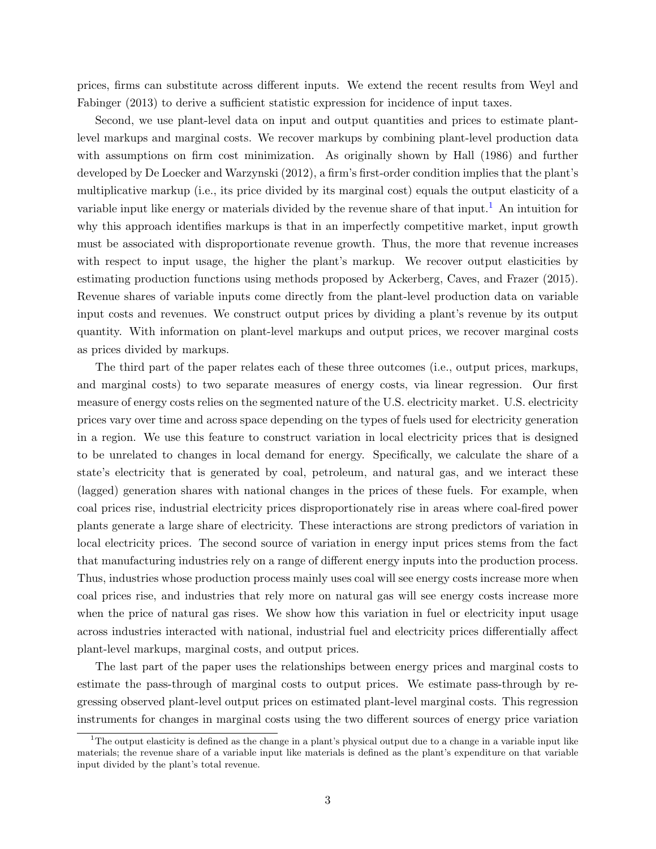prices, firms can substitute across different inputs. We extend the recent results from [Weyl and](#page-34-0) [Fabinger](#page-34-0) [\(2013\)](#page-34-0) to derive a sufficient statistic expression for incidence of input taxes.

Second, we use plant-level data on input and output quantities and prices to estimate plantlevel markups and marginal costs. We recover markups by combining plant-level production data with assumptions on firm cost minimization. As originally shown by [Hall](#page-32-0) [\(1986\)](#page-32-0) and further developed by [De Loecker and Warzynski](#page-31-0) [\(2012\)](#page-31-0), a firm's first-order condition implies that the plant's multiplicative markup (i.e., its price divided by its marginal cost) equals the output elasticity of a variable input like energy or materials divided by the revenue share of that input.<sup>[1](#page-4-0)</sup> An intuition for why this approach identifies markups is that in an imperfectly competitive market, input growth must be associated with disproportionate revenue growth. Thus, the more that revenue increases with respect to input usage, the higher the plant's markup. We recover output elasticities by estimating production functions using methods proposed by [Ackerberg, Caves, and Frazer](#page-31-1) [\(2015\)](#page-31-1). Revenue shares of variable inputs come directly from the plant-level production data on variable input costs and revenues. We construct output prices by dividing a plant's revenue by its output quantity. With information on plant-level markups and output prices, we recover marginal costs as prices divided by markups.

The third part of the paper relates each of these three outcomes (i.e., output prices, markups, and marginal costs) to two separate measures of energy costs, via linear regression. Our first measure of energy costs relies on the segmented nature of the U.S. electricity market. U.S. electricity prices vary over time and across space depending on the types of fuels used for electricity generation in a region. We use this feature to construct variation in local electricity prices that is designed to be unrelated to changes in local demand for energy. Specifically, we calculate the share of a state's electricity that is generated by coal, petroleum, and natural gas, and we interact these (lagged) generation shares with national changes in the prices of these fuels. For example, when coal prices rise, industrial electricity prices disproportionately rise in areas where coal-fired power plants generate a large share of electricity. These interactions are strong predictors of variation in local electricity prices. The second source of variation in energy input prices stems from the fact that manufacturing industries rely on a range of different energy inputs into the production process. Thus, industries whose production process mainly uses coal will see energy costs increase more when coal prices rise, and industries that rely more on natural gas will see energy costs increase more when the price of natural gas rises. We show how this variation in fuel or electricity input usage across industries interacted with national, industrial fuel and electricity prices differentially affect plant-level markups, marginal costs, and output prices.

The last part of the paper uses the relationships between energy prices and marginal costs to estimate the pass-through of marginal costs to output prices. We estimate pass-through by regressing observed plant-level output prices on estimated plant-level marginal costs. This regression instruments for changes in marginal costs using the two different sources of energy price variation

<span id="page-4-0"></span><sup>&</sup>lt;sup>1</sup>The output elasticity is defined as the change in a plant's physical output due to a change in a variable input like materials; the revenue share of a variable input like materials is defined as the plant's expenditure on that variable input divided by the plant's total revenue.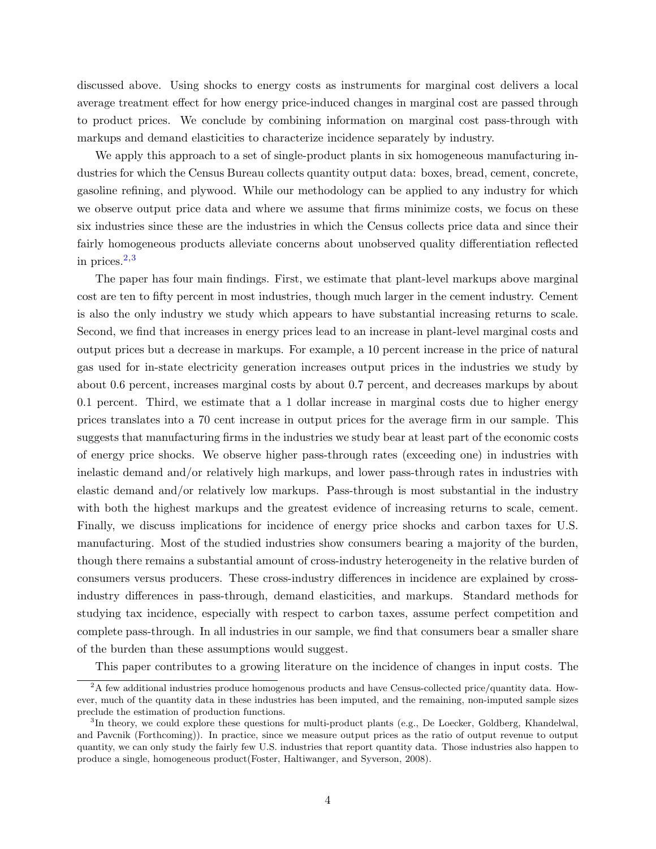discussed above. Using shocks to energy costs as instruments for marginal cost delivers a local average treatment effect for how energy price-induced changes in marginal cost are passed through to product prices. We conclude by combining information on marginal cost pass-through with markups and demand elasticities to characterize incidence separately by industry.

We apply this approach to a set of single-product plants in six homogeneous manufacturing industries for which the Census Bureau collects quantity output data: boxes, bread, cement, concrete, gasoline refining, and plywood. While our methodology can be applied to any industry for which we observe output price data and where we assume that firms minimize costs, we focus on these six industries since these are the industries in which the Census collects price data and since their fairly homogeneous products alleviate concerns about unobserved quality differentiation reflected in prices.[2](#page-5-0),[3](#page-5-1)

The paper has four main findings. First, we estimate that plant-level markups above marginal cost are ten to fifty percent in most industries, though much larger in the cement industry. Cement is also the only industry we study which appears to have substantial increasing returns to scale. Second, we find that increases in energy prices lead to an increase in plant-level marginal costs and output prices but a decrease in markups. For example, a 10 percent increase in the price of natural gas used for in-state electricity generation increases output prices in the industries we study by about 0.6 percent, increases marginal costs by about 0.7 percent, and decreases markups by about 0.1 percent. Third, we estimate that a 1 dollar increase in marginal costs due to higher energy prices translates into a 70 cent increase in output prices for the average firm in our sample. This suggests that manufacturing firms in the industries we study bear at least part of the economic costs of energy price shocks. We observe higher pass-through rates (exceeding one) in industries with inelastic demand and/or relatively high markups, and lower pass-through rates in industries with elastic demand and/or relatively low markups. Pass-through is most substantial in the industry with both the highest markups and the greatest evidence of increasing returns to scale, cement. Finally, we discuss implications for incidence of energy price shocks and carbon taxes for U.S. manufacturing. Most of the studied industries show consumers bearing a majority of the burden, though there remains a substantial amount of cross-industry heterogeneity in the relative burden of consumers versus producers. These cross-industry differences in incidence are explained by crossindustry differences in pass-through, demand elasticities, and markups. Standard methods for studying tax incidence, especially with respect to carbon taxes, assume perfect competition and complete pass-through. In all industries in our sample, we find that consumers bear a smaller share of the burden than these assumptions would suggest.

<span id="page-5-0"></span>This paper contributes to a growing literature on the incidence of changes in input costs. The

<sup>&</sup>lt;sup>2</sup>A few additional industries produce homogenous products and have Census-collected price/quantity data. However, much of the quantity data in these industries has been imputed, and the remaining, non-imputed sample sizes preclude the estimation of production functions.

<span id="page-5-1"></span><sup>&</sup>lt;sup>3</sup>In theory, we could explore these questions for multi-product plants (e.g., [De Loecker, Goldberg, Khandelwal,](#page-31-2) [and Pavcnik](#page-31-2) [\(Forthcoming\)](#page-31-2)). In practice, since we measure output prices as the ratio of output revenue to output quantity, we can only study the fairly few U.S. industries that report quantity data. Those industries also happen to produce a single, homogeneous product[\(Foster, Haltiwanger, and Syverson,](#page-32-1) [2008\)](#page-32-1).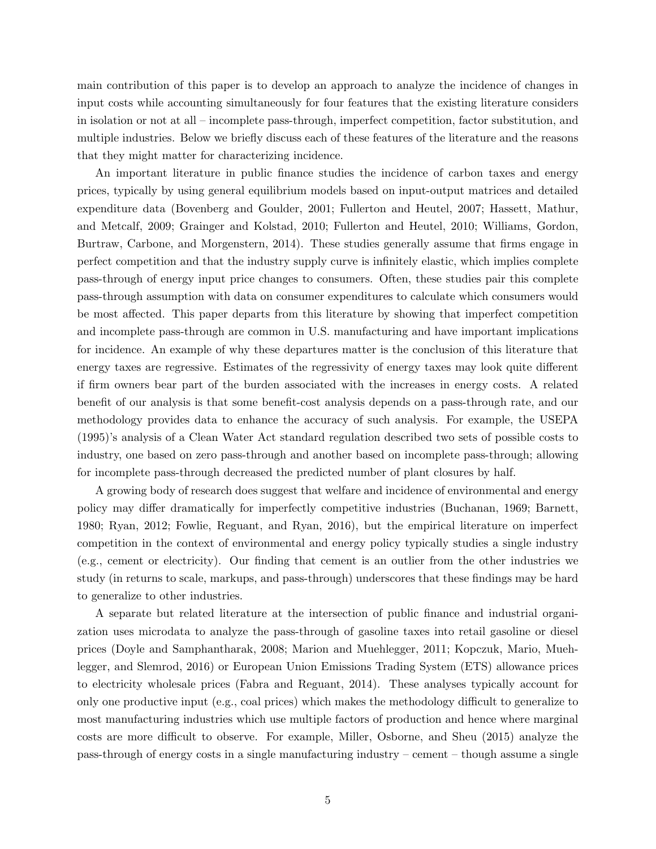main contribution of this paper is to develop an approach to analyze the incidence of changes in input costs while accounting simultaneously for four features that the existing literature considers in isolation or not at all – incomplete pass-through, imperfect competition, factor substitution, and multiple industries. Below we briefly discuss each of these features of the literature and the reasons that they might matter for characterizing incidence.

An important literature in public finance studies the incidence of carbon taxes and energy prices, typically by using general equilibrium models based on input-output matrices and detailed expenditure data [\(Bovenberg and Goulder,](#page-31-3) [2001;](#page-31-3) [Fullerton and Heutel,](#page-32-2) [2007;](#page-32-2) [Hassett, Mathur,](#page-33-1) [and Metcalf,](#page-33-1) [2009;](#page-33-1) [Grainger and Kolstad,](#page-32-3) [2010;](#page-32-3) [Fullerton and Heutel,](#page-32-4) [2010;](#page-32-4) [Williams, Gordon,](#page-34-1) [Burtraw, Carbone, and Morgenstern,](#page-34-1) [2014\)](#page-34-1). These studies generally assume that firms engage in perfect competition and that the industry supply curve is infinitely elastic, which implies complete pass-through of energy input price changes to consumers. Often, these studies pair this complete pass-through assumption with data on consumer expenditures to calculate which consumers would be most affected. This paper departs from this literature by showing that imperfect competition and incomplete pass-through are common in U.S. manufacturing and have important implications for incidence. An example of why these departures matter is the conclusion of this literature that energy taxes are regressive. Estimates of the regressivity of energy taxes may look quite different if firm owners bear part of the burden associated with the increases in energy costs. A related benefit of our analysis is that some benefit-cost analysis depends on a pass-through rate, and our methodology provides data to enhance the accuracy of such analysis. For example, the [USEPA](#page-34-2) [\(1995\)](#page-34-2)'s analysis of a Clean Water Act standard regulation described two sets of possible costs to industry, one based on zero pass-through and another based on incomplete pass-through; allowing for incomplete pass-through decreased the predicted number of plant closures by half.

A growing body of research does suggest that welfare and incidence of environmental and energy policy may differ dramatically for imperfectly competitive industries [\(Buchanan,](#page-31-4) [1969;](#page-31-4) [Barnett,](#page-31-5) [1980;](#page-31-5) [Ryan,](#page-34-3) [2012;](#page-34-3) [Fowlie, Reguant, and Ryan,](#page-32-5) [2016\)](#page-32-5), but the empirical literature on imperfect competition in the context of environmental and energy policy typically studies a single industry (e.g., cement or electricity). Our finding that cement is an outlier from the other industries we study (in returns to scale, markups, and pass-through) underscores that these findings may be hard to generalize to other industries.

A separate but related literature at the intersection of public finance and industrial organization uses microdata to analyze the pass-through of gasoline taxes into retail gasoline or diesel prices [\(Doyle and Samphantharak,](#page-32-6) [2008;](#page-32-6) [Marion and Muehlegger,](#page-33-2) [2011;](#page-33-2) [Kopczuk, Mario, Mueh](#page-33-3)[legger, and Slemrod,](#page-33-3) [2016\)](#page-33-3) or European Union Emissions Trading System (ETS) allowance prices to electricity wholesale prices [\(Fabra and Reguant,](#page-32-7) [2014\)](#page-32-7). These analyses typically account for only one productive input (e.g., coal prices) which makes the methodology difficult to generalize to most manufacturing industries which use multiple factors of production and hence where marginal costs are more difficult to observe. For example, [Miller, Osborne, and Sheu](#page-33-4) [\(2015\)](#page-33-4) analyze the pass-through of energy costs in a single manufacturing industry – cement – though assume a single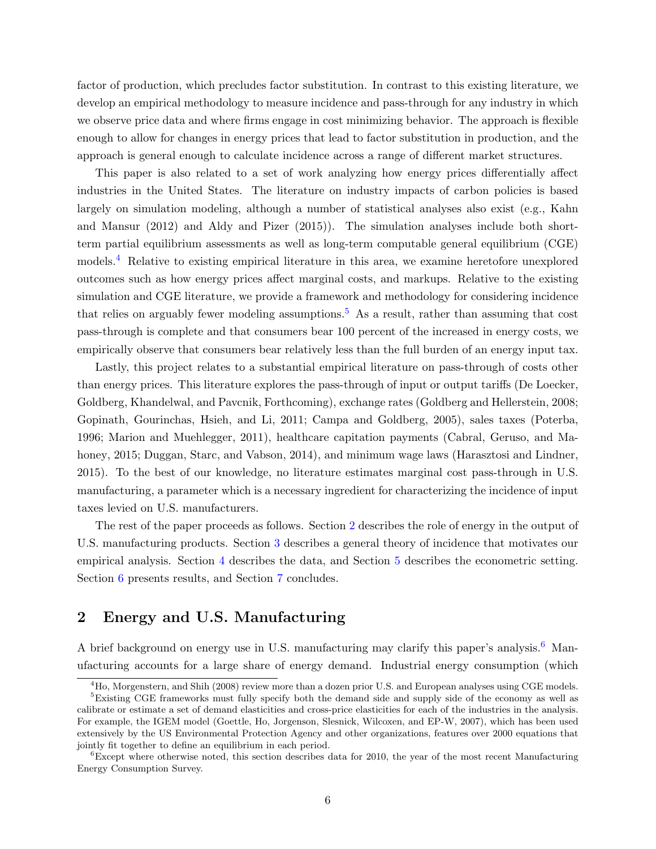factor of production, which precludes factor substitution. In contrast to this existing literature, we develop an empirical methodology to measure incidence and pass-through for any industry in which we observe price data and where firms engage in cost minimizing behavior. The approach is flexible enough to allow for changes in energy prices that lead to factor substitution in production, and the approach is general enough to calculate incidence across a range of different market structures.

This paper is also related to a set of work analyzing how energy prices differentially affect industries in the United States. The literature on industry impacts of carbon policies is based largely on simulation modeling, although a number of statistical analyses also exist (e.g., [Kahn](#page-33-5) [and Mansur](#page-33-5) [\(2012\)](#page-33-5) and [Aldy and Pizer](#page-31-6) [\(2015\)](#page-31-6)). The simulation analyses include both shortterm partial equilibrium assessments as well as long-term computable general equilibrium (CGE) models.[4](#page-7-0) Relative to existing empirical literature in this area, we examine heretofore unexplored outcomes such as how energy prices affect marginal costs, and markups. Relative to the existing simulation and CGE literature, we provide a framework and methodology for considering incidence that relies on arguably fewer modeling assumptions.<sup>[5](#page-7-1)</sup> As a result, rather than assuming that cost pass-through is complete and that consumers bear 100 percent of the increased in energy costs, we empirically observe that consumers bear relatively less than the full burden of an energy input tax.

Lastly, this project relates to a substantial empirical literature on pass-through of costs other than energy prices. This literature explores the pass-through of input or output tariffs [\(De Loecker,](#page-31-2) [Goldberg, Khandelwal, and Pavcnik,](#page-31-2) [Forthcoming\)](#page-31-2), exchange rates [\(Goldberg and Hellerstein,](#page-32-8) [2008;](#page-32-8) [Gopinath, Gourinchas, Hsieh, and Li,](#page-32-9) [2011;](#page-32-9) [Campa and Goldberg,](#page-31-7) [2005\)](#page-31-7), sales taxes [\(Poterba,](#page-33-6) [1996;](#page-33-6) [Marion and Muehlegger,](#page-33-2) [2011\)](#page-33-2), healthcare capitation payments [\(Cabral, Geruso, and Ma](#page-31-8)[honey,](#page-31-8) [2015;](#page-31-8) [Duggan, Starc, and Vabson,](#page-32-10) [2014\)](#page-32-10), and minimum wage laws [\(Harasztosi and Lindner,](#page-32-11) [2015\)](#page-32-11). To the best of our knowledge, no literature estimates marginal cost pass-through in U.S. manufacturing, a parameter which is a necessary ingredient for characterizing the incidence of input taxes levied on U.S. manufacturers.

The rest of the paper proceeds as follows. Section [2](#page-7-2) describes the role of energy in the output of U.S. manufacturing products. Section [3](#page-9-0) describes a general theory of incidence that motivates our empirical analysis. Section [4](#page-13-0) describes the data, and Section [5](#page-15-0) describes the econometric setting. Section [6](#page-22-0) presents results, and Section [7](#page-29-0) concludes.

### <span id="page-7-2"></span>2 Energy and U.S. Manufacturing

A brief background on energy use in U.S. manufacturing may clarify this paper's analysis.<sup>[6](#page-7-3)</sup> Manufacturing accounts for a large share of energy demand. Industrial energy consumption (which

<span id="page-7-1"></span><span id="page-7-0"></span><sup>&</sup>lt;sup>4</sup>[Ho, Morgenstern, and Shih](#page-33-7) [\(2008\)](#page-33-7) review more than a dozen prior U.S. and European analyses using CGE models. <sup>5</sup>Existing CGE frameworks must fully specify both the demand side and supply side of the economy as well as calibrate or estimate a set of demand elasticities and cross-price elasticities for each of the industries in the analysis. For example, the IGEM model [\(Goettle, Ho, Jorgenson, Slesnick, Wilcoxen, and EP-W,](#page-32-12) [2007\)](#page-32-12), which has been used extensively by the US Environmental Protection Agency and other organizations, features over 2000 equations that jointly fit together to define an equilibrium in each period.

<span id="page-7-3"></span> ${}^{6}$ Except where otherwise noted, this section describes data for 2010, the year of the most recent Manufacturing Energy Consumption Survey.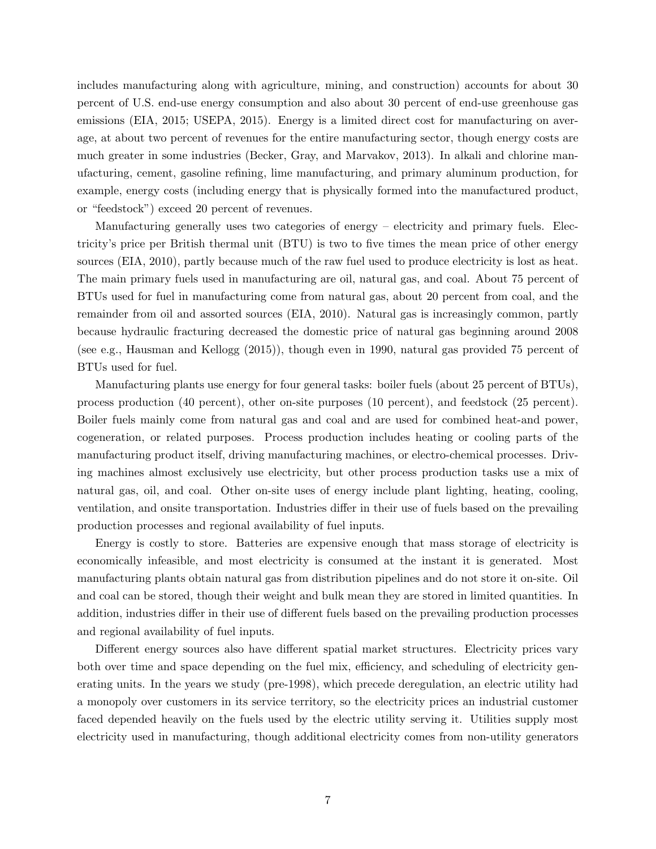includes manufacturing along with agriculture, mining, and construction) accounts for about 30 percent of U.S. end-use energy consumption and also about 30 percent of end-use greenhouse gas emissions [\(EIA,](#page-32-13) [2015;](#page-32-13) [USEPA,](#page-34-4) [2015\)](#page-34-4). Energy is a limited direct cost for manufacturing on average, at about two percent of revenues for the entire manufacturing sector, though energy costs are much greater in some industries [\(Becker, Gray, and Marvakov,](#page-31-9) [2013\)](#page-31-9). In alkali and chlorine manufacturing, cement, gasoline refining, lime manufacturing, and primary aluminum production, for example, energy costs (including energy that is physically formed into the manufactured product, or "feedstock") exceed 20 percent of revenues.

Manufacturing generally uses two categories of energy – electricity and primary fuels. Electricity's price per British thermal unit (BTU) is two to five times the mean price of other energy sources [\(EIA,](#page-32-14) [2010\)](#page-32-14), partly because much of the raw fuel used to produce electricity is lost as heat. The main primary fuels used in manufacturing are oil, natural gas, and coal. About 75 percent of BTUs used for fuel in manufacturing come from natural gas, about 20 percent from coal, and the remainder from oil and assorted sources [\(EIA,](#page-32-14) [2010\)](#page-32-14). Natural gas is increasingly common, partly because hydraulic fracturing decreased the domestic price of natural gas beginning around 2008 (see e.g., [Hausman and Kellogg](#page-33-8) [\(2015\)](#page-33-8)), though even in 1990, natural gas provided 75 percent of BTUs used for fuel.

Manufacturing plants use energy for four general tasks: boiler fuels (about 25 percent of BTUs), process production (40 percent), other on-site purposes (10 percent), and feedstock (25 percent). Boiler fuels mainly come from natural gas and coal and are used for combined heat-and power, cogeneration, or related purposes. Process production includes heating or cooling parts of the manufacturing product itself, driving manufacturing machines, or electro-chemical processes. Driving machines almost exclusively use electricity, but other process production tasks use a mix of natural gas, oil, and coal. Other on-site uses of energy include plant lighting, heating, cooling, ventilation, and onsite transportation. Industries differ in their use of fuels based on the prevailing production processes and regional availability of fuel inputs.

Energy is costly to store. Batteries are expensive enough that mass storage of electricity is economically infeasible, and most electricity is consumed at the instant it is generated. Most manufacturing plants obtain natural gas from distribution pipelines and do not store it on-site. Oil and coal can be stored, though their weight and bulk mean they are stored in limited quantities. In addition, industries differ in their use of different fuels based on the prevailing production processes and regional availability of fuel inputs.

Different energy sources also have different spatial market structures. Electricity prices vary both over time and space depending on the fuel mix, efficiency, and scheduling of electricity generating units. In the years we study (pre-1998), which precede deregulation, an electric utility had a monopoly over customers in its service territory, so the electricity prices an industrial customer faced depended heavily on the fuels used by the electric utility serving it. Utilities supply most electricity used in manufacturing, though additional electricity comes from non-utility generators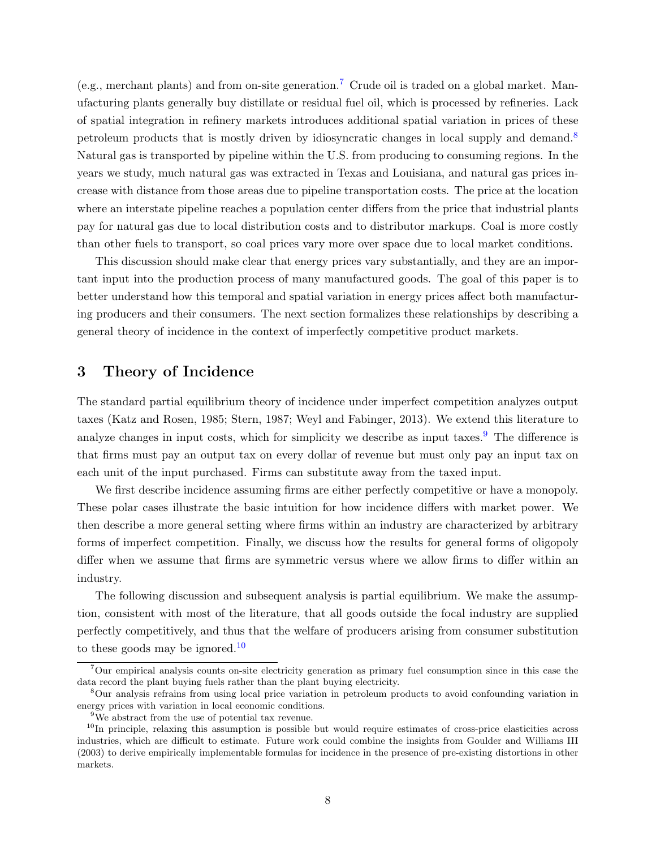(e.g., merchant plants) and from on-site generation.<sup>[7](#page-9-1)</sup> Crude oil is traded on a global market. Manufacturing plants generally buy distillate or residual fuel oil, which is processed by refineries. Lack of spatial integration in refinery markets introduces additional spatial variation in prices of these petroleum products that is mostly driven by idiosyncratic changes in local supply and demand.[8](#page-9-2) Natural gas is transported by pipeline within the U.S. from producing to consuming regions. In the years we study, much natural gas was extracted in Texas and Louisiana, and natural gas prices increase with distance from those areas due to pipeline transportation costs. The price at the location where an interstate pipeline reaches a population center differs from the price that industrial plants pay for natural gas due to local distribution costs and to distributor markups. Coal is more costly than other fuels to transport, so coal prices vary more over space due to local market conditions.

This discussion should make clear that energy prices vary substantially, and they are an important input into the production process of many manufactured goods. The goal of this paper is to better understand how this temporal and spatial variation in energy prices affect both manufacturing producers and their consumers. The next section formalizes these relationships by describing a general theory of incidence in the context of imperfectly competitive product markets.

### <span id="page-9-0"></span>3 Theory of Incidence

The standard partial equilibrium theory of incidence under imperfect competition analyzes output taxes [\(Katz and Rosen,](#page-33-9) [1985;](#page-33-9) [Stern,](#page-34-5) [1987;](#page-34-5) [Weyl and Fabinger,](#page-34-0) [2013\)](#page-34-0). We extend this literature to analyze changes in input costs, which for simplicity we describe as input taxes.<sup>[9](#page-9-3)</sup> The difference is that firms must pay an output tax on every dollar of revenue but must only pay an input tax on each unit of the input purchased. Firms can substitute away from the taxed input.

We first describe incidence assuming firms are either perfectly competitive or have a monopoly. These polar cases illustrate the basic intuition for how incidence differs with market power. We then describe a more general setting where firms within an industry are characterized by arbitrary forms of imperfect competition. Finally, we discuss how the results for general forms of oligopoly differ when we assume that firms are symmetric versus where we allow firms to differ within an industry.

The following discussion and subsequent analysis is partial equilibrium. We make the assumption, consistent with most of the literature, that all goods outside the focal industry are supplied perfectly competitively, and thus that the welfare of producers arising from consumer substitution to these goods may be ignored.<sup>[10](#page-9-4)</sup>

<span id="page-9-1"></span><sup>7</sup>Our empirical analysis counts on-site electricity generation as primary fuel consumption since in this case the data record the plant buying fuels rather than the plant buying electricity.

<span id="page-9-2"></span><sup>8</sup>Our analysis refrains from using local price variation in petroleum products to avoid confounding variation in energy prices with variation in local economic conditions.

<span id="page-9-4"></span><span id="page-9-3"></span><sup>9</sup>We abstract from the use of potential tax revenue.

 $10$ In principle, relaxing this assumption is possible but would require estimates of cross-price elasticities across industries, which are difficult to estimate. Future work could combine the insights from [Goulder and Williams III](#page-32-15) [\(2003\)](#page-32-15) to derive empirically implementable formulas for incidence in the presence of pre-existing distortions in other markets.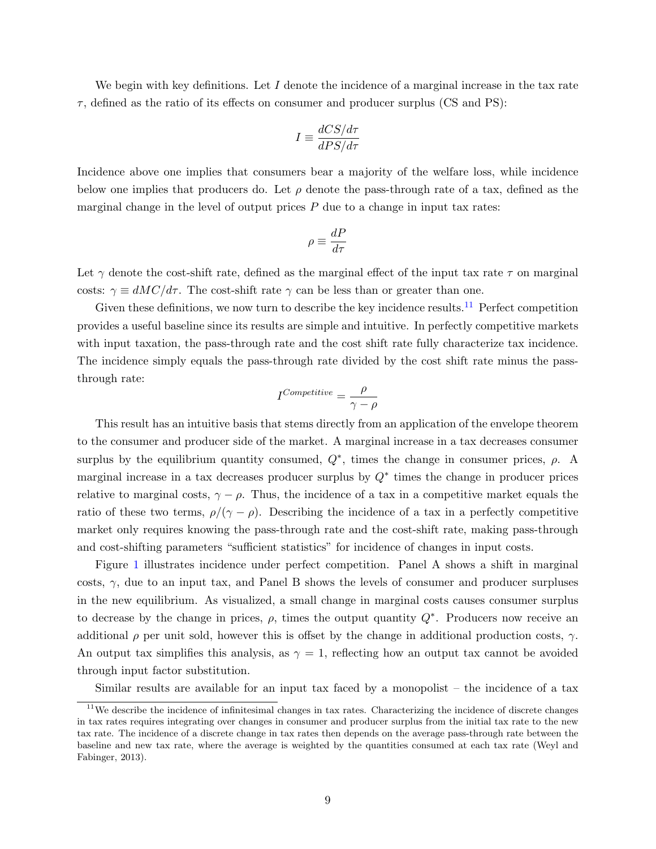We begin with key definitions. Let  $I$  denote the incidence of a marginal increase in the tax rate  $\tau$ , defined as the ratio of its effects on consumer and producer surplus (CS and PS):

$$
I \equiv \frac{dCS/d\tau}{dPS/d\tau}
$$

Incidence above one implies that consumers bear a majority of the welfare loss, while incidence below one implies that producers do. Let  $\rho$  denote the pass-through rate of a tax, defined as the marginal change in the level of output prices  $P$  due to a change in input tax rates:

$$
\rho\equiv\frac{dP}{d\tau}
$$

Let  $\gamma$  denote the cost-shift rate, defined as the marginal effect of the input tax rate  $\tau$  on marginal costs:  $\gamma \equiv dMC/d\tau$ . The cost-shift rate  $\gamma$  can be less than or greater than one.

Given these definitions, we now turn to describe the key incidence results.<sup>[11](#page-10-0)</sup> Perfect competition provides a useful baseline since its results are simple and intuitive. In perfectly competitive markets with input taxation, the pass-through rate and the cost shift rate fully characterize tax incidence. The incidence simply equals the pass-through rate divided by the cost shift rate minus the passthrough rate:

$$
I^{Competitive} = \frac{\rho}{\gamma - \rho}
$$

This result has an intuitive basis that stems directly from an application of the envelope theorem to the consumer and producer side of the market. A marginal increase in a tax decreases consumer surplus by the equilibrium quantity consumed,  $Q^*$ , times the change in consumer prices,  $\rho$ . A marginal increase in a tax decreases producer surplus by  $Q^*$  times the change in producer prices relative to marginal costs,  $\gamma - \rho$ . Thus, the incidence of a tax in a competitive market equals the ratio of these two terms,  $\rho/(\gamma - \rho)$ . Describing the incidence of a tax in a perfectly competitive market only requires knowing the pass-through rate and the cost-shift rate, making pass-through and cost-shifting parameters "sufficient statistics" for incidence of changes in input costs.

Figure [1](#page-35-0) illustrates incidence under perfect competition. Panel A shows a shift in marginal costs,  $\gamma$ , due to an input tax, and Panel B shows the levels of consumer and producer surpluses in the new equilibrium. As visualized, a small change in marginal costs causes consumer surplus to decrease by the change in prices,  $\rho$ , times the output quantity  $Q^*$ . Producers now receive an additional  $\rho$  per unit sold, however this is offset by the change in additional production costs,  $\gamma$ . An output tax simplifies this analysis, as  $\gamma = 1$ , reflecting how an output tax cannot be avoided through input factor substitution.

<span id="page-10-0"></span>Similar results are available for an input tax faced by a monopolist – the incidence of a tax

 $11$ We describe the incidence of infinitesimal changes in tax rates. Characterizing the incidence of discrete changes in tax rates requires integrating over changes in consumer and producer surplus from the initial tax rate to the new tax rate. The incidence of a discrete change in tax rates then depends on the average pass-through rate between the baseline and new tax rate, where the average is weighted by the quantities consumed at each tax rate [\(Weyl and](#page-34-0) [Fabinger,](#page-34-0) [2013\)](#page-34-0).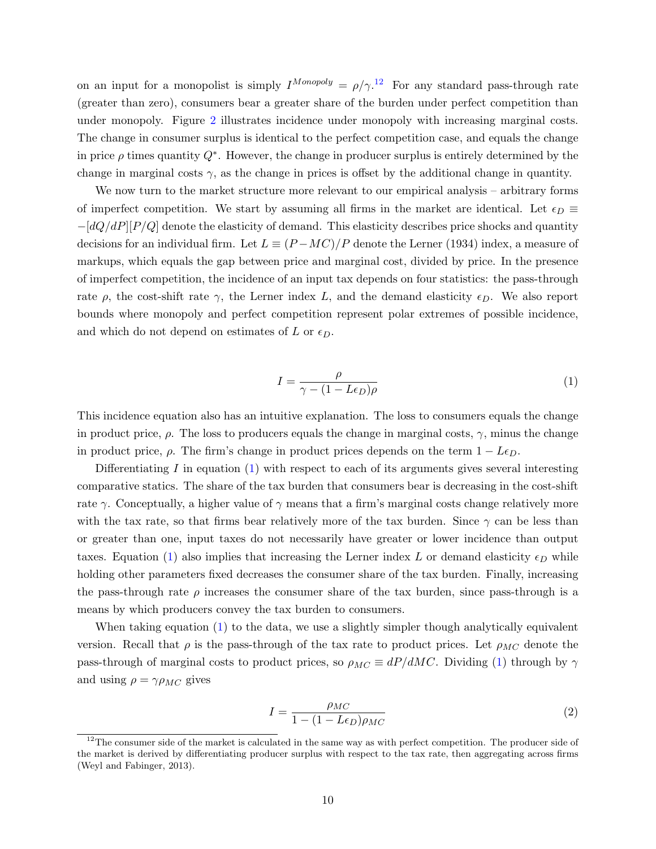on an input for a monopolist is simply  $I^{Monopoly} = \rho/\gamma^{12}$  $I^{Monopoly} = \rho/\gamma^{12}$  $I^{Monopoly} = \rho/\gamma^{12}$  For any standard pass-through rate (greater than zero), consumers bear a greater share of the burden under perfect competition than under monopoly. Figure [2](#page-36-0) illustrates incidence under monopoly with increasing marginal costs. The change in consumer surplus is identical to the perfect competition case, and equals the change in price  $\rho$  times quantity  $Q^*$ . However, the change in producer surplus is entirely determined by the change in marginal costs  $\gamma$ , as the change in prices is offset by the additional change in quantity.

We now turn to the market structure more relevant to our empirical analysis – arbitrary forms of imperfect competition. We start by assuming all firms in the market are identical. Let  $\epsilon_D \equiv$  $-[dQ/dP][P/Q]$  denote the elasticity of demand. This elasticity describes price shocks and quantity decisions for an individual firm. Let  $L \equiv (P - MC)/P$  denote the [Lerner](#page-33-10) [\(1934\)](#page-33-10) index, a measure of markups, which equals the gap between price and marginal cost, divided by price. In the presence of imperfect competition, the incidence of an input tax depends on four statistics: the pass-through rate  $\rho$ , the cost-shift rate  $\gamma$ , the Lerner index L, and the demand elasticity  $\epsilon_D$ . We also report bounds where monopoly and perfect competition represent polar extremes of possible incidence, and which do not depend on estimates of L or  $\epsilon_D$ .

<span id="page-11-1"></span>
$$
I = \frac{\rho}{\gamma - (1 - L\epsilon_D)\rho} \tag{1}
$$

This incidence equation also has an intuitive explanation. The loss to consumers equals the change in product price,  $\rho$ . The loss to producers equals the change in marginal costs,  $\gamma$ , minus the change in product price,  $\rho$ . The firm's change in product prices depends on the term  $1 - L\epsilon_D$ .

Differentiating I in equation  $(1)$  with respect to each of its arguments gives several interesting comparative statics. The share of the tax burden that consumers bear is decreasing in the cost-shift rate  $\gamma$ . Conceptually, a higher value of  $\gamma$  means that a firm's marginal costs change relatively more with the tax rate, so that firms bear relatively more of the tax burden. Since  $\gamma$  can be less than or greater than one, input taxes do not necessarily have greater or lower incidence than output taxes. Equation [\(1\)](#page-11-1) also implies that increasing the Lerner index L or demand elasticity  $\epsilon_D$  while holding other parameters fixed decreases the consumer share of the tax burden. Finally, increasing the pass-through rate  $\rho$  increases the consumer share of the tax burden, since pass-through is a means by which producers convey the tax burden to consumers.

When taking equation [\(1\)](#page-11-1) to the data, we use a slightly simpler though analytically equivalent version. Recall that  $\rho$  is the pass-through of the tax rate to product prices. Let  $\rho_{MC}$  denote the pass-through of marginal costs to product prices, so  $\rho_{MC} \equiv dP/dMC$ . Dividing [\(1\)](#page-11-1) through by  $\gamma$ and using  $\rho = \gamma \rho_{MC}$  gives

<span id="page-11-2"></span>
$$
I = \frac{\rho_{MC}}{1 - (1 - L\epsilon_D)\rho_{MC}}
$$
\n(2)

<span id="page-11-0"></span> $12$ The consumer side of the market is calculated in the same way as with perfect competition. The producer side of the market is derived by differentiating producer surplus with respect to the tax rate, then aggregating across firms [\(Weyl and Fabinger,](#page-34-0) [2013\)](#page-34-0).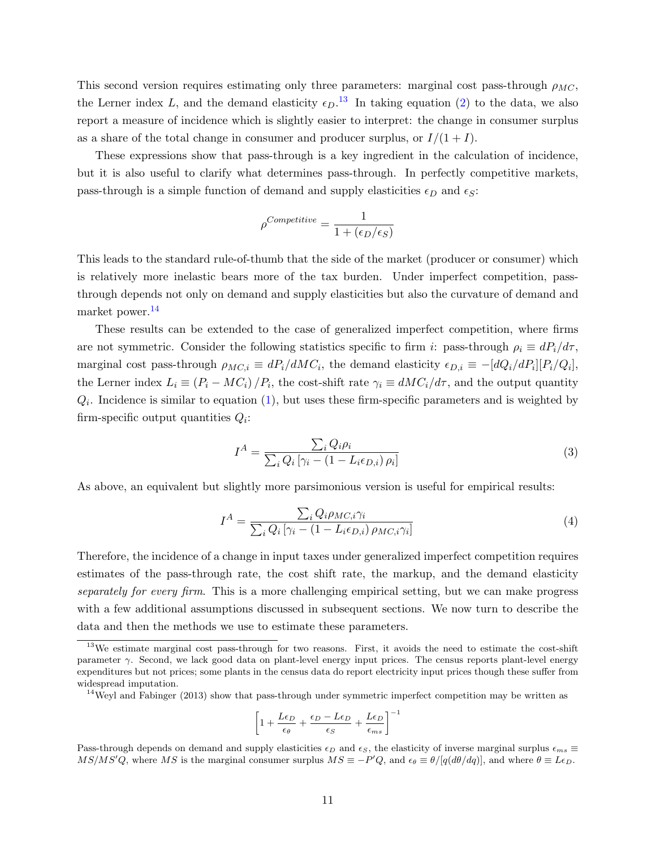This second version requires estimating only three parameters: marginal cost pass-through  $\rho_{MC}$ , the Lerner index L, and the demand elasticity  $\epsilon_D$ .<sup>[13](#page-12-0)</sup> In taking equation [\(2\)](#page-11-2) to the data, we also report a measure of incidence which is slightly easier to interpret: the change in consumer surplus as a share of the total change in consumer and producer surplus, or  $I/(1 + I)$ .

These expressions show that pass-through is a key ingredient in the calculation of incidence, but it is also useful to clarify what determines pass-through. In perfectly competitive markets, pass-through is a simple function of demand and supply elasticities  $\epsilon_D$  and  $\epsilon_S$ :

$$
\rho^{Competitive} = \frac{1}{1 + (\epsilon_D/\epsilon_S)}
$$

This leads to the standard rule-of-thumb that the side of the market (producer or consumer) which is relatively more inelastic bears more of the tax burden. Under imperfect competition, passthrough depends not only on demand and supply elasticities but also the curvature of demand and market power.[14](#page-12-1)

These results can be extended to the case of generalized imperfect competition, where firms are not symmetric. Consider the following statistics specific to firm i: pass-through  $\rho_i \equiv dP_i/d\tau$ , marginal cost pass-through  $\rho_{MC,i} \equiv dP_i/dMC_i$ , the demand elasticity  $\epsilon_{D,i} \equiv -[dQ_i/dP_i][P_i/Q_i]$ , the Lerner index  $L_i \equiv (P_i - MC_i)/P_i$ , the cost-shift rate  $\gamma_i \equiv dMC_i/d\tau$ , and the output quantity  $Q_i$ . Incidence is similar to equation [\(1\)](#page-11-1), but uses these firm-specific parameters and is weighted by firm-specific output quantities  $Q_i$ :

$$
I^{A} = \frac{\sum_{i} Q_{i} \rho_{i}}{\sum_{i} Q_{i} \left[ \gamma_{i} - (1 - L_{i} \epsilon_{D,i}) \rho_{i} \right]}
$$
(3)

As above, an equivalent but slightly more parsimonious version is useful for empirical results:

<span id="page-12-2"></span>
$$
I^{A} = \frac{\sum_{i} Q_{i} \rho_{MC,i} \gamma_{i}}{\sum_{i} Q_{i} \left[ \gamma_{i} - (1 - L_{i} \epsilon_{D,i}) \rho_{MC,i} \gamma_{i} \right]}
$$
(4)

Therefore, the incidence of a change in input taxes under generalized imperfect competition requires estimates of the pass-through rate, the cost shift rate, the markup, and the demand elasticity separately for every firm. This is a more challenging empirical setting, but we can make progress with a few additional assumptions discussed in subsequent sections. We now turn to describe the data and then the methods we use to estimate these parameters.

$$
\left[1 + \frac{L\epsilon_D}{\epsilon_{\theta}} + \frac{\epsilon_D - L\epsilon_D}{\epsilon_S} + \frac{L\epsilon_D}{\epsilon_{ms}}\right]^{-1}
$$

<span id="page-12-0"></span><sup>&</sup>lt;sup>13</sup>We estimate marginal cost pass-through for two reasons. First, it avoids the need to estimate the cost-shift parameter  $\gamma$ . Second, we lack good data on plant-level energy input prices. The census reports plant-level energy expenditures but not prices; some plants in the census data do report electricity input prices though these suffer from widespread imputation.

<span id="page-12-1"></span> $14$ [Weyl and Fabinger](#page-34-0) [\(2013\)](#page-34-0) show that pass-through under symmetric imperfect competition may be written as

Pass-through depends on demand and supply elasticities  $\epsilon_D$  and  $\epsilon_S$ , the elasticity of inverse marginal surplus  $\epsilon_{ms} \equiv$  $MS/MS'Q$ , where MS is the marginal consumer surplus  $MS \equiv -P'Q$ , and  $\epsilon_{\theta} \equiv \theta/[q(d\theta/dq)]$ , and where  $\theta \equiv L\epsilon_D$ .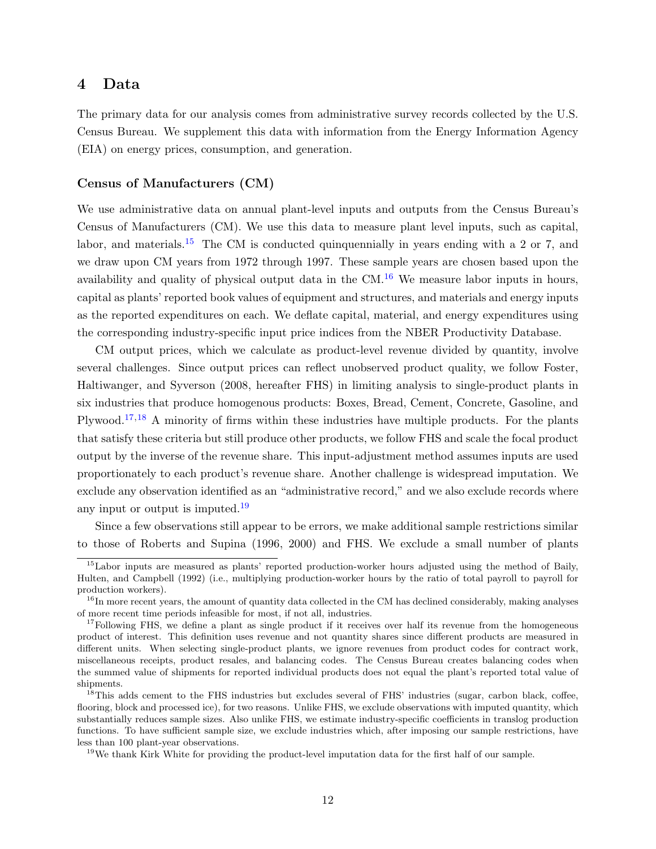### <span id="page-13-0"></span>4 Data

The primary data for our analysis comes from administrative survey records collected by the U.S. Census Bureau. We supplement this data with information from the Energy Information Agency (EIA) on energy prices, consumption, and generation.

#### Census of Manufacturers (CM)

We use administrative data on annual plant-level inputs and outputs from the Census Bureau's Census of Manufacturers (CM). We use this data to measure plant level inputs, such as capital, labor, and materials.<sup>[15](#page-13-1)</sup> The CM is conducted quinquennially in years ending with a 2 or 7, and we draw upon CM years from 1972 through 1997. These sample years are chosen based upon the availability and quality of physical output data in the  $CM<sup>16</sup>$  $CM<sup>16</sup>$  $CM<sup>16</sup>$  We measure labor inputs in hours, capital as plants' reported book values of equipment and structures, and materials and energy inputs as the reported expenditures on each. We deflate capital, material, and energy expenditures using the corresponding industry-specific input price indices from the NBER Productivity Database.

CM output prices, which we calculate as product-level revenue divided by quantity, involve several challenges. Since output prices can reflect unobserved product quality, we follow Foster, Haltiwanger, and Syverson (2008, hereafter FHS) in limiting analysis to single-product plants in six industries that produce homogenous products: Boxes, Bread, Cement, Concrete, Gasoline, and Plywood.<sup>[17](#page-13-3),[18](#page-13-4)</sup> A minority of firms within these industries have multiple products. For the plants that satisfy these criteria but still produce other products, we follow FHS and scale the focal product output by the inverse of the revenue share. This input-adjustment method assumes inputs are used proportionately to each product's revenue share. Another challenge is widespread imputation. We exclude any observation identified as an "administrative record," and we also exclude records where any input or output is imputed. $19$ 

Since a few observations still appear to be errors, we make additional sample restrictions similar to those of [Roberts and Supina](#page-33-11) [\(1996,](#page-33-11) [2000\)](#page-33-12) and FHS. We exclude a small number of plants

<span id="page-13-1"></span><sup>15</sup>Labor inputs are measured as plants' reported production-worker hours adjusted using the method of [Baily,](#page-31-10) [Hulten, and Campbell](#page-31-10) [\(1992\)](#page-31-10) (i.e., multiplying production-worker hours by the ratio of total payroll to payroll for production workers).

<span id="page-13-2"></span> $^{16}$ In more recent years, the amount of quantity data collected in the CM has declined considerably, making analyses of more recent time periods infeasible for most, if not all, industries.

<span id="page-13-3"></span><sup>&</sup>lt;sup>17</sup>Following FHS, we define a plant as single product if it receives over half its revenue from the homogeneous product of interest. This definition uses revenue and not quantity shares since different products are measured in different units. When selecting single-product plants, we ignore revenues from product codes for contract work, miscellaneous receipts, product resales, and balancing codes. The Census Bureau creates balancing codes when the summed value of shipments for reported individual products does not equal the plant's reported total value of shipments.

<span id="page-13-4"></span><sup>&</sup>lt;sup>18</sup>This adds cement to the FHS industries but excludes several of FHS' industries (sugar, carbon black, coffee, flooring, block and processed ice), for two reasons. Unlike FHS, we exclude observations with imputed quantity, which substantially reduces sample sizes. Also unlike FHS, we estimate industry-specific coefficients in translog production functions. To have sufficient sample size, we exclude industries which, after imposing our sample restrictions, have less than 100 plant-year observations.

<span id="page-13-5"></span><sup>&</sup>lt;sup>19</sup>We thank Kirk White for providing the product-level imputation data for the first half of our sample.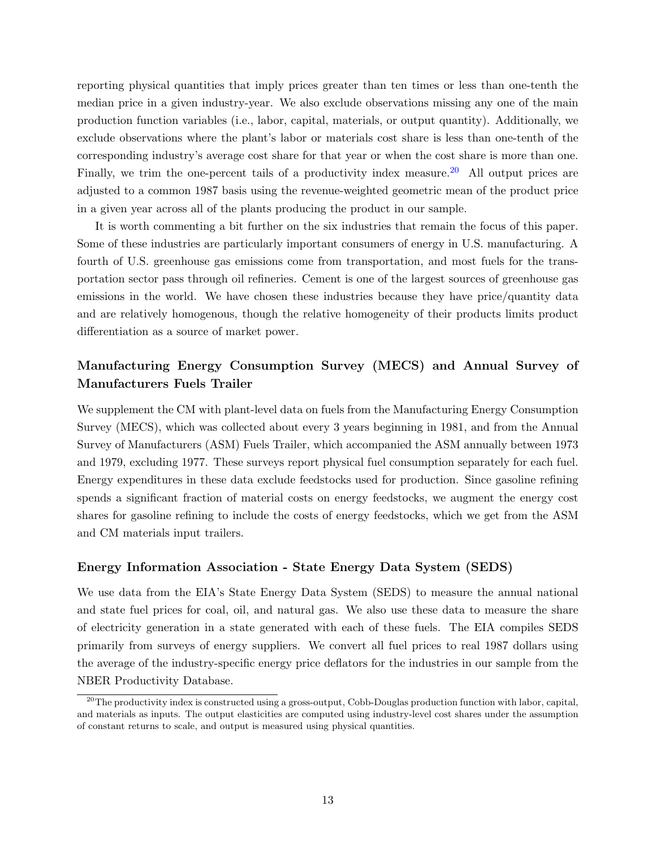reporting physical quantities that imply prices greater than ten times or less than one-tenth the median price in a given industry-year. We also exclude observations missing any one of the main production function variables (i.e., labor, capital, materials, or output quantity). Additionally, we exclude observations where the plant's labor or materials cost share is less than one-tenth of the corresponding industry's average cost share for that year or when the cost share is more than one. Finally, we trim the one-percent tails of a productivity index measure.<sup>[20](#page-14-0)</sup> All output prices are adjusted to a common 1987 basis using the revenue-weighted geometric mean of the product price in a given year across all of the plants producing the product in our sample.

It is worth commenting a bit further on the six industries that remain the focus of this paper. Some of these industries are particularly important consumers of energy in U.S. manufacturing. A fourth of U.S. greenhouse gas emissions come from transportation, and most fuels for the transportation sector pass through oil refineries. Cement is one of the largest sources of greenhouse gas emissions in the world. We have chosen these industries because they have price/quantity data and are relatively homogenous, though the relative homogeneity of their products limits product differentiation as a source of market power.

## Manufacturing Energy Consumption Survey (MECS) and Annual Survey of Manufacturers Fuels Trailer

We supplement the CM with plant-level data on fuels from the Manufacturing Energy Consumption Survey (MECS), which was collected about every 3 years beginning in 1981, and from the Annual Survey of Manufacturers (ASM) Fuels Trailer, which accompanied the ASM annually between 1973 and 1979, excluding 1977. These surveys report physical fuel consumption separately for each fuel. Energy expenditures in these data exclude feedstocks used for production. Since gasoline refining spends a significant fraction of material costs on energy feedstocks, we augment the energy cost shares for gasoline refining to include the costs of energy feedstocks, which we get from the ASM and CM materials input trailers.

#### Energy Information Association - State Energy Data System (SEDS)

We use data from the EIA's State Energy Data System (SEDS) to measure the annual national and state fuel prices for coal, oil, and natural gas. We also use these data to measure the share of electricity generation in a state generated with each of these fuels. The EIA compiles SEDS primarily from surveys of energy suppliers. We convert all fuel prices to real 1987 dollars using the average of the industry-specific energy price deflators for the industries in our sample from the NBER Productivity Database.

<span id="page-14-0"></span> $^{20}$ The productivity index is constructed using a gross-output, Cobb-Douglas production function with labor, capital, and materials as inputs. The output elasticities are computed using industry-level cost shares under the assumption of constant returns to scale, and output is measured using physical quantities.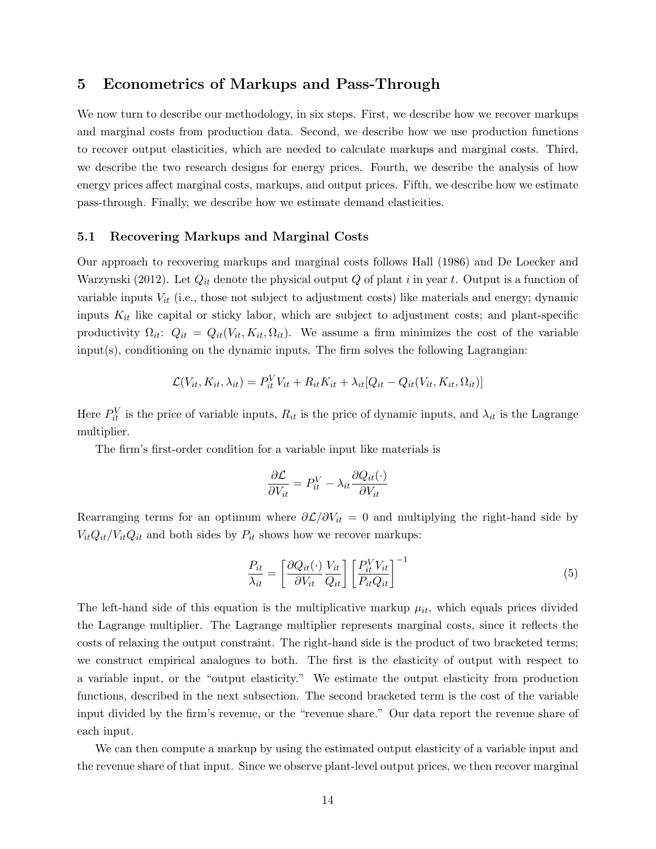### <span id="page-15-0"></span>5 Econometrics of Markups and Pass-Through

We now turn to describe our methodology, in six steps. First, we describe how we recover markups and marginal costs from production data. Second, we describe how we use production functions to recover output elasticities, which are needed to calculate markups and marginal costs. Third, we describe the two research designs for energy prices. Fourth, we describe the analysis of how energy prices affect marginal costs, markups, and output prices. Fifth, we describe how we estimate pass-through. Finally, we describe how we estimate demand elasticities.

#### 5.1 Recovering Markups and Marginal Costs

Our approach to recovering markups and marginal costs follows [Hall](#page-32-0) [\(1986\)](#page-32-0) and [De Loecker and](#page-31-0) [Warzynski](#page-31-0) [\(2012\)](#page-31-0). Let  $Q_{it}$  denote the physical output Q of plant i in year t. Output is a function of variable inputs  $V_{it}$  (i.e., those not subject to adjustment costs) like materials and energy; dynamic inputs  $K_{it}$  like capital or sticky labor, which are subject to adjustment costs; and plant-specific productivity  $\Omega_{it}$ :  $Q_{it} = Q_{it}(V_{it}, K_{it}, \Omega_{it})$ . We assume a firm minimizes the cost of the variable input(s), conditioning on the dynamic inputs. The firm solves the following Lagrangian:

$$
\mathcal{L}(V_{it}, K_{it}, \lambda_{it}) = P_{it}^V V_{it} + R_{it} K_{it} + \lambda_{it} [Q_{it} - Q_{it}(V_{it}, K_{it}, \Omega_{it})]
$$

Here  $P_{it}^V$  is the price of variable inputs,  $R_{it}$  is the price of dynamic inputs, and  $\lambda_{it}$  is the Lagrange multiplier.

The firm's first-order condition for a variable input like materials is

$$
\frac{\partial \mathcal{L}}{\partial V_{it}} = P_{it}^V - \lambda_{it} \frac{\partial Q_{it}(\cdot)}{\partial V_{it}}
$$

Rearranging terms for an optimum where  $\partial \mathcal{L}/\partial V_{it} = 0$  and multiplying the right-hand side by  $V_{it}Q_{it}/V_{it}Q_{it}$  and both sides by  $P_{it}$  shows how we recover markups:

$$
\frac{P_{it}}{\lambda_{it}} = \left[\frac{\partial Q_{it}(\cdot)}{\partial V_{it}} \frac{V_{it}}{Q_{it}}\right] \left[\frac{P_{it}^V V_{it}}{P_{it} Q_{it}}\right]^{-1} \tag{5}
$$

The left-hand side of this equation is the multiplicative markup  $\mu_{it}$ , which equals prices divided the Lagrange multiplier. The Lagrange multiplier represents marginal costs, since it reflects the costs of relaxing the output constraint. The right-hand side is the product of two bracketed terms; we construct empirical analogues to both. The first is the elasticity of output with respect to a variable input, or the "output elasticity." We estimate the output elasticity from production functions, described in the next subsection. The second bracketed term is the cost of the variable input divided by the firm's revenue, or the "revenue share." Our data report the revenue share of each input.

We can then compute a markup by using the estimated output elasticity of a variable input and the revenue share of that input. Since we observe plant-level output prices, we then recover marginal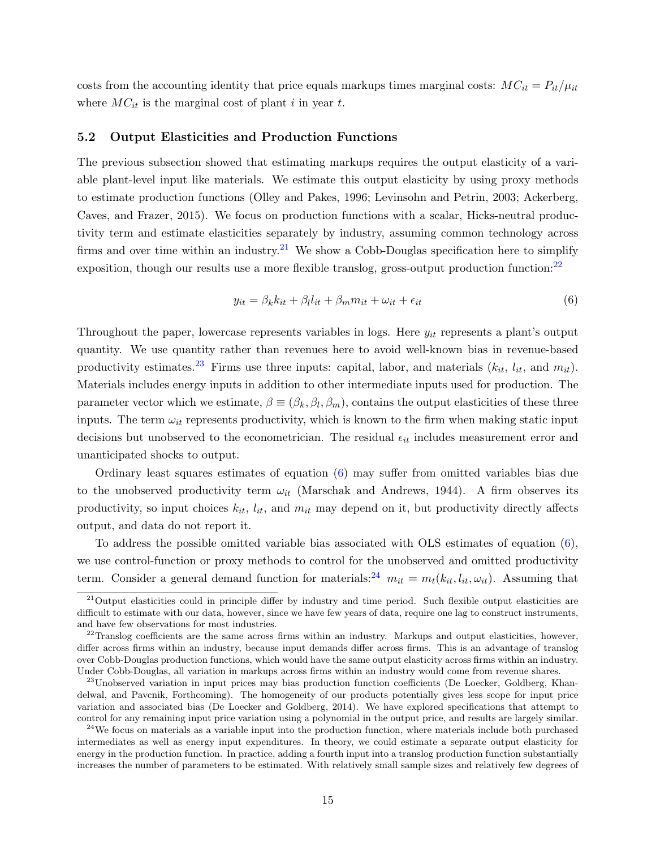costs from the accounting identity that price equals markups times marginal costs:  $MC_{it} = P_{it}/\mu_{it}$ where  $MC_{it}$  is the marginal cost of plant i in year t.

#### 5.2 Output Elasticities and Production Functions

The previous subsection showed that estimating markups requires the output elasticity of a variable plant-level input like materials. We estimate this output elasticity by using proxy methods to estimate production functions [\(Olley and Pakes,](#page-33-13) [1996;](#page-33-13) [Levinsohn and Petrin,](#page-33-14) [2003;](#page-33-14) [Ackerberg,](#page-31-1) [Caves, and Frazer,](#page-31-1) [2015\)](#page-31-1). We focus on production functions with a scalar, Hicks-neutral productivity term and estimate elasticities separately by industry, assuming common technology across firms and over time within an industry.<sup>[21](#page-16-0)</sup> We show a Cobb-Douglas specification here to simplify exposition, though our results use a more flexible translog, gross-output production function: $^{22}$  $^{22}$  $^{22}$ 

<span id="page-16-3"></span>
$$
y_{it} = \beta_k k_{it} + \beta_l l_{it} + \beta_m m_{it} + \omega_{it} + \epsilon_{it}
$$
\n
$$
\tag{6}
$$

Throughout the paper, lowercase represents variables in logs. Here  $y_{it}$  represents a plant's output quantity. We use quantity rather than revenues here to avoid well-known bias in revenue-based productivity estimates.<sup>[23](#page-16-2)</sup> Firms use three inputs: capital, labor, and materials  $(k_{it}, l_{it}, \text{and } m_{it})$ . Materials includes energy inputs in addition to other intermediate inputs used for production. The parameter vector which we estimate,  $\beta \equiv (\beta_k, \beta_l, \beta_m)$ , contains the output elasticities of these three inputs. The term  $\omega_{it}$  represents productivity, which is known to the firm when making static input decisions but unobserved to the econometrician. The residual  $\epsilon_{it}$  includes measurement error and unanticipated shocks to output.

Ordinary least squares estimates of equation [\(6\)](#page-16-3) may suffer from omitted variables bias due to the unobserved productivity term  $\omega_{it}$  [\(Marschak and Andrews,](#page-33-15) [1944\)](#page-33-15). A firm observes its productivity, so input choices  $k_{it}$ ,  $l_{it}$ , and  $m_{it}$  may depend on it, but productivity directly affects output, and data do not report it.

To address the possible omitted variable bias associated with OLS estimates of equation [\(6\)](#page-16-3), we use control-function or proxy methods to control for the unobserved and omitted productivity term. Consider a general demand function for materials:<sup>[24](#page-16-4)</sup>  $m_{it} = m_t(k_{it}, l_{it}, \omega_{it})$ . Assuming that

<span id="page-16-0"></span> $21$ Output elasticities could in principle differ by industry and time period. Such flexible output elasticities are difficult to estimate with our data, however, since we have few years of data, require one lag to construct instruments, and have few observations for most industries.

<span id="page-16-1"></span> $^{22}$ Translog coefficients are the same across firms within an industry. Markups and output elasticities, however, differ across firms within an industry, because input demands differ across firms. This is an advantage of translog over Cobb-Douglas production functions, which would have the same output elasticity across firms within an industry. Under Cobb-Douglas, all variation in markups across firms within an industry would come from revenue shares.

<span id="page-16-2"></span><sup>&</sup>lt;sup>23</sup>Unobserved variation in input prices may bias production function coefficients [\(De Loecker, Goldberg, Khan](#page-31-2)[delwal, and Pavcnik,](#page-31-2) [Forthcoming\)](#page-31-2). The homogeneity of our products potentially gives less scope for input price variation and associated bias [\(De Loecker and Goldberg,](#page-31-11) [2014\)](#page-31-11). We have explored specifications that attempt to control for any remaining input price variation using a polynomial in the output price, and results are largely similar.

<span id="page-16-4"></span> $24$ We focus on materials as a variable input into the production function, where materials include both purchased intermediates as well as energy input expenditures. In theory, we could estimate a separate output elasticity for energy in the production function. In practice, adding a fourth input into a translog production function substantially increases the number of parameters to be estimated. With relatively small sample sizes and relatively few degrees of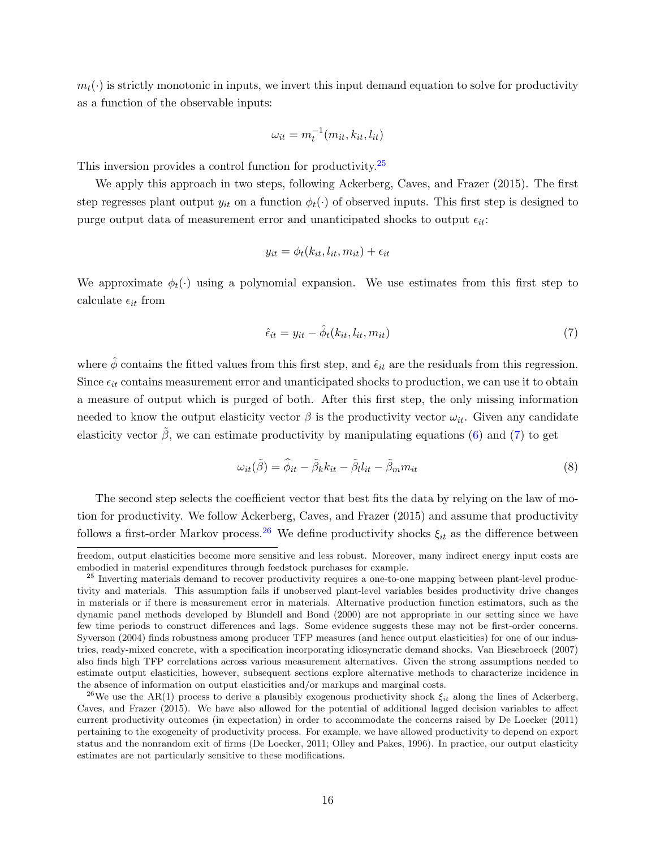$m_t(\cdot)$  is strictly monotonic in inputs, we invert this input demand equation to solve for productivity as a function of the observable inputs:

$$
\omega_{it} = m_t^{-1}(m_{it}, k_{it}, l_{it})
$$

This inversion provides a control function for productivity.<sup>[25](#page-17-0)</sup>

We apply this approach in two steps, following [Ackerberg, Caves, and Frazer](#page-31-1) [\(2015\)](#page-31-1). The first step regresses plant output  $y_{it}$  on a function  $\phi_t(\cdot)$  of observed inputs. This first step is designed to purge output data of measurement error and unanticipated shocks to output  $\epsilon_{it}$ :

$$
y_{it} = \phi_t(k_{it}, l_{it}, m_{it}) + \epsilon_{it}
$$

We approximate  $\phi_t(\cdot)$  using a polynomial expansion. We use estimates from this first step to calculate  $\epsilon_{it}$  from

<span id="page-17-1"></span>
$$
\hat{\epsilon}_{it} = y_{it} - \hat{\phi}_t(k_{it}, l_{it}, m_{it}) \tag{7}
$$

where  $\hat{\phi}$  contains the fitted values from this first step, and  $\hat{\epsilon}_{it}$  are the residuals from this regression. Since  $\epsilon_{it}$  contains measurement error and unanticipated shocks to production, we can use it to obtain a measure of output which is purged of both. After this first step, the only missing information needed to know the output elasticity vector  $\beta$  is the productivity vector  $\omega_{it}$ . Given any candidate elasticity vector  $\hat{\beta}$ , we can estimate productivity by manipulating equations [\(6\)](#page-16-3) and [\(7\)](#page-17-1) to get

$$
\omega_{it}(\tilde{\beta}) = \hat{\phi}_{it} - \tilde{\beta}_k k_{it} - \tilde{\beta}_l l_{it} - \tilde{\beta}_m m_{it}
$$
\n(8)

The second step selects the coefficient vector that best fits the data by relying on the law of motion for productivity. We follow [Ackerberg, Caves, and Frazer](#page-31-1) [\(2015\)](#page-31-1) and assume that productivity follows a first-order Markov process.<sup>[26](#page-17-2)</sup> We define productivity shocks  $\xi_{it}$  as the difference between

freedom, output elasticities become more sensitive and less robust. Moreover, many indirect energy input costs are embodied in material expenditures through feedstock purchases for example.

<span id="page-17-0"></span><sup>&</sup>lt;sup>25</sup> Inverting materials demand to recover productivity requires a one-to-one mapping between plant-level productivity and materials. This assumption fails if unobserved plant-level variables besides productivity drive changes in materials or if there is measurement error in materials. Alternative production function estimators, such as the dynamic panel methods developed by [Blundell and Bond](#page-31-12) [\(2000\)](#page-31-12) are not appropriate in our setting since we have few time periods to construct differences and lags. Some evidence suggests these may not be first-order concerns. [Syverson](#page-34-6) [\(2004\)](#page-34-6) finds robustness among producer TFP measures (and hence output elasticities) for one of our industries, ready-mixed concrete, with a specification incorporating idiosyncratic demand shocks. [Van Biesebroeck](#page-34-7) [\(2007\)](#page-34-7) also finds high TFP correlations across various measurement alternatives. Given the strong assumptions needed to estimate output elasticities, however, subsequent sections explore alternative methods to characterize incidence in the absence of information on output elasticities and/or markups and marginal costs.

<span id="page-17-2"></span><sup>&</sup>lt;sup>26</sup>We use the AR(1) process to derive a plausibly exogenous productivity shock  $\xi_{it}$  along the lines of [Ackerberg,](#page-31-1) [Caves, and Frazer](#page-31-1) [\(2015\)](#page-31-1). We have also allowed for the potential of additional lagged decision variables to affect current productivity outcomes (in expectation) in order to accommodate the concerns raised by [De Loecker](#page-31-13) [\(2011\)](#page-31-13) pertaining to the exogeneity of productivity process. For example, we have allowed productivity to depend on export status and the nonrandom exit of firms [\(De Loecker,](#page-31-13) [2011;](#page-31-13) [Olley and Pakes,](#page-33-13) [1996\)](#page-33-13). In practice, our output elasticity estimates are not particularly sensitive to these modifications.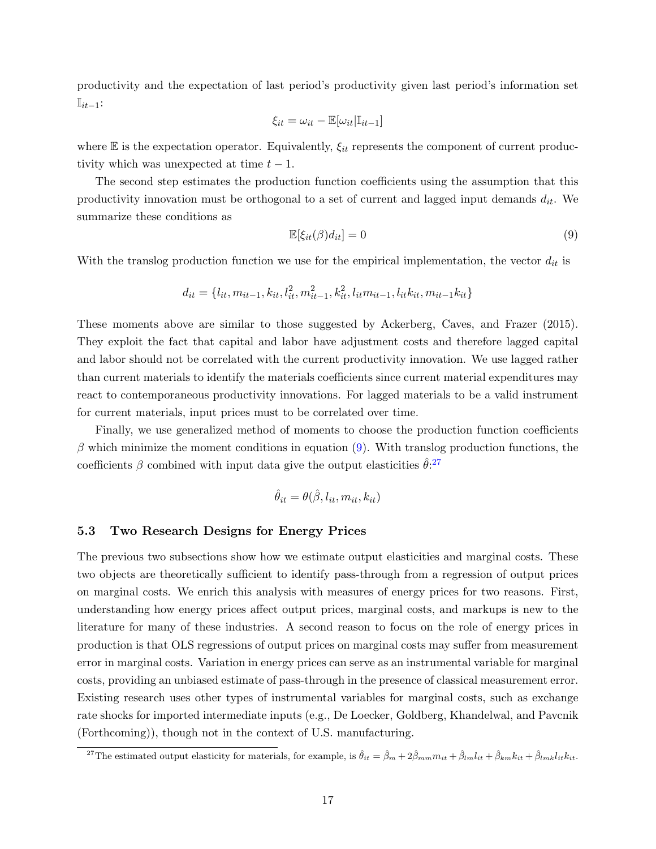productivity and the expectation of last period's productivity given last period's information set  $\mathbb{I}_{it-1}$ :

$$
\xi_{it} = \omega_{it} - \mathbb{E}[\omega_{it}|\mathbb{I}_{it-1}]
$$

where  $\mathbb E$  is the expectation operator. Equivalently,  $\xi_{it}$  represents the component of current productivity which was unexpected at time  $t - 1$ .

The second step estimates the production function coefficients using the assumption that this productivity innovation must be orthogonal to a set of current and lagged input demands  $d_{it}$ . We summarize these conditions as

<span id="page-18-0"></span>
$$
\mathbb{E}[\xi_{it}(\beta)d_{it}] = 0\tag{9}
$$

With the translog production function we use for the empirical implementation, the vector  $d_{it}$  is

$$
d_{it} = \{l_{it}, m_{it-1}, k_{it}, l_{it}^2, m_{it-1}^2, k_{it}^2, l_{it}m_{it-1}, l_{it}k_{it}, m_{it-1}k_{it}\}
$$

These moments above are similar to those suggested by [Ackerberg, Caves, and Frazer](#page-31-1) [\(2015\)](#page-31-1). They exploit the fact that capital and labor have adjustment costs and therefore lagged capital and labor should not be correlated with the current productivity innovation. We use lagged rather than current materials to identify the materials coefficients since current material expenditures may react to contemporaneous productivity innovations. For lagged materials to be a valid instrument for current materials, input prices must to be correlated over time.

Finally, we use generalized method of moments to choose the production function coefficients  $\beta$  which minimize the moment conditions in equation [\(9\)](#page-18-0). With translog production functions, the coefficients  $\beta$  combined with input data give the output elasticities  $\hat{\theta}$ <sup>[27](#page-18-1)</sup>

$$
\hat{\theta}_{it} = \theta(\hat{\beta}, l_{it}, m_{it}, k_{it})
$$

#### 5.3 Two Research Designs for Energy Prices

The previous two subsections show how we estimate output elasticities and marginal costs. These two objects are theoretically sufficient to identify pass-through from a regression of output prices on marginal costs. We enrich this analysis with measures of energy prices for two reasons. First, understanding how energy prices affect output prices, marginal costs, and markups is new to the literature for many of these industries. A second reason to focus on the role of energy prices in production is that OLS regressions of output prices on marginal costs may suffer from measurement error in marginal costs. Variation in energy prices can serve as an instrumental variable for marginal costs, providing an unbiased estimate of pass-through in the presence of classical measurement error. Existing research uses other types of instrumental variables for marginal costs, such as exchange rate shocks for imported intermediate inputs (e.g., [De Loecker, Goldberg, Khandelwal, and Pavcnik](#page-31-2) [\(Forthcoming\)](#page-31-2)), though not in the context of U.S. manufacturing.

<span id="page-18-1"></span><sup>&</sup>lt;sup>27</sup>The estimated output elasticity for materials, for example, is  $\hat{\theta}_{it} = \hat{\beta}_m + 2\hat{\beta}_{mm}m_{it} + \hat{\beta}_{lm}l_{it} + \hat{\beta}_{km}k_{it} + \hat{\beta}_{lmk}l_{it}k_{it}$ .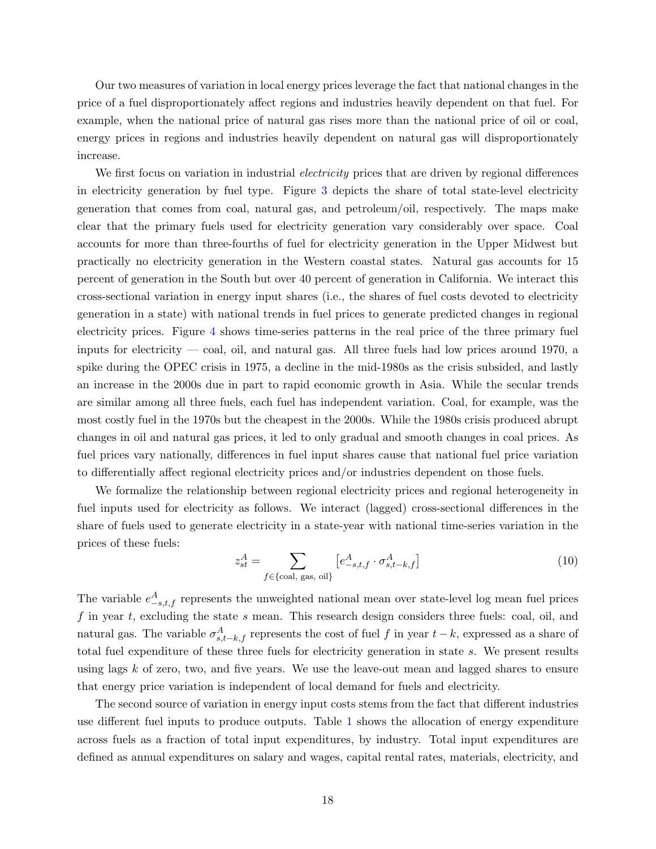Our two measures of variation in local energy prices leverage the fact that national changes in the price of a fuel disproportionately affect regions and industries heavily dependent on that fuel. For example, when the national price of natural gas rises more than the national price of oil or coal, energy prices in regions and industries heavily dependent on natural gas will disproportionately increase.

We first focus on variation in industrial *electricity* prices that are driven by regional differences in electricity generation by fuel type. Figure [3](#page-37-0) depicts the share of total state-level electricity generation that comes from coal, natural gas, and petroleum/oil, respectively. The maps make clear that the primary fuels used for electricity generation vary considerably over space. Coal accounts for more than three-fourths of fuel for electricity generation in the Upper Midwest but practically no electricity generation in the Western coastal states. Natural gas accounts for 15 percent of generation in the South but over 40 percent of generation in California. We interact this cross-sectional variation in energy input shares (i.e., the shares of fuel costs devoted to electricity generation in a state) with national trends in fuel prices to generate predicted changes in regional electricity prices. Figure [4](#page-38-0) shows time-series patterns in the real price of the three primary fuel inputs for electricity — coal, oil, and natural gas. All three fuels had low prices around 1970, a spike during the OPEC crisis in 1975, a decline in the mid-1980s as the crisis subsided, and lastly an increase in the 2000s due in part to rapid economic growth in Asia. While the secular trends are similar among all three fuels, each fuel has independent variation. Coal, for example, was the most costly fuel in the 1970s but the cheapest in the 2000s. While the 1980s crisis produced abrupt changes in oil and natural gas prices, it led to only gradual and smooth changes in coal prices. As fuel prices vary nationally, differences in fuel input shares cause that national fuel price variation to differentially affect regional electricity prices and/or industries dependent on those fuels.

We formalize the relationship between regional electricity prices and regional heterogeneity in fuel inputs used for electricity as follows. We interact (lagged) cross-sectional differences in the share of fuels used to generate electricity in a state-year with national time-series variation in the prices of these fuels:

<span id="page-19-0"></span>
$$
z_{st}^A = \sum_{f \in \{\text{coal, gas, oil}\}} \left[ e_{-s,t,f}^A \cdot \sigma_{s,t-k,f}^A \right] \tag{10}
$$

The variable  $e_{-s,t,f}^A$  represents the unweighted national mean over state-level log mean fuel prices  $f$  in year  $t$ , excluding the state  $s$  mean. This research design considers three fuels: coal, oil, and natural gas. The variable  $\sigma_{s,t-k,f}^A$  represents the cost of fuel f in year  $t-k$ , expressed as a share of total fuel expenditure of these three fuels for electricity generation in state s. We present results using lags  $k$  of zero, two, and five years. We use the leave-out mean and lagged shares to ensure that energy price variation is independent of local demand for fuels and electricity.

The second source of variation in energy input costs stems from the fact that different industries use different fuel inputs to produce outputs. Table [1](#page-39-0) shows the allocation of energy expenditure across fuels as a fraction of total input expenditures, by industry. Total input expenditures are defined as annual expenditures on salary and wages, capital rental rates, materials, electricity, and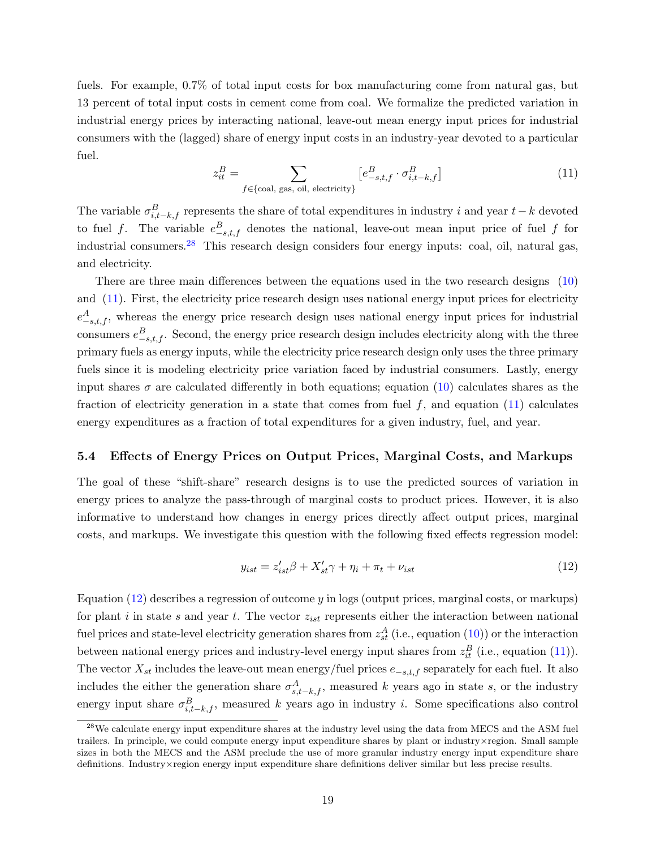fuels. For example, 0.7% of total input costs for box manufacturing come from natural gas, but 13 percent of total input costs in cement come from coal. We formalize the predicted variation in industrial energy prices by interacting national, leave-out mean energy input prices for industrial consumers with the (lagged) share of energy input costs in an industry-year devoted to a particular fuel.

<span id="page-20-1"></span>
$$
z_{it}^B = \sum_{f \in \{\text{coal, gas, oil, electricity}\}} \left[e_{-s,t,f}^B \cdot \sigma_{i,t-k,f}^B\right]
$$
 (11)

The variable  $\sigma_{i,t-k,f}^B$  represents the share of total expenditures in industry i and year  $t-k$  devoted to fuel f. The variable  $e_{-s,t,f}^B$  denotes the national, leave-out mean input price of fuel f for industrial consumers.<sup>[28](#page-20-0)</sup> This research design considers four energy inputs: coal, oil, natural gas, and electricity.

There are three main differences between the equations used in the two research designs [\(10\)](#page-19-0) and [\(11\)](#page-20-1). First, the electricity price research design uses national energy input prices for electricity  $e_{-s,t,f}^{A}$ , whereas the energy price research design uses national energy input prices for industrial consumers  $e_{-s,t,f}^B$ . Second, the energy price research design includes electricity along with the three primary fuels as energy inputs, while the electricity price research design only uses the three primary fuels since it is modeling electricity price variation faced by industrial consumers. Lastly, energy input shares  $\sigma$  are calculated differently in both equations; equation [\(10\)](#page-19-0) calculates shares as the fraction of electricity generation in a state that comes from fuel  $f$ , and equation [\(11\)](#page-20-1) calculates energy expenditures as a fraction of total expenditures for a given industry, fuel, and year.

#### 5.4 Effects of Energy Prices on Output Prices, Marginal Costs, and Markups

The goal of these "shift-share" research designs is to use the predicted sources of variation in energy prices to analyze the pass-through of marginal costs to product prices. However, it is also informative to understand how changes in energy prices directly affect output prices, marginal costs, and markups. We investigate this question with the following fixed effects regression model:

<span id="page-20-2"></span>
$$
y_{ist} = z'_{ist}\beta + X'_{st}\gamma + \eta_i + \pi_t + \nu_{ist}
$$
\n<sup>(12)</sup>

Equation [\(12\)](#page-20-2) describes a regression of outcome y in logs (output prices, marginal costs, or markups) for plant i in state s and year t. The vector  $z_{ist}$  represents either the interaction between national fuel prices and state-level electricity generation shares from  $z_{st}^A$  (i.e., equation [\(10\)](#page-19-0)) or the interaction between national energy prices and industry-level energy input shares from  $z_{it}^{B}$  (i.e., equation [\(11\)](#page-20-1)). The vector  $X_{st}$  includes the leave-out mean energy/fuel prices  $e_{-s,t,f}$  separately for each fuel. It also includes the either the generation share  $\sigma_{s,t-k,f}^A$ , measured k years ago in state s, or the industry energy input share  $\sigma_{i,t-k,f}^B$ , measured k years ago in industry i. Some specifications also control

<span id="page-20-0"></span><sup>&</sup>lt;sup>28</sup>We calculate energy input expenditure shares at the industry level using the data from MECS and the ASM fuel trailers. In principle, we could compute energy input expenditure shares by plant or industry×region. Small sample sizes in both the MECS and the ASM preclude the use of more granular industry energy input expenditure share definitions. Industry×region energy input expenditure share definitions deliver similar but less precise results.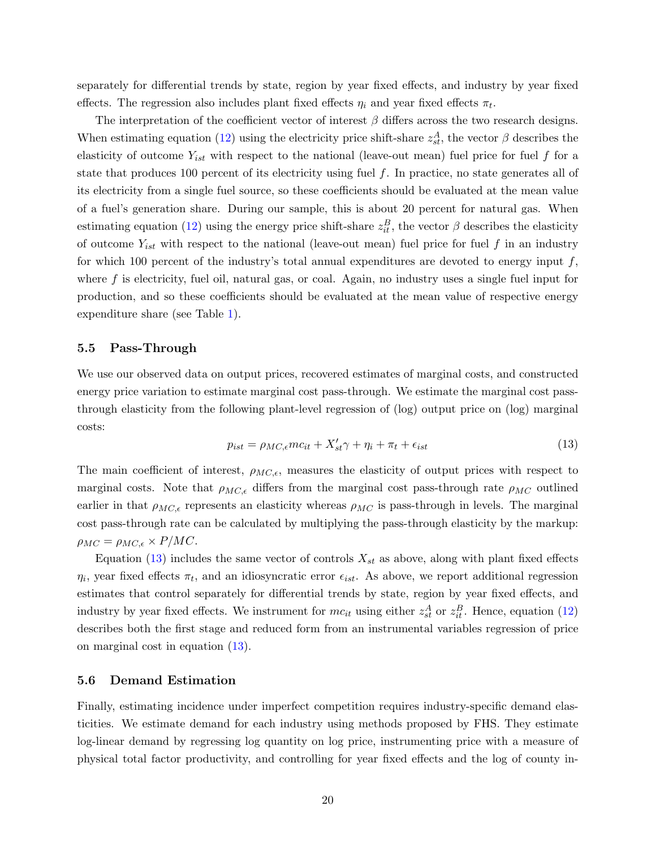separately for differential trends by state, region by year fixed effects, and industry by year fixed effects. The regression also includes plant fixed effects  $\eta_i$  and year fixed effects  $\pi_t$ .

The interpretation of the coefficient vector of interest  $\beta$  differs across the two research designs. When estimating equation [\(12\)](#page-20-2) using the electricity price shift-share  $z_{st}^A$ , the vector  $\beta$  describes the elasticity of outcome  $Y_{ist}$  with respect to the national (leave-out mean) fuel price for fuel f for a state that produces 100 percent of its electricity using fuel  $f$ . In practice, no state generates all of its electricity from a single fuel source, so these coefficients should be evaluated at the mean value of a fuel's generation share. During our sample, this is about 20 percent for natural gas. When estimating equation [\(12\)](#page-20-2) using the energy price shift-share  $z_{it}^B$ , the vector  $\beta$  describes the elasticity of outcome  $Y_{ist}$  with respect to the national (leave-out mean) fuel price for fuel f in an industry for which 100 percent of the industry's total annual expenditures are devoted to energy input  $f$ , where  $f$  is electricity, fuel oil, natural gas, or coal. Again, no industry uses a single fuel input for production, and so these coefficients should be evaluated at the mean value of respective energy expenditure share (see Table [1\)](#page-39-0).

#### 5.5 Pass-Through

We use our observed data on output prices, recovered estimates of marginal costs, and constructed energy price variation to estimate marginal cost pass-through. We estimate the marginal cost passthrough elasticity from the following plant-level regression of (log) output price on (log) marginal costs:

<span id="page-21-0"></span>
$$
p_{ist} = \rho_{MC,\epsilon}mc_{it} + X'_{st}\gamma + \eta_i + \pi_t + \epsilon_{ist}
$$
\n(13)

The main coefficient of interest,  $\rho_{MC,\epsilon}$ , measures the elasticity of output prices with respect to marginal costs. Note that  $\rho_{MC,\epsilon}$  differs from the marginal cost pass-through rate  $\rho_{MC}$  outlined earlier in that  $\rho_{MC,\epsilon}$  represents an elasticity whereas  $\rho_{MC}$  is pass-through in levels. The marginal cost pass-through rate can be calculated by multiplying the pass-through elasticity by the markup:  $\rho_{MC} = \rho_{MC,\epsilon} \times P/MC.$ 

Equation [\(13\)](#page-21-0) includes the same vector of controls  $X_{st}$  as above, along with plant fixed effects  $\eta_i$ , year fixed effects  $\pi_t$ , and an idiosyncratic error  $\epsilon_{ist}$ . As above, we report additional regression estimates that control separately for differential trends by state, region by year fixed effects, and industry by year fixed effects. We instrument for  $mc_{it}$  using either  $z_{st}^A$  or  $z_{it}^B$ . Hence, equation [\(12\)](#page-20-2) describes both the first stage and reduced form from an instrumental variables regression of price on marginal cost in equation [\(13\)](#page-21-0).

#### 5.6 Demand Estimation

Finally, estimating incidence under imperfect competition requires industry-specific demand elasticities. We estimate demand for each industry using methods proposed by FHS. They estimate log-linear demand by regressing log quantity on log price, instrumenting price with a measure of physical total factor productivity, and controlling for year fixed effects and the log of county in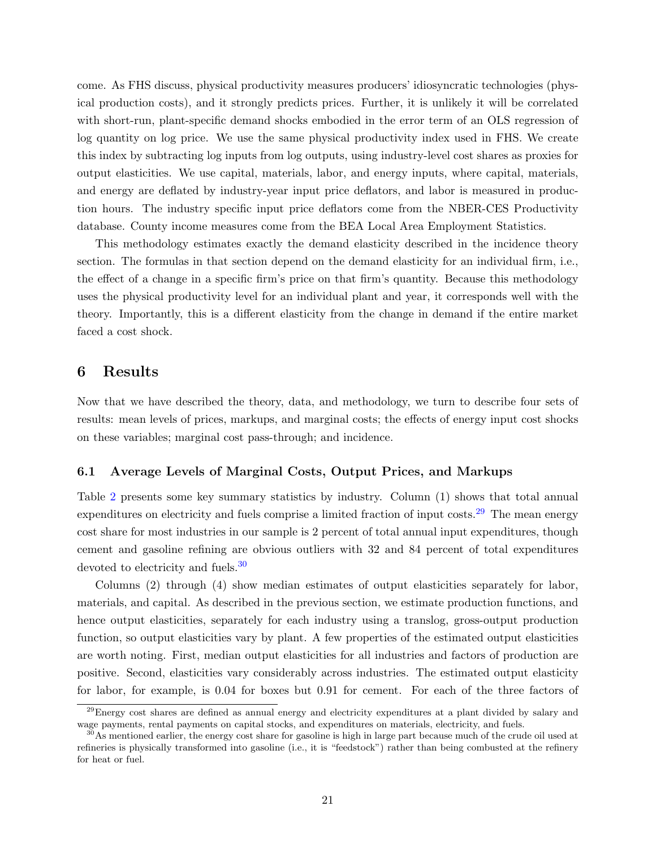come. As FHS discuss, physical productivity measures producers' idiosyncratic technologies (physical production costs), and it strongly predicts prices. Further, it is unlikely it will be correlated with short-run, plant-specific demand shocks embodied in the error term of an OLS regression of log quantity on log price. We use the same physical productivity index used in FHS. We create this index by subtracting log inputs from log outputs, using industry-level cost shares as proxies for output elasticities. We use capital, materials, labor, and energy inputs, where capital, materials, and energy are deflated by industry-year input price deflators, and labor is measured in production hours. The industry specific input price deflators come from the NBER-CES Productivity database. County income measures come from the BEA Local Area Employment Statistics.

This methodology estimates exactly the demand elasticity described in the incidence theory section. The formulas in that section depend on the demand elasticity for an individual firm, i.e., the effect of a change in a specific firm's price on that firm's quantity. Because this methodology uses the physical productivity level for an individual plant and year, it corresponds well with the theory. Importantly, this is a different elasticity from the change in demand if the entire market faced a cost shock.

### <span id="page-22-0"></span>6 Results

Now that we have described the theory, data, and methodology, we turn to describe four sets of results: mean levels of prices, markups, and marginal costs; the effects of energy input cost shocks on these variables; marginal cost pass-through; and incidence.

#### 6.1 Average Levels of Marginal Costs, Output Prices, and Markups

Table [2](#page-40-0) presents some key summary statistics by industry. Column (1) shows that total annual expenditures on electricity and fuels comprise a limited fraction of input costs.<sup>[29](#page-22-1)</sup> The mean energy cost share for most industries in our sample is 2 percent of total annual input expenditures, though cement and gasoline refining are obvious outliers with 32 and 84 percent of total expenditures devoted to electricity and fuels.<sup>[30](#page-22-2)</sup>

Columns (2) through (4) show median estimates of output elasticities separately for labor, materials, and capital. As described in the previous section, we estimate production functions, and hence output elasticities, separately for each industry using a translog, gross-output production function, so output elasticities vary by plant. A few properties of the estimated output elasticities are worth noting. First, median output elasticities for all industries and factors of production are positive. Second, elasticities vary considerably across industries. The estimated output elasticity for labor, for example, is 0.04 for boxes but 0.91 for cement. For each of the three factors of

<span id="page-22-1"></span><sup>&</sup>lt;sup>29</sup>Energy cost shares are defined as annual energy and electricity expenditures at a plant divided by salary and wage payments, rental payments on capital stocks, and expenditures on materials, electricity, and fuels.

<span id="page-22-2"></span> $30\text{As}$  mentioned earlier, the energy cost share for gasoline is high in large part because much of the crude oil used at refineries is physically transformed into gasoline (i.e., it is "feedstock") rather than being combusted at the refinery for heat or fuel.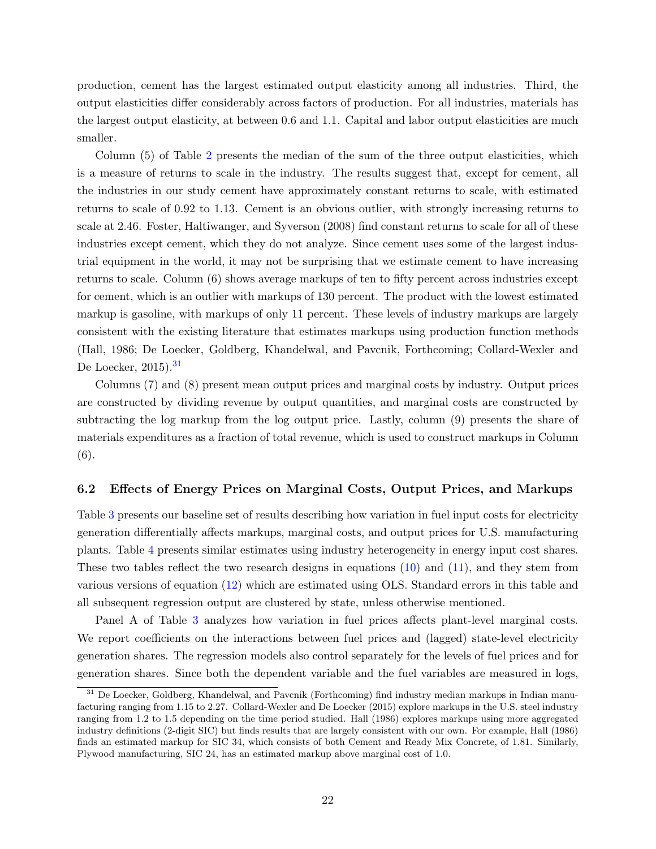production, cement has the largest estimated output elasticity among all industries. Third, the output elasticities differ considerably across factors of production. For all industries, materials has the largest output elasticity, at between 0.6 and 1.1. Capital and labor output elasticities are much smaller.

Column (5) of Table [2](#page-40-0) presents the median of the sum of the three output elasticities, which is a measure of returns to scale in the industry. The results suggest that, except for cement, all the industries in our study cement have approximately constant returns to scale, with estimated returns to scale of 0.92 to 1.13. Cement is an obvious outlier, with strongly increasing returns to scale at 2.46. [Foster, Haltiwanger, and Syverson](#page-32-1) [\(2008\)](#page-32-1) find constant returns to scale for all of these industries except cement, which they do not analyze. Since cement uses some of the largest industrial equipment in the world, it may not be surprising that we estimate cement to have increasing returns to scale. Column (6) shows average markups of ten to fifty percent across industries except for cement, which is an outlier with markups of 130 percent. The product with the lowest estimated markup is gasoline, with markups of only 11 percent. These levels of industry markups are largely consistent with the existing literature that estimates markups using production function methods [\(Hall,](#page-32-0) [1986;](#page-32-0) [De Loecker, Goldberg, Khandelwal, and Pavcnik,](#page-31-2) [Forthcoming;](#page-31-2) [Collard-Wexler and](#page-31-14) [De Loecker,](#page-31-14)  $2015$ .<sup>[31](#page-23-0)</sup>

Columns (7) and (8) present mean output prices and marginal costs by industry. Output prices are constructed by dividing revenue by output quantities, and marginal costs are constructed by subtracting the log markup from the log output price. Lastly, column (9) presents the share of materials expenditures as a fraction of total revenue, which is used to construct markups in Column (6).

#### 6.2 Effects of Energy Prices on Marginal Costs, Output Prices, and Markups

Table [3](#page-41-0) presents our baseline set of results describing how variation in fuel input costs for electricity generation differentially affects markups, marginal costs, and output prices for U.S. manufacturing plants. Table [4](#page-42-0) presents similar estimates using industry heterogeneity in energy input cost shares. These two tables reflect the two research designs in equations [\(10\)](#page-19-0) and [\(11\)](#page-20-1), and they stem from various versions of equation [\(12\)](#page-20-2) which are estimated using OLS. Standard errors in this table and all subsequent regression output are clustered by state, unless otherwise mentioned.

Panel A of Table [3](#page-41-0) analyzes how variation in fuel prices affects plant-level marginal costs. We report coefficients on the interactions between fuel prices and (lagged) state-level electricity generation shares. The regression models also control separately for the levels of fuel prices and for generation shares. Since both the dependent variable and the fuel variables are measured in logs,

<span id="page-23-0"></span><sup>&</sup>lt;sup>31</sup> [De Loecker, Goldberg, Khandelwal, and Pavcnik](#page-31-2) [\(Forthcoming\)](#page-31-2) find industry median markups in Indian manufacturing ranging from 1.15 to 2.27. [Collard-Wexler and De Loecker](#page-31-14) [\(2015\)](#page-31-14) explore markups in the U.S. steel industry ranging from 1.2 to 1.5 depending on the time period studied. [Hall](#page-32-0) [\(1986\)](#page-32-0) explores markups using more aggregated industry definitions (2-digit SIC) but finds results that are largely consistent with our own. For example, [Hall](#page-32-0) [\(1986\)](#page-32-0) finds an estimated markup for SIC 34, which consists of both Cement and Ready Mix Concrete, of 1.81. Similarly, Plywood manufacturing, SIC 24, has an estimated markup above marginal cost of 1.0.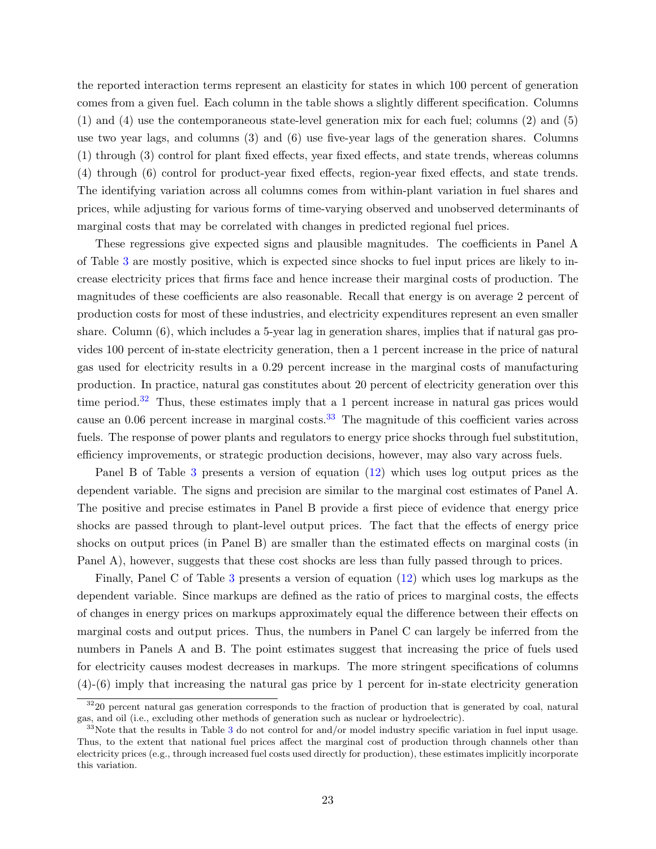the reported interaction terms represent an elasticity for states in which 100 percent of generation comes from a given fuel. Each column in the table shows a slightly different specification. Columns (1) and (4) use the contemporaneous state-level generation mix for each fuel; columns (2) and (5) use two year lags, and columns (3) and (6) use five-year lags of the generation shares. Columns (1) through (3) control for plant fixed effects, year fixed effects, and state trends, whereas columns (4) through (6) control for product-year fixed effects, region-year fixed effects, and state trends. The identifying variation across all columns comes from within-plant variation in fuel shares and prices, while adjusting for various forms of time-varying observed and unobserved determinants of marginal costs that may be correlated with changes in predicted regional fuel prices.

These regressions give expected signs and plausible magnitudes. The coefficients in Panel A of Table [3](#page-41-0) are mostly positive, which is expected since shocks to fuel input prices are likely to increase electricity prices that firms face and hence increase their marginal costs of production. The magnitudes of these coefficients are also reasonable. Recall that energy is on average 2 percent of production costs for most of these industries, and electricity expenditures represent an even smaller share. Column (6), which includes a 5-year lag in generation shares, implies that if natural gas provides 100 percent of in-state electricity generation, then a 1 percent increase in the price of natural gas used for electricity results in a 0.29 percent increase in the marginal costs of manufacturing production. In practice, natural gas constitutes about 20 percent of electricity generation over this time period.<sup>[32](#page-24-0)</sup> Thus, these estimates imply that a 1 percent increase in natural gas prices would cause an  $0.06$  percent increase in marginal costs.<sup>[33](#page-24-1)</sup> The magnitude of this coefficient varies across fuels. The response of power plants and regulators to energy price shocks through fuel substitution, efficiency improvements, or strategic production decisions, however, may also vary across fuels.

Panel B of Table [3](#page-41-0) presents a version of equation [\(12\)](#page-20-2) which uses log output prices as the dependent variable. The signs and precision are similar to the marginal cost estimates of Panel A. The positive and precise estimates in Panel B provide a first piece of evidence that energy price shocks are passed through to plant-level output prices. The fact that the effects of energy price shocks on output prices (in Panel B) are smaller than the estimated effects on marginal costs (in Panel A), however, suggests that these cost shocks are less than fully passed through to prices.

Finally, Panel C of Table [3](#page-41-0) presents a version of equation [\(12\)](#page-20-2) which uses log markups as the dependent variable. Since markups are defined as the ratio of prices to marginal costs, the effects of changes in energy prices on markups approximately equal the difference between their effects on marginal costs and output prices. Thus, the numbers in Panel C can largely be inferred from the numbers in Panels A and B. The point estimates suggest that increasing the price of fuels used for electricity causes modest decreases in markups. The more stringent specifications of columns (4)-(6) imply that increasing the natural gas price by 1 percent for in-state electricity generation

<span id="page-24-0"></span> $3220$  percent natural gas generation corresponds to the fraction of production that is generated by coal, natural gas, and oil (i.e., excluding other methods of generation such as nuclear or hydroelectric).

<span id="page-24-1"></span> $33$  $33$ Note that the results in Table 3 do not control for and/or model industry specific variation in fuel input usage. Thus, to the extent that national fuel prices affect the marginal cost of production through channels other than electricity prices (e.g., through increased fuel costs used directly for production), these estimates implicitly incorporate this variation.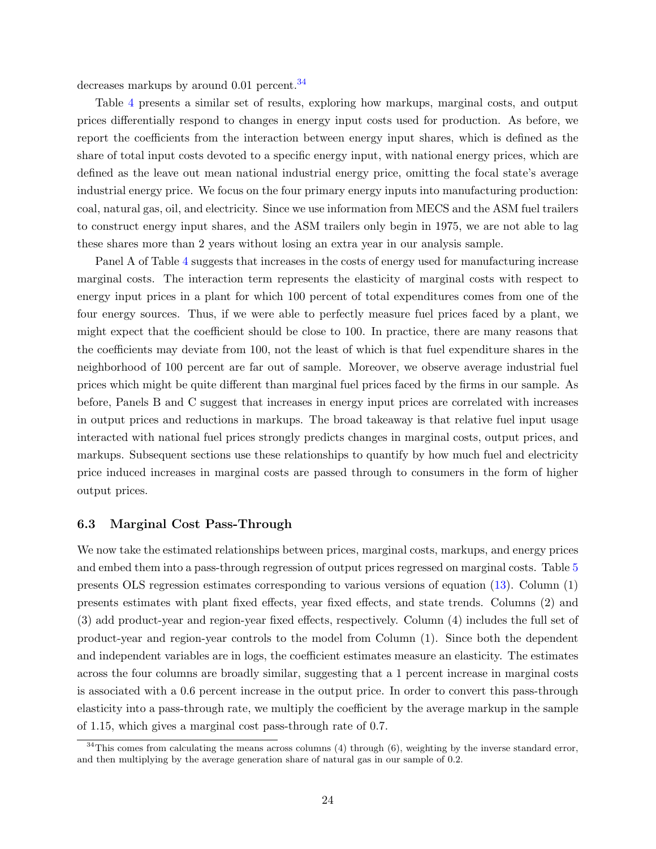decreases markups by around 0.01 percent.<sup>[34](#page-25-0)</sup>

Table [4](#page-42-0) presents a similar set of results, exploring how markups, marginal costs, and output prices differentially respond to changes in energy input costs used for production. As before, we report the coefficients from the interaction between energy input shares, which is defined as the share of total input costs devoted to a specific energy input, with national energy prices, which are defined as the leave out mean national industrial energy price, omitting the focal state's average industrial energy price. We focus on the four primary energy inputs into manufacturing production: coal, natural gas, oil, and electricity. Since we use information from MECS and the ASM fuel trailers to construct energy input shares, and the ASM trailers only begin in 1975, we are not able to lag these shares more than 2 years without losing an extra year in our analysis sample.

Panel A of Table [4](#page-42-0) suggests that increases in the costs of energy used for manufacturing increase marginal costs. The interaction term represents the elasticity of marginal costs with respect to energy input prices in a plant for which 100 percent of total expenditures comes from one of the four energy sources. Thus, if we were able to perfectly measure fuel prices faced by a plant, we might expect that the coefficient should be close to 100. In practice, there are many reasons that the coefficients may deviate from 100, not the least of which is that fuel expenditure shares in the neighborhood of 100 percent are far out of sample. Moreover, we observe average industrial fuel prices which might be quite different than marginal fuel prices faced by the firms in our sample. As before, Panels B and C suggest that increases in energy input prices are correlated with increases in output prices and reductions in markups. The broad takeaway is that relative fuel input usage interacted with national fuel prices strongly predicts changes in marginal costs, output prices, and markups. Subsequent sections use these relationships to quantify by how much fuel and electricity price induced increases in marginal costs are passed through to consumers in the form of higher output prices.

#### 6.3 Marginal Cost Pass-Through

We now take the estimated relationships between prices, marginal costs, markups, and energy prices and embed them into a pass-through regression of output prices regressed on marginal costs. Table [5](#page-43-0) presents OLS regression estimates corresponding to various versions of equation [\(13\)](#page-21-0). Column (1) presents estimates with plant fixed effects, year fixed effects, and state trends. Columns (2) and (3) add product-year and region-year fixed effects, respectively. Column (4) includes the full set of product-year and region-year controls to the model from Column (1). Since both the dependent and independent variables are in logs, the coefficient estimates measure an elasticity. The estimates across the four columns are broadly similar, suggesting that a 1 percent increase in marginal costs is associated with a 0.6 percent increase in the output price. In order to convert this pass-through elasticity into a pass-through rate, we multiply the coefficient by the average markup in the sample of 1.15, which gives a marginal cost pass-through rate of 0.7.

<span id="page-25-0"></span> $34$ This comes from calculating the means across columns (4) through (6), weighting by the inverse standard error, and then multiplying by the average generation share of natural gas in our sample of 0.2.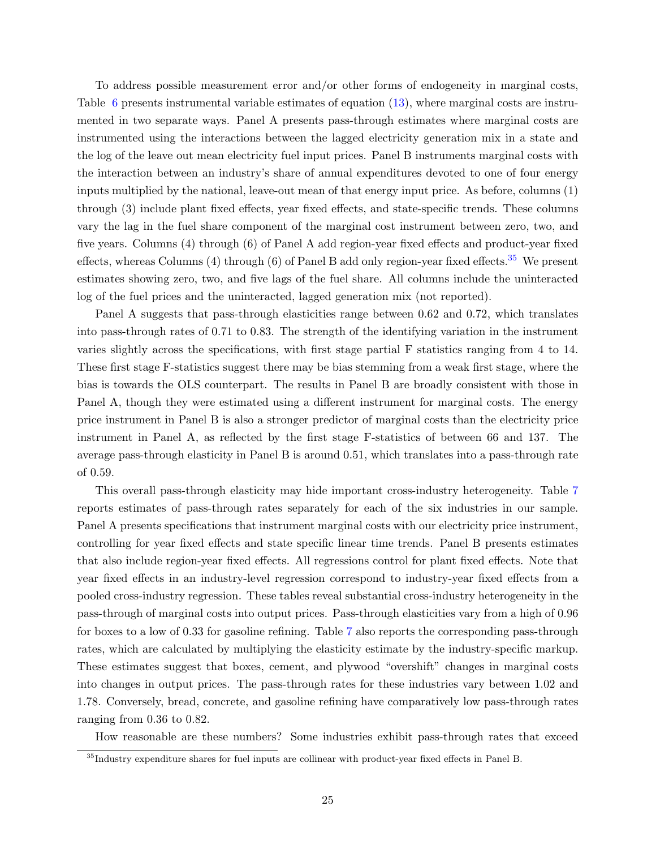To address possible measurement error and/or other forms of endogeneity in marginal costs, Table [6](#page-44-0) presents instrumental variable estimates of equation [\(13\)](#page-21-0), where marginal costs are instrumented in two separate ways. Panel A presents pass-through estimates where marginal costs are instrumented using the interactions between the lagged electricity generation mix in a state and the log of the leave out mean electricity fuel input prices. Panel B instruments marginal costs with the interaction between an industry's share of annual expenditures devoted to one of four energy inputs multiplied by the national, leave-out mean of that energy input price. As before, columns (1) through (3) include plant fixed effects, year fixed effects, and state-specific trends. These columns vary the lag in the fuel share component of the marginal cost instrument between zero, two, and five years. Columns (4) through (6) of Panel A add region-year fixed effects and product-year fixed effects, whereas Columns (4) through (6) of Panel B add only region-year fixed effects.<sup>[35](#page-26-0)</sup> We present estimates showing zero, two, and five lags of the fuel share. All columns include the uninteracted log of the fuel prices and the uninteracted, lagged generation mix (not reported).

Panel A suggests that pass-through elasticities range between 0.62 and 0.72, which translates into pass-through rates of 0.71 to 0.83. The strength of the identifying variation in the instrument varies slightly across the specifications, with first stage partial F statistics ranging from 4 to 14. These first stage F-statistics suggest there may be bias stemming from a weak first stage, where the bias is towards the OLS counterpart. The results in Panel B are broadly consistent with those in Panel A, though they were estimated using a different instrument for marginal costs. The energy price instrument in Panel B is also a stronger predictor of marginal costs than the electricity price instrument in Panel A, as reflected by the first stage F-statistics of between 66 and 137. The average pass-through elasticity in Panel B is around 0.51, which translates into a pass-through rate of 0.59.

This overall pass-through elasticity may hide important cross-industry heterogeneity. Table [7](#page-45-0) reports estimates of pass-through rates separately for each of the six industries in our sample. Panel A presents specifications that instrument marginal costs with our electricity price instrument, controlling for year fixed effects and state specific linear time trends. Panel B presents estimates that also include region-year fixed effects. All regressions control for plant fixed effects. Note that year fixed effects in an industry-level regression correspond to industry-year fixed effects from a pooled cross-industry regression. These tables reveal substantial cross-industry heterogeneity in the pass-through of marginal costs into output prices. Pass-through elasticities vary from a high of 0.96 for boxes to a low of 0.33 for gasoline refining. Table [7](#page-45-0) also reports the corresponding pass-through rates, which are calculated by multiplying the elasticity estimate by the industry-specific markup. These estimates suggest that boxes, cement, and plywood "overshift" changes in marginal costs into changes in output prices. The pass-through rates for these industries vary between 1.02 and 1.78. Conversely, bread, concrete, and gasoline refining have comparatively low pass-through rates ranging from 0.36 to 0.82.

How reasonable are these numbers? Some industries exhibit pass-through rates that exceed

<span id="page-26-0"></span><sup>35</sup>Industry expenditure shares for fuel inputs are collinear with product-year fixed effects in Panel B.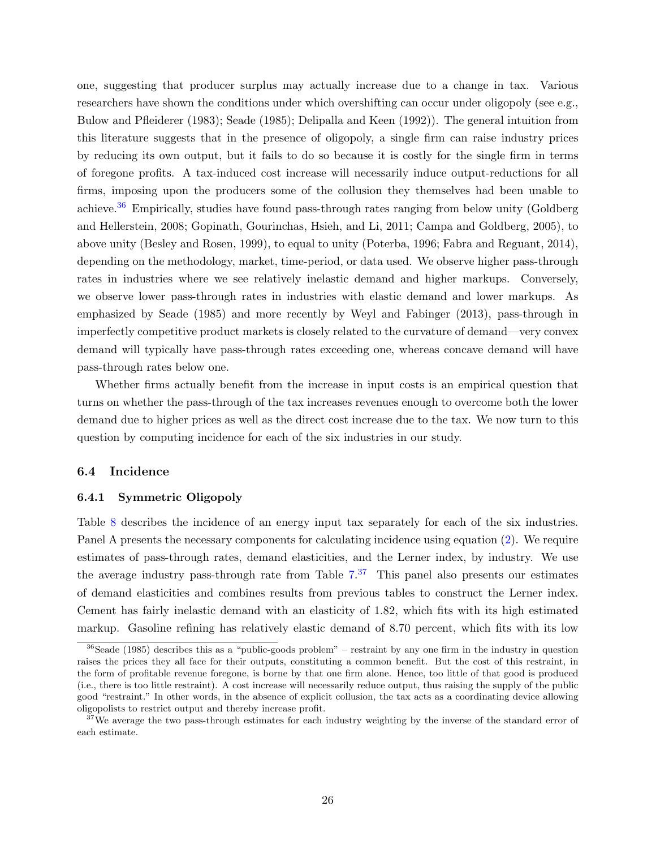one, suggesting that producer surplus may actually increase due to a change in tax. Various researchers have shown the conditions under which overshifting can occur under oligopoly (see e.g., [Bulow and Pfleiderer](#page-31-15) [\(1983\)](#page-31-15); [Seade](#page-34-8) [\(1985\)](#page-34-8); [Delipalla and Keen](#page-32-16) [\(1992\)](#page-32-16)). The general intuition from this literature suggests that in the presence of oligopoly, a single firm can raise industry prices by reducing its own output, but it fails to do so because it is costly for the single firm in terms of foregone profits. A tax-induced cost increase will necessarily induce output-reductions for all firms, imposing upon the producers some of the collusion they themselves had been unable to achieve.[36](#page-27-0) Empirically, studies have found pass-through rates ranging from below unity [\(Goldberg](#page-32-8) [and Hellerstein,](#page-32-8) [2008;](#page-32-8) [Gopinath, Gourinchas, Hsieh, and Li,](#page-32-9) [2011;](#page-32-9) [Campa and Goldberg,](#page-31-7) [2005\)](#page-31-7), to above unity [\(Besley and Rosen,](#page-31-16) [1999\)](#page-31-16), to equal to unity [\(Poterba,](#page-33-6) [1996;](#page-33-6) [Fabra and Reguant,](#page-32-7) [2014\)](#page-32-7), depending on the methodology, market, time-period, or data used. We observe higher pass-through rates in industries where we see relatively inelastic demand and higher markups. Conversely, we observe lower pass-through rates in industries with elastic demand and lower markups. As emphasized by [Seade](#page-34-8) [\(1985\)](#page-34-8) and more recently by [Weyl and Fabinger](#page-34-0) [\(2013\)](#page-34-0), pass-through in imperfectly competitive product markets is closely related to the curvature of demand—very convex demand will typically have pass-through rates exceeding one, whereas concave demand will have pass-through rates below one.

Whether firms actually benefit from the increase in input costs is an empirical question that turns on whether the pass-through of the tax increases revenues enough to overcome both the lower demand due to higher prices as well as the direct cost increase due to the tax. We now turn to this question by computing incidence for each of the six industries in our study.

#### 6.4 Incidence

#### 6.4.1 Symmetric Oligopoly

Table [8](#page-46-0) describes the incidence of an energy input tax separately for each of the six industries. Panel A presents the necessary components for calculating incidence using equation [\(2\)](#page-11-2). We require estimates of pass-through rates, demand elasticities, and the Lerner index, by industry. We use the average industry pass-through rate from Table  $7<sup>37</sup>$  $7<sup>37</sup>$  $7<sup>37</sup>$  This panel also presents our estimates of demand elasticities and combines results from previous tables to construct the Lerner index. Cement has fairly inelastic demand with an elasticity of 1.82, which fits with its high estimated markup. Gasoline refining has relatively elastic demand of 8.70 percent, which fits with its low

<span id="page-27-0"></span> $36$ [Seade](#page-34-8) [\(1985\)](#page-34-8) describes this as a "public-goods problem" – restraint by any one firm in the industry in question raises the prices they all face for their outputs, constituting a common benefit. But the cost of this restraint, in the form of profitable revenue foregone, is borne by that one firm alone. Hence, too little of that good is produced (i.e., there is too little restraint). A cost increase will necessarily reduce output, thus raising the supply of the public good "restraint." In other words, in the absence of explicit collusion, the tax acts as a coordinating device allowing oligopolists to restrict output and thereby increase profit.

<span id="page-27-1"></span><sup>&</sup>lt;sup>37</sup>We average the two pass-through estimates for each industry weighting by the inverse of the standard error of each estimate.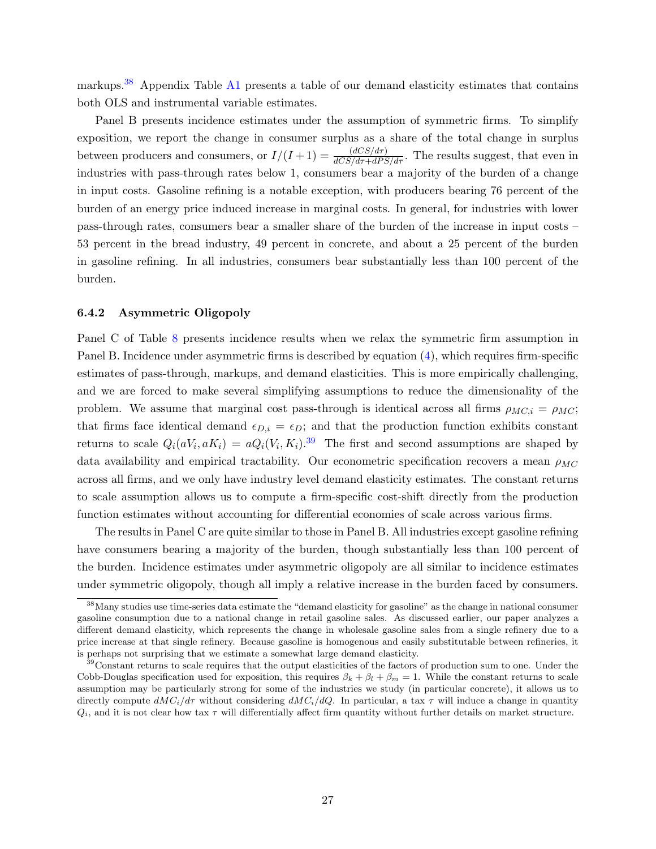markups.[38](#page-28-0) Appendix Table [A1](#page-47-0) presents a table of our demand elasticity estimates that contains both OLS and instrumental variable estimates.

Panel B presents incidence estimates under the assumption of symmetric firms. To simplify exposition, we report the change in consumer surplus as a share of the total change in surplus between producers and consumers, or  $I/(I+1) = \frac{(dCS/d\tau)}{dCS/d\tau + dPS/d\tau}$ . The results suggest, that even in industries with pass-through rates below 1, consumers bear a majority of the burden of a change in input costs. Gasoline refining is a notable exception, with producers bearing 76 percent of the burden of an energy price induced increase in marginal costs. In general, for industries with lower pass-through rates, consumers bear a smaller share of the burden of the increase in input costs – 53 percent in the bread industry, 49 percent in concrete, and about a 25 percent of the burden in gasoline refining. In all industries, consumers bear substantially less than 100 percent of the burden.

#### <span id="page-28-2"></span>6.4.2 Asymmetric Oligopoly

Panel C of Table [8](#page-46-0) presents incidence results when we relax the symmetric firm assumption in Panel B. Incidence under asymmetric firms is described by equation [\(4\)](#page-12-2), which requires firm-specific estimates of pass-through, markups, and demand elasticities. This is more empirically challenging, and we are forced to make several simplifying assumptions to reduce the dimensionality of the problem. We assume that marginal cost pass-through is identical across all firms  $\rho_{MC,i} = \rho_{MC}$ ; that firms face identical demand  $\epsilon_{D,i} = \epsilon_D$ ; and that the production function exhibits constant returns to scale  $Q_i(aV_i, aK_i) = aQ_i(V_i, K_i).^{39}$  $Q_i(aV_i, aK_i) = aQ_i(V_i, K_i).^{39}$  $Q_i(aV_i, aK_i) = aQ_i(V_i, K_i).^{39}$  The first and second assumptions are shaped by data availability and empirical tractability. Our econometric specification recovers a mean  $\rho_{MC}$ across all firms, and we only have industry level demand elasticity estimates. The constant returns to scale assumption allows us to compute a firm-specific cost-shift directly from the production function estimates without accounting for differential economies of scale across various firms.

The results in Panel C are quite similar to those in Panel B. All industries except gasoline refining have consumers bearing a majority of the burden, though substantially less than 100 percent of the burden. Incidence estimates under asymmetric oligopoly are all similar to incidence estimates under symmetric oligopoly, though all imply a relative increase in the burden faced by consumers.

<span id="page-28-0"></span><sup>38</sup>Many studies use time-series data estimate the "demand elasticity for gasoline" as the change in national consumer gasoline consumption due to a national change in retail gasoline sales. As discussed earlier, our paper analyzes a different demand elasticity, which represents the change in wholesale gasoline sales from a single refinery due to a price increase at that single refinery. Because gasoline is homogenous and easily substitutable between refineries, it is perhaps not surprising that we estimate a somewhat large demand elasticity.

<span id="page-28-1"></span><sup>&</sup>lt;sup>39</sup>Constant returns to scale requires that the output elasticities of the factors of production sum to one. Under the Cobb-Douglas specification used for exposition, this requires  $\beta_k + \beta_l + \beta_m = 1$ . While the constant returns to scale assumption may be particularly strong for some of the industries we study (in particular concrete), it allows us to directly compute  $dMC_i/d\tau$  without considering  $dMC_i/dQ$ . In particular, a tax  $\tau$  will induce a change in quantity  $Q_i$ , and it is not clear how tax  $\tau$  will differentially affect firm quantity without further details on market structure.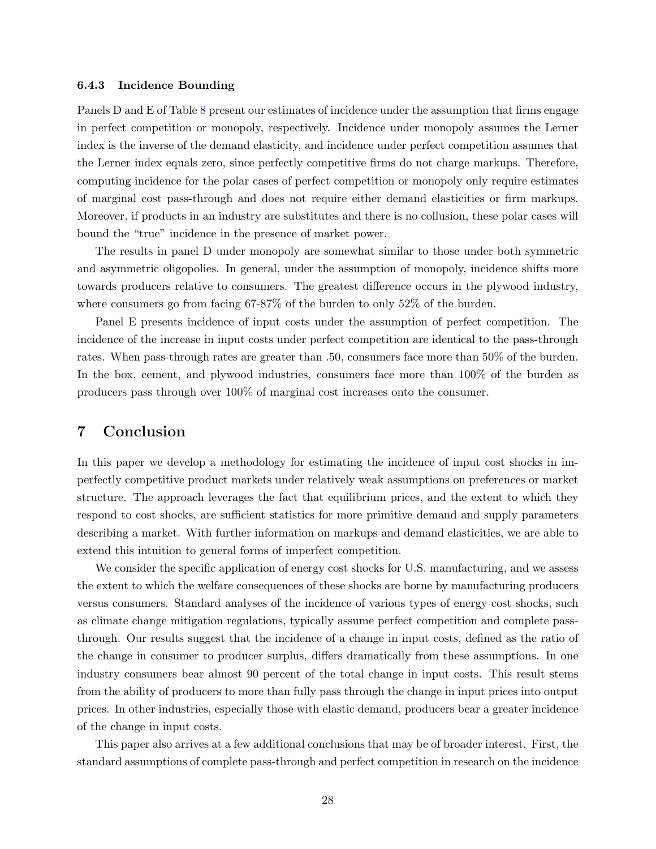#### 6.4.3 Incidence Bounding

Panels D and E of Table [8](#page-46-0) present our estimates of incidence under the assumption that firms engage in perfect competition or monopoly, respectively. Incidence under monopoly assumes the Lerner index is the inverse of the demand elasticity, and incidence under perfect competition assumes that the Lerner index equals zero, since perfectly competitive firms do not charge markups. Therefore, computing incidence for the polar cases of perfect competition or monopoly only require estimates of marginal cost pass-through and does not require either demand elasticities or firm markups. Moreover, if products in an industry are substitutes and there is no collusion, these polar cases will bound the "true" incidence in the presence of market power.

The results in panel D under monopoly are somewhat similar to those under both symmetric and asymmetric oligopolies. In general, under the assumption of monopoly, incidence shifts more towards producers relative to consumers. The greatest difference occurs in the plywood industry, where consumers go from facing 67-87% of the burden to only 52% of the burden.

Panel E presents incidence of input costs under the assumption of perfect competition. The incidence of the increase in input costs under perfect competition are identical to the pass-through rates. When pass-through rates are greater than .50, consumers face more than 50% of the burden. In the box, cement, and plywood industries, consumers face more than 100% of the burden as producers pass through over 100% of marginal cost increases onto the consumer.

### <span id="page-29-0"></span>7 Conclusion

In this paper we develop a methodology for estimating the incidence of input cost shocks in imperfectly competitive product markets under relatively weak assumptions on preferences or market structure. The approach leverages the fact that equilibrium prices, and the extent to which they respond to cost shocks, are sufficient statistics for more primitive demand and supply parameters describing a market. With further information on markups and demand elasticities, we are able to extend this intuition to general forms of imperfect competition.

We consider the specific application of energy cost shocks for U.S. manufacturing, and we assess the extent to which the welfare consequences of these shocks are borne by manufacturing producers versus consumers. Standard analyses of the incidence of various types of energy cost shocks, such as climate change mitigation regulations, typically assume perfect competition and complete passthrough. Our results suggest that the incidence of a change in input costs, defined as the ratio of the change in consumer to producer surplus, differs dramatically from these assumptions. In one industry consumers bear almost 90 percent of the total change in input costs. This result stems from the ability of producers to more than fully pass through the change in input prices into output prices. In other industries, especially those with elastic demand, producers bear a greater incidence of the change in input costs.

This paper also arrives at a few additional conclusions that may be of broader interest. First, the standard assumptions of complete pass-through and perfect competition in research on the incidence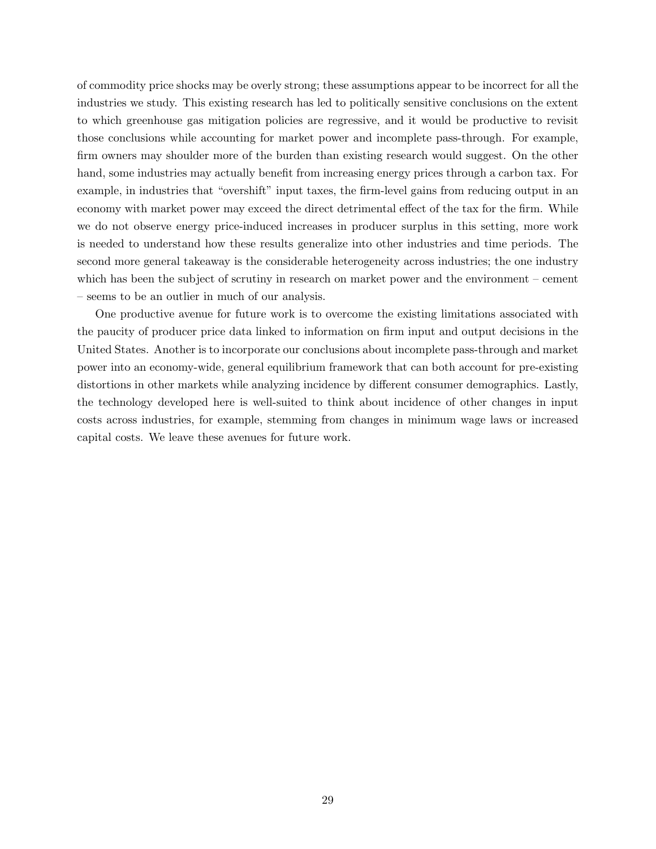of commodity price shocks may be overly strong; these assumptions appear to be incorrect for all the industries we study. This existing research has led to politically sensitive conclusions on the extent to which greenhouse gas mitigation policies are regressive, and it would be productive to revisit those conclusions while accounting for market power and incomplete pass-through. For example, firm owners may shoulder more of the burden than existing research would suggest. On the other hand, some industries may actually benefit from increasing energy prices through a carbon tax. For example, in industries that "overshift" input taxes, the firm-level gains from reducing output in an economy with market power may exceed the direct detrimental effect of the tax for the firm. While we do not observe energy price-induced increases in producer surplus in this setting, more work is needed to understand how these results generalize into other industries and time periods. The second more general takeaway is the considerable heterogeneity across industries; the one industry which has been the subject of scrutiny in research on market power and the environment – cement – seems to be an outlier in much of our analysis.

One productive avenue for future work is to overcome the existing limitations associated with the paucity of producer price data linked to information on firm input and output decisions in the United States. Another is to incorporate our conclusions about incomplete pass-through and market power into an economy-wide, general equilibrium framework that can both account for pre-existing distortions in other markets while analyzing incidence by different consumer demographics. Lastly, the technology developed here is well-suited to think about incidence of other changes in input costs across industries, for example, stemming from changes in minimum wage laws or increased capital costs. We leave these avenues for future work.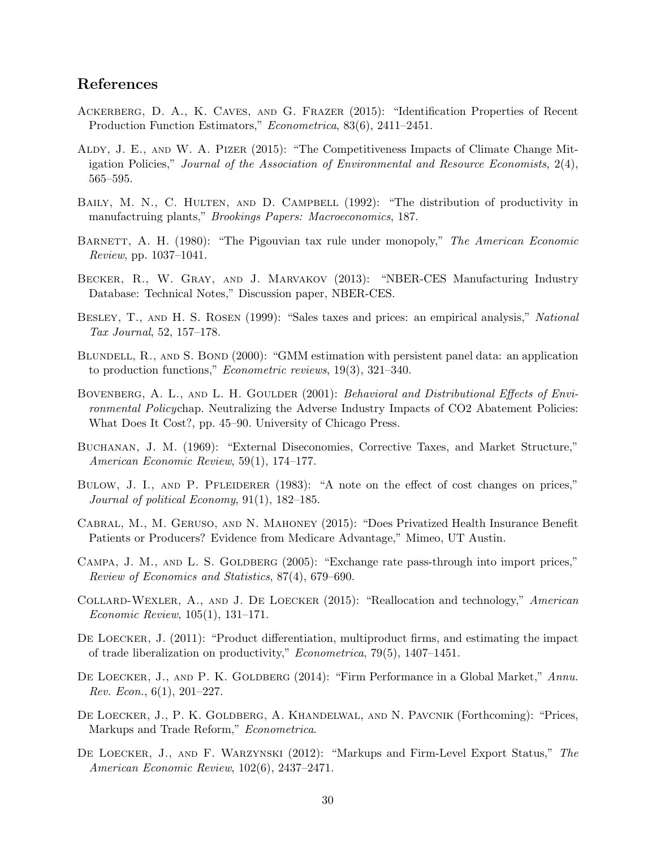## <span id="page-31-17"></span>References

- <span id="page-31-1"></span>Ackerberg, D. A., K. Caves, and G. Frazer (2015): "Identification Properties of Recent Production Function Estimators," Econometrica, 83(6), 2411–2451.
- <span id="page-31-6"></span>Aldy, J. E., and W. A. Pizer (2015): "The Competitiveness Impacts of Climate Change Mitigation Policies," Journal of the Association of Environmental and Resource Economists, 2(4), 565–595.
- <span id="page-31-10"></span>BAILY, M. N., C. HULTEN, AND D. CAMPBELL (1992): "The distribution of productivity in manufactruing plants," Brookings Papers: Macroeconomics, 187.
- <span id="page-31-5"></span>BARNETT, A. H. (1980): "The Pigouvian tax rule under monopoly," The American Economic Review, pp. 1037–1041.
- <span id="page-31-9"></span>Becker, R., W. Gray, and J. Marvakov (2013): "NBER-CES Manufacturing Industry Database: Technical Notes," Discussion paper, NBER-CES.
- <span id="page-31-16"></span>BESLEY, T., AND H. S. ROSEN (1999): "Sales taxes and prices: an empirical analysis," National Tax Journal, 52, 157–178.
- <span id="page-31-12"></span>BLUNDELL, R., AND S. BOND (2000): "GMM estimation with persistent panel data: an application to production functions," Econometric reviews, 19(3), 321–340.
- <span id="page-31-3"></span>BOVENBERG, A. L., AND L. H. GOULDER (2001): Behavioral and Distributional Effects of Environmental Policychap. Neutralizing the Adverse Industry Impacts of CO2 Abatement Policies: What Does It Cost?, pp. 45–90. University of Chicago Press.
- <span id="page-31-4"></span>Buchanan, J. M. (1969): "External Diseconomies, Corrective Taxes, and Market Structure," American Economic Review, 59(1), 174–177.
- <span id="page-31-15"></span>BULOW, J. I., AND P. PFLEIDERER (1983): "A note on the effect of cost changes on prices," Journal of political Economy, 91(1), 182–185.
- <span id="page-31-8"></span>Cabral, M., M. Geruso, and N. Mahoney (2015): "Does Privatized Health Insurance Benefit Patients or Producers? Evidence from Medicare Advantage," Mimeo, UT Austin.
- <span id="page-31-7"></span>CAMPA, J. M., AND L. S. GOLDBERG (2005): "Exchange rate pass-through into import prices," Review of Economics and Statistics, 87(4), 679–690.
- <span id="page-31-14"></span>Collard-Wexler, A., and J. De Loecker (2015): "Reallocation and technology," American Economic Review, 105(1), 131–171.
- <span id="page-31-13"></span>DE LOECKER, J. (2011): "Product differentiation, multiproduct firms, and estimating the impact of trade liberalization on productivity," Econometrica, 79(5), 1407–1451.
- <span id="page-31-11"></span>DE LOECKER, J., AND P. K. GOLDBERG (2014): "Firm Performance in a Global Market," Annu. Rev. Econ.,  $6(1)$ ,  $201-227$ .
- <span id="page-31-2"></span>De Loecker, J., P. K. Goldberg, A. Khandelwal, and N. Pavcnik (Forthcoming): "Prices, Markups and Trade Reform," Econometrica.
- <span id="page-31-0"></span>DE LOECKER, J., AND F. WARZYNSKI (2012): "Markups and Firm-Level Export Status," The American Economic Review, 102(6), 2437–2471.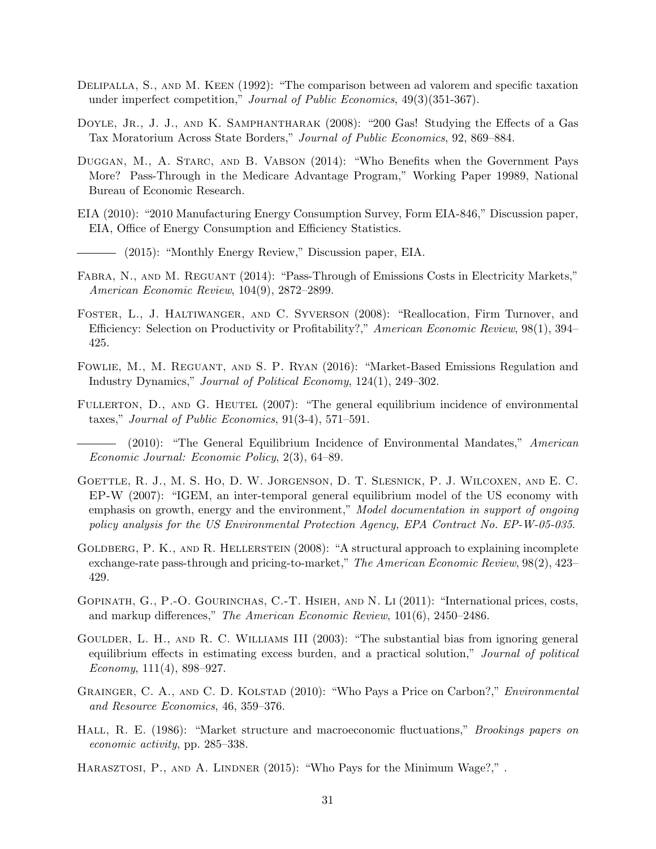- <span id="page-32-16"></span>DELIPALLA, S., AND M. KEEN (1992): "The comparison between ad valorem and specific taxation under imperfect competition," Journal of Public Economics, 49(3)(351-367).
- <span id="page-32-6"></span>DOYLE, JR., J. J., AND K. SAMPHANTHARAK (2008): "200 Gas! Studying the Effects of a Gas Tax Moratorium Across State Borders," Journal of Public Economics, 92, 869–884.
- <span id="page-32-10"></span>Duggan, M., A. Starc, and B. Vabson (2014): "Who Benefits when the Government Pays More? Pass-Through in the Medicare Advantage Program," Working Paper 19989, National Bureau of Economic Research.
- <span id="page-32-14"></span>EIA (2010): "2010 Manufacturing Energy Consumption Survey, Form EIA-846," Discussion paper, EIA, Office of Energy Consumption and Efficiency Statistics.
- <span id="page-32-13"></span>(2015): "Monthly Energy Review," Discussion paper, EIA.
- <span id="page-32-7"></span>FABRA, N., AND M. REGUANT (2014): "Pass-Through of Emissions Costs in Electricity Markets," American Economic Review, 104(9), 2872–2899.
- <span id="page-32-1"></span>Foster, L., J. Haltiwanger, and C. Syverson (2008): "Reallocation, Firm Turnover, and Efficiency: Selection on Productivity or Profitability?," American Economic Review, 98(1), 394– 425.
- <span id="page-32-5"></span>Fowlie, M., M. Reguant, and S. P. Ryan (2016): "Market-Based Emissions Regulation and Industry Dynamics," Journal of Political Economy, 124(1), 249–302.
- <span id="page-32-2"></span>FULLERTON, D., AND G. HEUTEL (2007): "The general equilibrium incidence of environmental taxes," Journal of Public Economics, 91(3-4), 571–591.

<span id="page-32-4"></span>(2010): "The General Equilibrium Incidence of Environmental Mandates," American Economic Journal: Economic Policy, 2(3), 64–89.

- <span id="page-32-12"></span>Goettle, R. J., M. S. Ho, D. W. Jorgenson, D. T. Slesnick, P. J. Wilcoxen, and E. C. EP-W (2007): "IGEM, an inter-temporal general equilibrium model of the US economy with emphasis on growth, energy and the environment," Model documentation in support of ongoing policy analysis for the US Environmental Protection Agency, EPA Contract No. EP-W-05-035.
- <span id="page-32-8"></span>GOLDBERG, P. K., AND R. HELLERSTEIN (2008): "A structural approach to explaining incomplete exchange-rate pass-through and pricing-to-market," The American Economic Review, 98(2), 423– 429.
- <span id="page-32-9"></span>Gopinath, G., P.-O. Gourinchas, C.-T. Hsieh, and N. Li (2011): "International prices, costs, and markup differences," The American Economic Review, 101(6), 2450–2486.
- <span id="page-32-15"></span>GOULDER, L. H., AND R. C. WILLIAMS III (2003): "The substantial bias from ignoring general equilibrium effects in estimating excess burden, and a practical solution," Journal of political Economy,  $111(4)$ , 898–927.
- <span id="page-32-3"></span>GRAINGER, C. A., AND C. D. KOLSTAD (2010): "Who Pays a Price on Carbon?," *Environmental* and Resource Economics, 46, 359–376.
- <span id="page-32-0"></span>HALL, R. E. (1986): "Market structure and macroeconomic fluctuations," *Brookings papers on* economic activity, pp. 285–338.
- <span id="page-32-11"></span>HARASZTOSI, P., AND A. LINDNER (2015): "Who Pays for the Minimum Wage?,".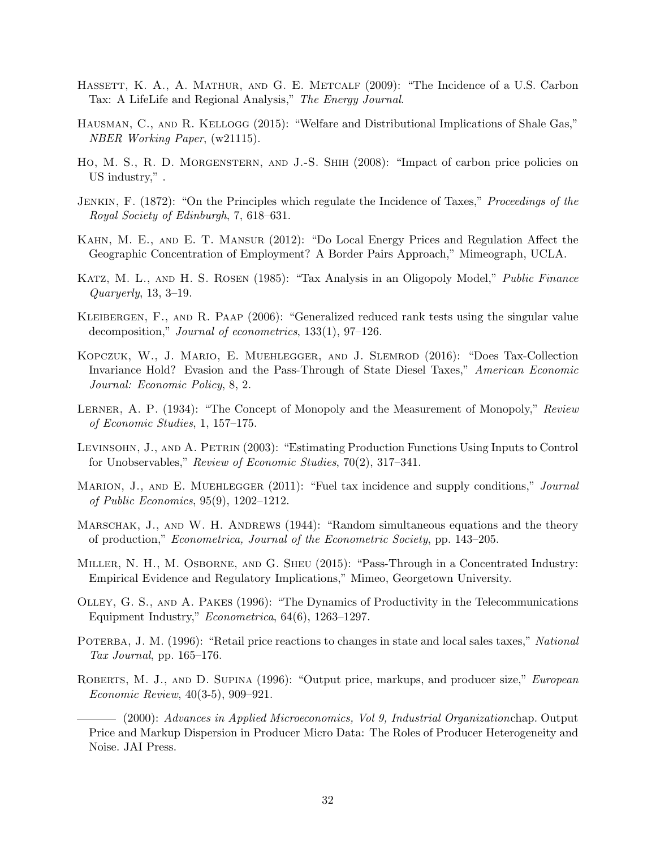- <span id="page-33-1"></span>HASSETT, K. A., A. MATHUR, AND G. E. METCALF (2009): "The Incidence of a U.S. Carbon Tax: A LifeLife and Regional Analysis," The Energy Journal.
- <span id="page-33-8"></span>HAUSMAN, C., AND R. KELLOGG (2015): "Welfare and Distributional Implications of Shale Gas," NBER Working Paper, (w21115).
- <span id="page-33-7"></span>Ho, M. S., R. D. Morgenstern, and J.-S. Shih (2008): "Impact of carbon price policies on US industry," .
- <span id="page-33-0"></span>Jenkin, F. (1872): "On the Principles which regulate the Incidence of Taxes," Proceedings of the Royal Society of Edinburgh, 7, 618–631.
- <span id="page-33-5"></span>Kahn, M. E., and E. T. Mansur (2012): "Do Local Energy Prices and Regulation Affect the Geographic Concentration of Employment? A Border Pairs Approach," Mimeograph, UCLA.
- <span id="page-33-9"></span>Katz, M. L., and H. S. Rosen (1985): "Tax Analysis in an Oligopoly Model," Public Finance Quaryerly, 13, 3–19.
- Kleibergen, F., and R. Paap (2006): "Generalized reduced rank tests using the singular value decomposition," Journal of econometrics, 133(1), 97–126.
- <span id="page-33-3"></span>Kopczuk, W., J. Mario, E. Muehlegger, and J. Slemrod (2016): "Does Tax-Collection Invariance Hold? Evasion and the Pass-Through of State Diesel Taxes," American Economic Journal: Economic Policy, 8, 2.
- <span id="page-33-10"></span>LERNER, A. P. (1934): "The Concept of Monopoly and the Measurement of Monopoly," Review of Economic Studies, 1, 157–175.
- <span id="page-33-14"></span>Levinsohn, J., and A. Petrin (2003): "Estimating Production Functions Using Inputs to Control for Unobservables," Review of Economic Studies, 70(2), 317–341.
- <span id="page-33-2"></span>MARION, J., AND E. MUEHLEGGER (2011): "Fuel tax incidence and supply conditions," Journal of Public Economics, 95(9), 1202–1212.
- <span id="page-33-15"></span>MARSCHAK, J., AND W. H. ANDREWS (1944): "Random simultaneous equations and the theory of production," Econometrica, Journal of the Econometric Society, pp. 143–205.
- <span id="page-33-4"></span>MILLER, N. H., M. OSBORNE, AND G. SHEU (2015): "Pass-Through in a Concentrated Industry: Empirical Evidence and Regulatory Implications," Mimeo, Georgetown University.
- <span id="page-33-13"></span>Olley, G. S., and A. Pakes (1996): "The Dynamics of Productivity in the Telecommunications Equipment Industry," Econometrica, 64(6), 1263–1297.
- <span id="page-33-6"></span>POTERBA, J. M. (1996): "Retail price reactions to changes in state and local sales taxes," National Tax Journal, pp.  $165-176$ .
- <span id="page-33-11"></span>ROBERTS, M. J., AND D. SUPINA (1996): "Output price, markups, and producer size," *European* Economic Review, 40(3-5), 909–921.

<span id="page-33-12"></span>(2000): Advances in Applied Microeconomics, Vol 9, Industrial Organizationchap. Output Price and Markup Dispersion in Producer Micro Data: The Roles of Producer Heterogeneity and Noise. JAI Press.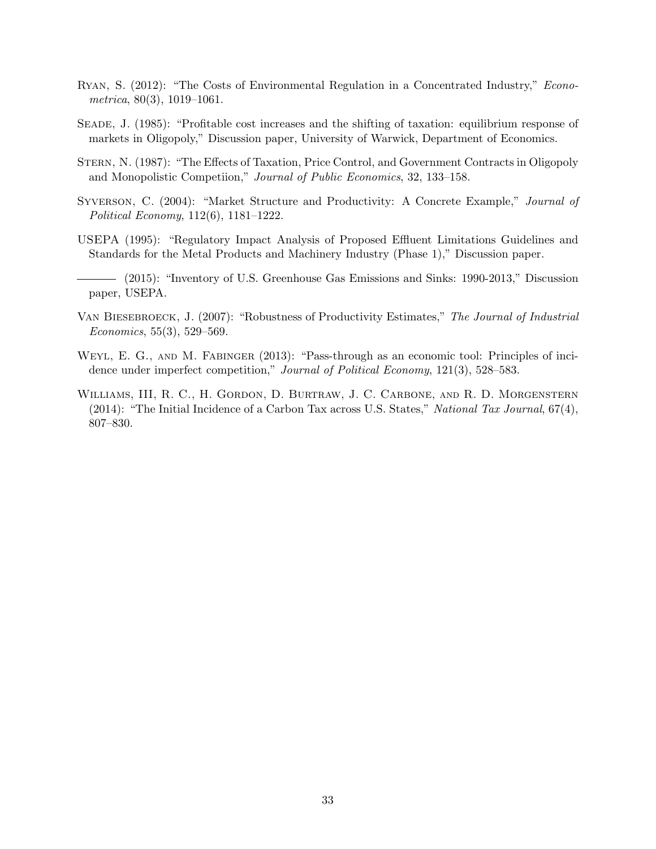- <span id="page-34-3"></span>Ryan, S. (2012): "The Costs of Environmental Regulation in a Concentrated Industry," Econometrica, 80(3), 1019–1061.
- <span id="page-34-8"></span>Seade, J. (1985): "Profitable cost increases and the shifting of taxation: equilibrium response of markets in Oligopoly," Discussion paper, University of Warwick, Department of Economics.
- <span id="page-34-5"></span>Stern, N. (1987): "The Effects of Taxation, Price Control, and Government Contracts in Oligopoly and Monopolistic Competiion," Journal of Public Economics, 32, 133–158.
- <span id="page-34-6"></span>SYVERSON, C. (2004): "Market Structure and Productivity: A Concrete Example," Journal of Political Economy, 112(6), 1181–1222.
- <span id="page-34-2"></span>USEPA (1995): "Regulatory Impact Analysis of Proposed Effluent Limitations Guidelines and Standards for the Metal Products and Machinery Industry (Phase 1)," Discussion paper.
- <span id="page-34-4"></span>(2015): "Inventory of U.S. Greenhouse Gas Emissions and Sinks: 1990-2013," Discussion paper, USEPA.
- <span id="page-34-7"></span>VAN BIESEBROECK, J. (2007): "Robustness of Productivity Estimates," The Journal of Industrial Economics, 55(3), 529–569.
- <span id="page-34-0"></span>WEYL, E. G., AND M. FABINGER (2013): "Pass-through as an economic tool: Principles of incidence under imperfect competition," Journal of Political Economy, 121(3), 528–583.
- <span id="page-34-1"></span>Williams, III, R. C., H. Gordon, D. Burtraw, J. C. Carbone, and R. D. Morgenstern (2014): "The Initial Incidence of a Carbon Tax across U.S. States," National Tax Journal,  $67(4)$ , 807–830.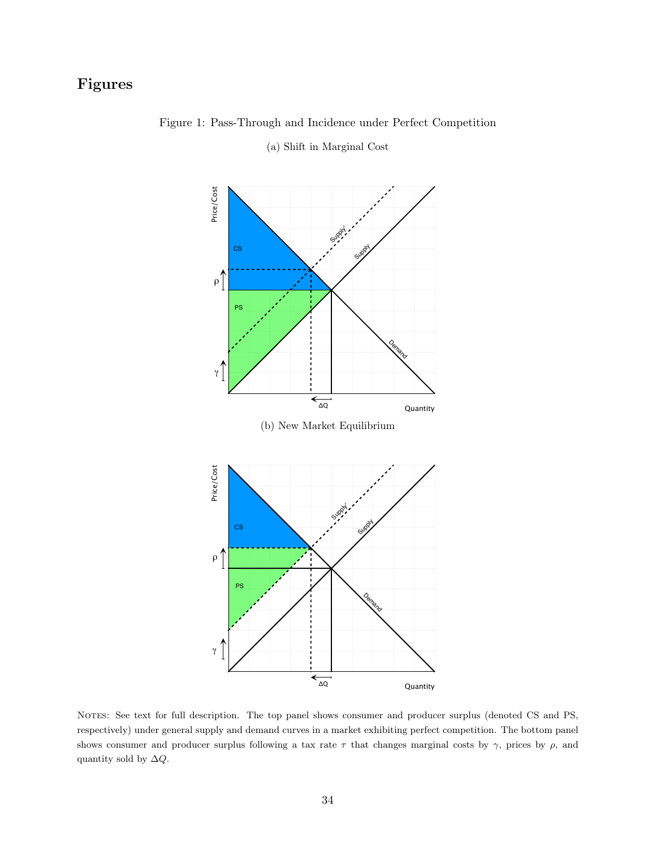## <span id="page-35-0"></span>Figures



Figure 1: Pass-Through and Incidence under Perfect Competition

(a) Shift in Marginal Cost

NOTES: See text for full description. The top panel shows consumer and producer surplus (denoted CS and PS, respectively) under general supply and demand curves in a market exhibiting perfect competition. The bottom panel shows consumer and producer surplus following a tax rate  $\tau$  that changes marginal costs by  $\gamma$ , prices by  $\rho$ , and quantity sold by  $\Delta Q.$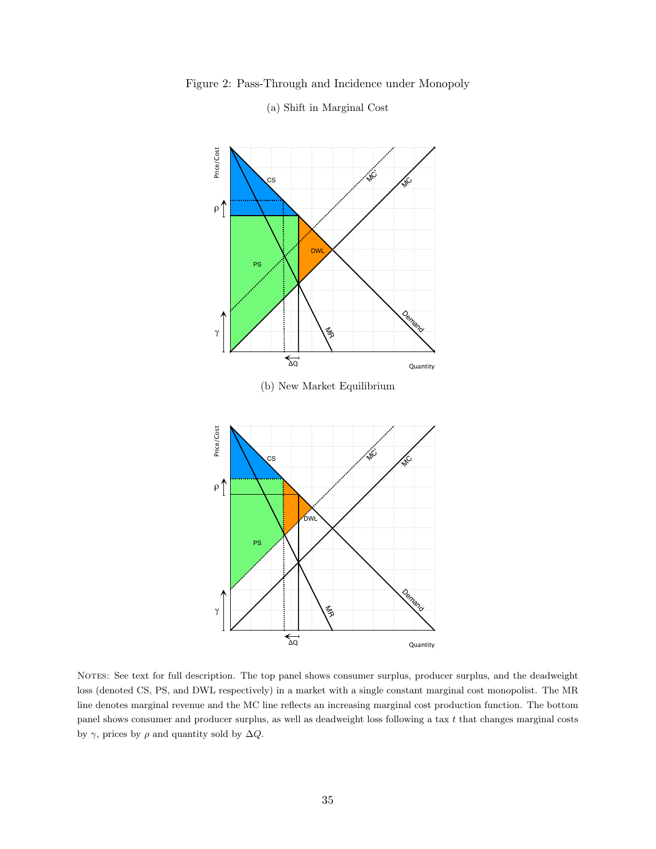Price/Cost Price/Cost .<br>W CS MC  $\rho$   $\uparrow$ DWL PS Demand  $\mathcal{F}_{\mathcal{D}}$ γ  $\overline{\mathcal{L}_{\mathbf{Q}}}$ Quantity (b) New Market Equilibrium Price/Cost Price/Cost .<br>W MC CS  $\rho$   $\uparrow$ DWL PS  $O_{\!\!\mathsf{D}_{\!\mathsf{y}}}$ γ MR

<span id="page-36-0"></span>

NOTES: See text for full description. The top panel shows consumer surplus, producer surplus, and the deadweight loss (denoted CS, PS, and DWL respectively) in a market with a single constant marginal cost monopolist. The MR line denotes marginal revenue and the MC line reflects an increasing marginal cost production function. The bottom panel shows consumer and producer surplus, as well as deadweight loss following a tax  $t$  that changes marginal costs by  $\gamma$ , prices by  $\rho$  and quantity sold by  $\Delta Q$ .

 $\overline{\overline{a}}$ 

Quantity

### (a) Shift in Marginal Cost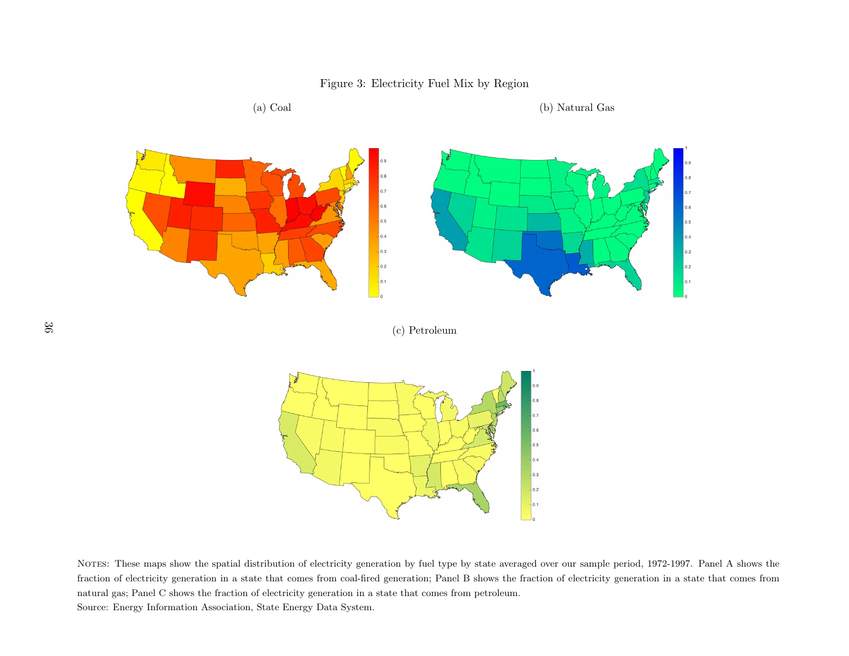

Notes: These maps show the spatial distribution of electricity generation by fuel type by state averaged over our sample period, 1972-1997. Panel <sup>A</sup> shows the fraction of electricity generation in <sup>a</sup> state that comes from coal-fired generation; Panel B shows the fraction of electricity generation in <sup>a</sup> state that comes fromnatural gas; Panel C shows the fraction of electricity generation in <sup>a</sup> state that comes from petroleum.

<span id="page-37-0"></span>Source: Energy Information Association, State Energy Data System.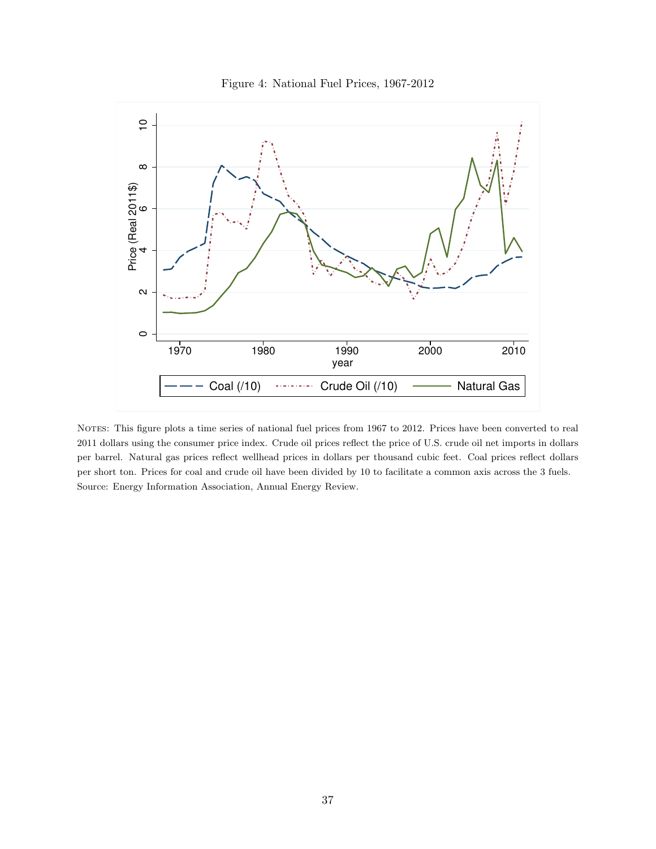

<span id="page-38-0"></span>

NOTES: This figure plots a time series of national fuel prices from 1967 to 2012. Prices have been converted to real 2011 dollars using the consumer price index. Crude oil prices reflect the price of U.S. crude oil net imports in dollars per barrel. Natural gas prices reflect wellhead prices in dollars per thousand cubic feet. Coal prices reflect dollars per short ton. Prices for coal and crude oil have been divided by 10 to facilitate a common axis across the 3 fuels. Source: Energy Information Association, Annual Energy Review.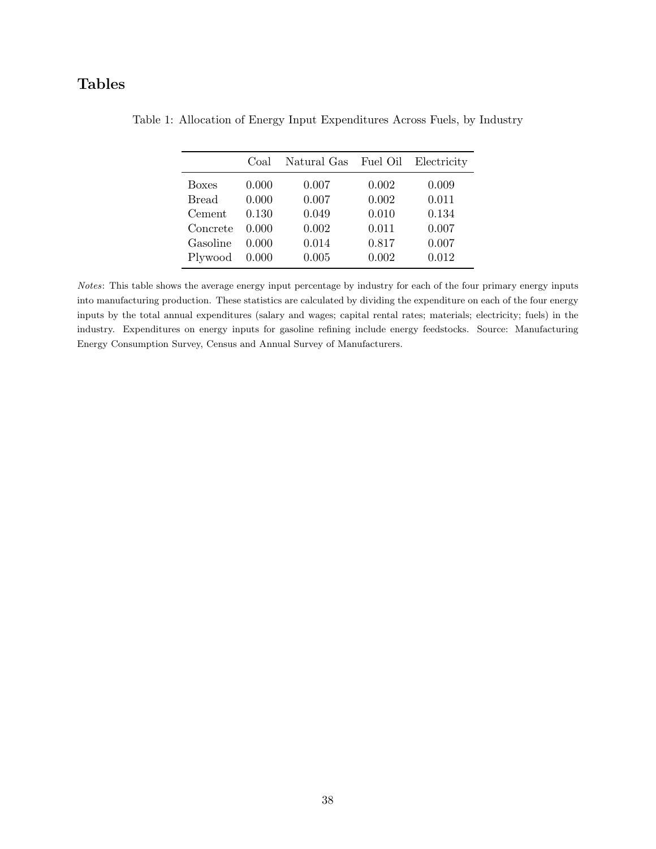## <span id="page-39-0"></span>Tables

|              | Coal  | Natural Gas Fuel Oil |       | Electricity |
|--------------|-------|----------------------|-------|-------------|
| <b>Boxes</b> | 0.000 | 0.007                | 0.002 | 0.009       |
| <b>Bread</b> | 0.000 | 0.007                | 0.002 | 0.011       |
| Cement       | 0.130 | 0.049                | 0.010 | 0.134       |
| Concrete     | 0.000 | 0.002                | 0.011 | 0.007       |
| Gasoline     | 0.000 | 0.014                | 0.817 | 0.007       |
| Plywood      | 0.000 | 0.005                | 0.002 | 0.012       |

Table 1: Allocation of Energy Input Expenditures Across Fuels, by Industry

Notes: This table shows the average energy input percentage by industry for each of the four primary energy inputs into manufacturing production. These statistics are calculated by dividing the expenditure on each of the four energy inputs by the total annual expenditures (salary and wages; capital rental rates; materials; electricity; fuels) in the industry. Expenditures on energy inputs for gasoline refining include energy feedstocks. Source: Manufacturing Energy Consumption Survey, Census and Annual Survey of Manufacturers.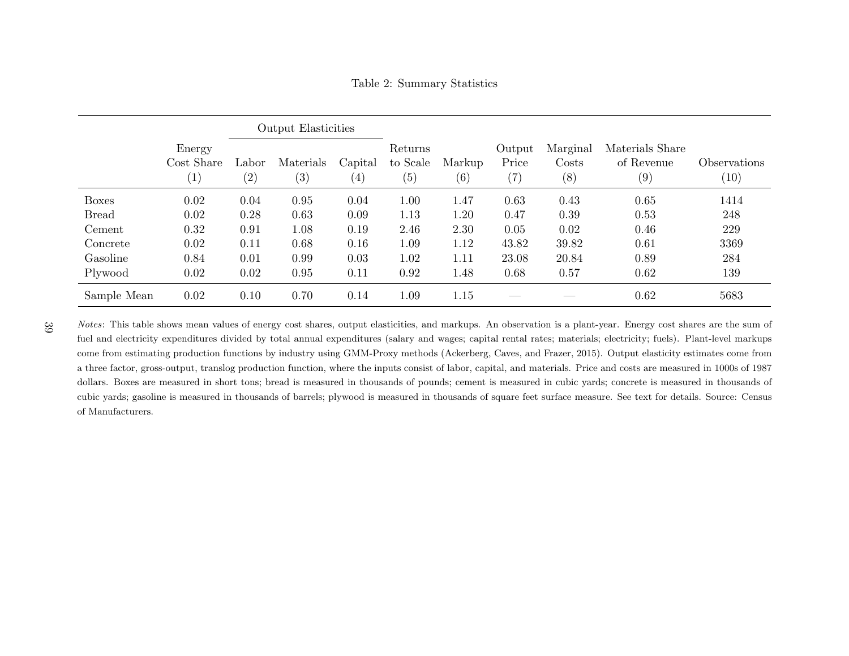Table 2: Summary Statistics

|              | <b>Output Elasticities</b>  |              |                  |                     |                            |               |                                      |                          |                                      |                                   |
|--------------|-----------------------------|--------------|------------------|---------------------|----------------------------|---------------|--------------------------------------|--------------------------|--------------------------------------|-----------------------------------|
|              | Energy<br>Cost Share<br>(1) | Labor<br>(2) | Materials<br>(3) | Capital<br>$^{(4)}$ | Returns<br>to Scale<br>(5) | Markup<br>(6) | Output<br>Price<br>$\left( 7\right)$ | Marginal<br>Costs<br>(8) | Materials Share<br>of Revenue<br>(9) | Observations<br>$\left(10\right)$ |
| <b>Boxes</b> | 0.02                        | 0.04         | 0.95             | 0.04                | 1.00                       | 1.47          | 0.63                                 | 0.43                     | 0.65                                 | 1414                              |
| <b>Bread</b> | 0.02                        | 0.28         | 0.63             | 0.09                | 1.13                       | 1.20          | 0.47                                 | 0.39                     | 0.53                                 | 248                               |
| Cement       | 0.32                        | 0.91         | 1.08             | 0.19                | 2.46                       | 2.30          | 0.05                                 | 0.02                     | 0.46                                 | 229                               |
| Concrete     | 0.02                        | 0.11         | 0.68             | 0.16                | 1.09                       | 1.12          | 43.82                                | 39.82                    | 0.61                                 | 3369                              |
| Gasoline     | 0.84                        | 0.01         | 0.99             | 0.03                | 1.02                       | 1.11          | 23.08                                | 20.84                    | 0.89                                 | 284                               |
| Plywood      | 0.02                        | 0.02         | 0.95             | 0.11                | 0.92                       | 1.48          | 0.68                                 | 0.57                     | 0.62                                 | 139                               |
| Sample Mean  | 0.02                        | 0.10         | 0.70             | 0.14                | 1.09                       | 1.15          |                                      |                          | 0.62                                 | 5683                              |

<span id="page-40-0"></span>Notes: This table shows mean values of energy cost shares, output elasticities, and markups. An observation is a plant-year. Energy cost shares are the sum of fuel and electricity expenditures divided by total annual expenditures (salary and wages; capital rental rates; materials; electricity; fuels). Plant-level markups come from estimating production functions by industry using GMM-Proxy methods [\(Ackerberg,](#page-31-17) Caves, and Frazer, [2015\)](#page-31-17). Output elasticity estimates come from <sup>a</sup> three factor, gross-output, translog production function, where the inputs consist of labor, capital, and materials. Price and costs are measured in 1000s of 1987dollars. Boxes are measured in short tons; bread is measured in thousands of pounds; cement is measured in cubic yards; concrete is measured in thousands of cubic yards; gasoline is measured in thousands of barrels; <sup>p</sup>lywood is measured in thousands of square feet surface measure. See text for details. Source: Censusof Manufacturers.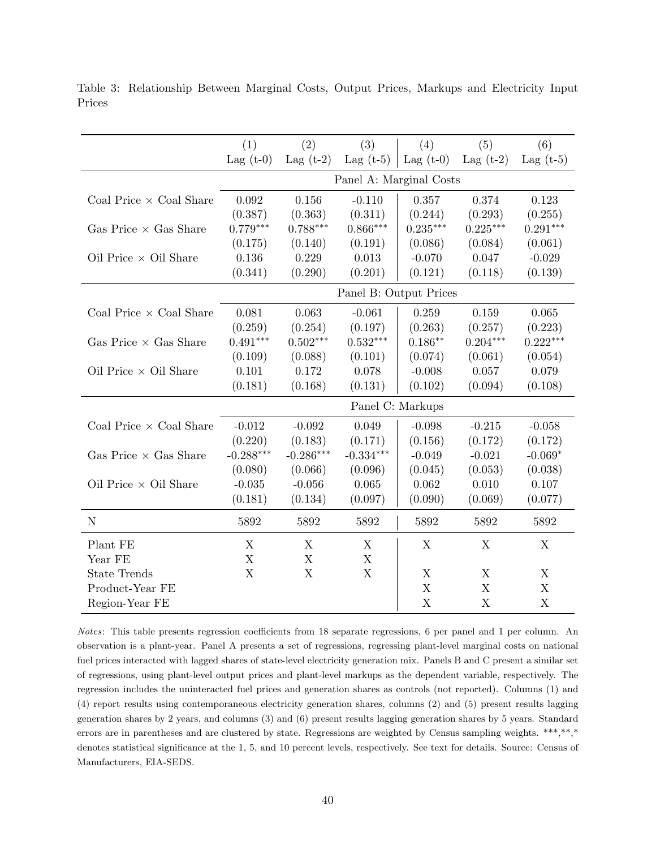|                                | (1)                    | (2)         | (3)                     | (4)                       | (5)                       | (6)         |  |  |  |
|--------------------------------|------------------------|-------------|-------------------------|---------------------------|---------------------------|-------------|--|--|--|
|                                | Lag $(t-0)$            | Lag $(t-2)$ | Lag $(t-5)$             | Lag $(t-0)$               | Lag $(t-2)$               | Lag $(t-5)$ |  |  |  |
|                                |                        |             | Panel A: Marginal Costs |                           |                           |             |  |  |  |
| Coal Price $\times$ Coal Share | 0.092                  | 0.156       | $-0.110$                | 0.357                     | 0.374                     | 0.123       |  |  |  |
|                                | (0.387)                | (0.363)     | (0.311)                 | (0.244)                   | (0.293)                   | (0.255)     |  |  |  |
| Gas Price $\times$ Gas Share   | $0.779***$             | $0.788***$  | $0.866***$              | $0.235***$                | $0.225***$                | $0.291***$  |  |  |  |
|                                | (0.175)                | (0.140)     | (0.191)                 | (0.086)                   | (0.084)                   | (0.061)     |  |  |  |
| Oil Price $\times$ Oil Share   | $0.136\,$              | 0.229       | 0.013                   | $-0.070$                  | 0.047                     | $-0.029$    |  |  |  |
|                                | (0.341)                | (0.290)     | (0.201)                 | (0.121)                   | (0.118)                   | (0.139)     |  |  |  |
|                                | Panel B: Output Prices |             |                         |                           |                           |             |  |  |  |
| Coal Price $\times$ Coal Share | 0.081                  | 0.063       | $-0.061$                | 0.259                     | 0.159                     | 0.065       |  |  |  |
|                                | (0.259)                | (0.254)     | (0.197)                 | (0.263)                   | (0.257)                   | (0.223)     |  |  |  |
| Gas Price $\times$ Gas Share   | $0.491***$             | $0.502***$  | $0.532***$              | $0.186**$                 | $0.204***$                | $0.222***$  |  |  |  |
|                                | (0.109)                | (0.088)     | (0.101)                 | (0.074)                   | (0.061)                   | (0.054)     |  |  |  |
| Oil Price $\times$ Oil Share   | 0.101                  | 0.172       | 0.078                   | $-0.008$                  | 0.057                     | 0.079       |  |  |  |
|                                | (0.181)                | (0.168)     | (0.131)                 | (0.102)                   | (0.094)                   | (0.108)     |  |  |  |
|                                |                        |             |                         | Panel C: Markups          |                           |             |  |  |  |
| Coal Price $\times$ Coal Share | $-0.012$               | $-0.092$    | 0.049                   | $-0.098$                  | $-0.215$                  | $-0.058$    |  |  |  |
|                                | (0.220)                | (0.183)     | (0.171)                 | (0.156)                   | (0.172)                   | (0.172)     |  |  |  |
| Gas Price $\times$ Gas Share   | $-0.288***$            | $-0.286***$ | $-0.334***$             | $-0.049$                  | $-0.021$                  | $-0.069*$   |  |  |  |
|                                | (0.080)                | (0.066)     | (0.096)                 | (0.045)                   | (0.053)                   | (0.038)     |  |  |  |
| Oil Price $\times$ Oil Share   | $-0.035$               | $-0.056$    | 0.065                   | 0.062                     | 0.010                     | 0.107       |  |  |  |
|                                | (0.181)                | (0.134)     | (0.097)                 | (0.090)                   | (0.069)                   | (0.077)     |  |  |  |
| $\mathbf N$                    | 5892                   | 5892        | 5892                    | 5892                      | 5892                      | 5892        |  |  |  |
| Plant FE                       | X                      | X           | X                       | X                         | X                         | X           |  |  |  |
| Year FE                        | $\mathbf X$            | X           | $\mathbf X$             |                           |                           |             |  |  |  |
| <b>State Trends</b>            | X                      | X           | $\mathbf X$             | X                         | X                         | X           |  |  |  |
| Product-Year FE                |                        |             |                         | X                         | X                         | $\mathbf X$ |  |  |  |
| Region-Year FE                 |                        |             |                         | $\boldsymbol{\mathrm{X}}$ | $\boldsymbol{\mathrm{X}}$ | $\mathbf X$ |  |  |  |

<span id="page-41-0"></span>Table 3: Relationship Between Marginal Costs, Output Prices, Markups and Electricity Input Prices

Notes: This table presents regression coefficients from 18 separate regressions, 6 per panel and 1 per column. An observation is a plant-year. Panel A presents a set of regressions, regressing plant-level marginal costs on national fuel prices interacted with lagged shares of state-level electricity generation mix. Panels B and C present a similar set of regressions, using plant-level output prices and plant-level markups as the dependent variable, respectively. The regression includes the uninteracted fuel prices and generation shares as controls (not reported). Columns (1) and (4) report results using contemporaneous electricity generation shares, columns (2) and (5) present results lagging generation shares by 2 years, and columns (3) and (6) present results lagging generation shares by 5 years. Standard errors are in parentheses and are clustered by state. Regressions are weighted by Census sampling weights. \*\*\*,\*\*,\* denotes statistical significance at the 1, 5, and 10 percent levels, respectively. See text for details. Source: Census of Manufacturers, EIA-SEDS.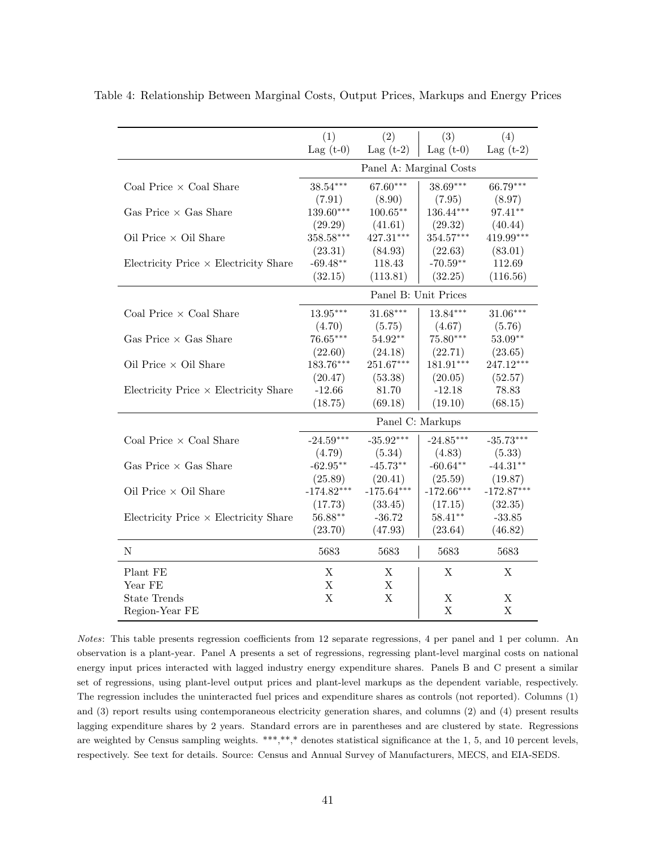|                                              | (1)          | (2)          | (3)                     | (4)          |
|----------------------------------------------|--------------|--------------|-------------------------|--------------|
|                                              | Lag $(t-0)$  | Lag $(t-2)$  | Lag $(t-0)$             | Lag $(t-2)$  |
|                                              |              |              | Panel A: Marginal Costs |              |
| Coal Price $\times$ Coal Share               | 38.54***     | 67.60***     | $38.69***$              | 66.79***     |
|                                              | (7.91)       | (8.90)       | (7.95)                  | (8.97)       |
| Gas Price $\times$ Gas Share                 | $139.60***$  | $100.65***$  | $136.44***$             | 97.41**      |
|                                              | (29.29)      | (41.61)      | (29.32)                 | (40.44)      |
| Oil Price $\times$ Oil Share                 | 358.58***    | 427.31***    | 354.57***               | $419.99***$  |
|                                              | (23.31)      | (84.93)      | (22.63)                 | (83.01)      |
| Electricity Price $\times$ Electricity Share | $-69.48**$   | 118.43       | $-70.59**$              | 112.69       |
|                                              | (32.15)      | (113.81)     | (32.25)                 | (116.56)     |
|                                              |              |              | Panel B: Unit Prices    |              |
| Coal Price $\times$ Coal Share               | $13.95***$   | 31.68***     | $13.84***$              | $31.06***$   |
|                                              | (4.70)       | (5.75)       | (4.67)                  | (5.76)       |
| Gas Price $\times$ Gas Share                 | 76.65***     | 54.92**      | 75.80***                | $53.09**$    |
|                                              | (22.60)      | (24.18)      | (22.71)                 | (23.65)      |
| Oil Price $\times$ Oil Share                 | 183.76***    | $251.67***$  | $181.91***$             | 247.12***    |
|                                              | (20.47)      | (53.38)      | (20.05)                 | (52.57)      |
| Electricity Price $\times$ Electricity Share | $-12.66$     | 81.70        | $-12.18$                | 78.83        |
|                                              | (18.75)      | (69.18)      | (19.10)                 | (68.15)      |
|                                              |              |              | Panel C: Markups        |              |
| Coal Price $\times$ Coal Share               | $-24.59***$  | $-35.92***$  | $-24.85***$             | $-35.73***$  |
|                                              | (4.79)       | (5.34)       | (4.83)                  | (5.33)       |
| Gas Price $\times$ Gas Share                 | $-62.95**$   | $-45.73**$   | $-60.64**$              | $-44.31**$   |
|                                              | (25.89)      | (20.41)      | (25.59)                 | (19.87)      |
| Oil Price $\times$ Oil Share                 | $-174.82***$ | $-175.64***$ | $-172.66***$            | $-172.87***$ |
|                                              | (17.73)      | (33.45)      | (17.15)                 | (32.35)      |
| Electricity Price $\times$ Electricity Share | $56.88**$    | $-36.72$     | $58.41**$               | $-33.85$     |
|                                              | (23.70)      | (47.93)      | (23.64)                 | (46.82)      |
| $\mathbf N$                                  | 5683         | 5683         | 5683                    | 5683         |
| Plant FE                                     | Χ            | Χ            | Χ                       | X            |
| Year FE                                      | X            | X            |                         |              |
| <b>State Trends</b>                          | $\mathbf X$  | X            | X                       | X            |
| Region-Year FE                               |              |              | X                       | X            |

<span id="page-42-0"></span>Table 4: Relationship Between Marginal Costs, Output Prices, Markups and Energy Prices

Notes: This table presents regression coefficients from 12 separate regressions, 4 per panel and 1 per column. An observation is a plant-year. Panel A presents a set of regressions, regressing plant-level marginal costs on national energy input prices interacted with lagged industry energy expenditure shares. Panels B and C present a similar set of regressions, using plant-level output prices and plant-level markups as the dependent variable, respectively. The regression includes the uninteracted fuel prices and expenditure shares as controls (not reported). Columns (1) and (3) report results using contemporaneous electricity generation shares, and columns (2) and (4) present results lagging expenditure shares by 2 years. Standard errors are in parentheses and are clustered by state. Regressions are weighted by Census sampling weights. \*\*\*,\*\*,\* denotes statistical significance at the 1, 5, and 10 percent levels, respectively. See text for details. Source: Census and Annual Survey of Manufacturers, MECS, and EIA-SEDS.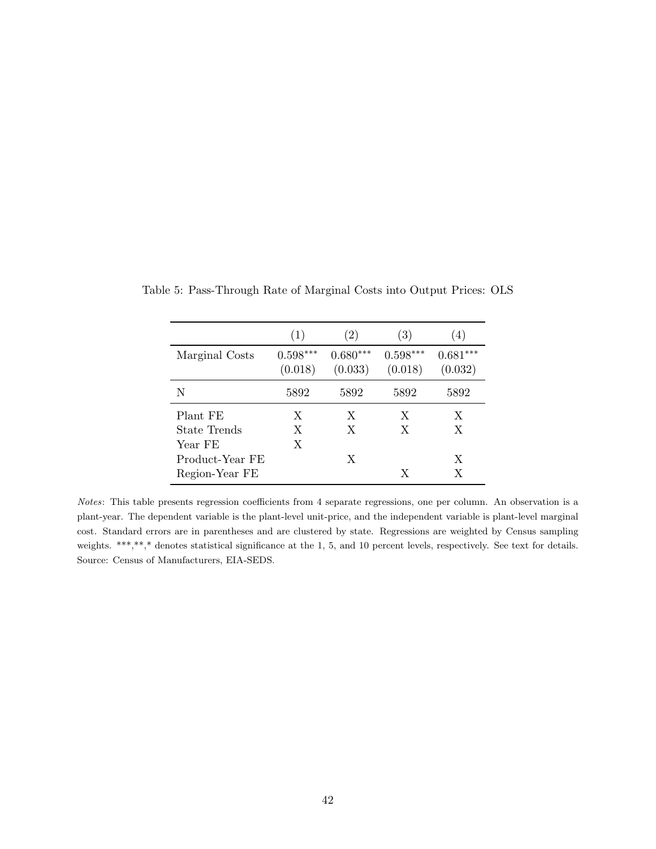|                 | (1)                   | (2)                   | (3)                   | 4)                    |
|-----------------|-----------------------|-----------------------|-----------------------|-----------------------|
| Marginal Costs  | $0.598***$<br>(0.018) | $0.680***$<br>(0.033) | $0.598***$<br>(0.018) | $0.681***$<br>(0.032) |
| N               | 5892                  | 5892                  | 5892                  | 5892                  |
| Plant FE        | X                     | X                     | X                     | X                     |
| State Trends    | X                     | X                     | X                     | X                     |
| Year FE         | X                     |                       |                       |                       |
| Product-Year FE |                       | X                     |                       | X                     |
| Region-Year FE  |                       |                       | X                     | X                     |

<span id="page-43-0"></span>Table 5: Pass-Through Rate of Marginal Costs into Output Prices: OLS

Notes: This table presents regression coefficients from 4 separate regressions, one per column. An observation is a plant-year. The dependent variable is the plant-level unit-price, and the independent variable is plant-level marginal cost. Standard errors are in parentheses and are clustered by state. Regressions are weighted by Census sampling weights. \*\*\*,\*\*,\* denotes statistical significance at the 1, 5, and 10 percent levels, respectively. See text for details. Source: Census of Manufacturers, EIA-SEDS.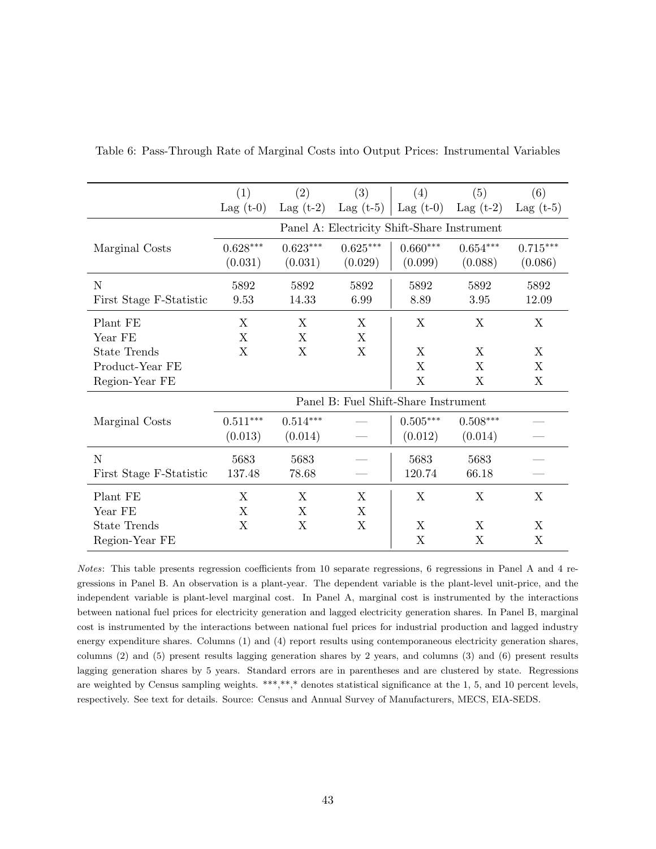|                         | (1)         | (2)         | (3)                                         | (4)         | (5)                    | (6)         |
|-------------------------|-------------|-------------|---------------------------------------------|-------------|------------------------|-------------|
|                         | Lag $(t-0)$ | Lag $(t-2)$ | Lag $(t-5)$                                 | Lag $(t-0)$ | Lag $(t-2)$            | Lag $(t-5)$ |
|                         |             |             | Panel A: Electricity Shift-Share Instrument |             |                        |             |
| Marginal Costs          | $0.628***$  | $0.623***$  | $0.625***$                                  | $0.660***$  | $0.654***$             | $0.715***$  |
|                         | (0.031)     | (0.031)     | (0.029)                                     | (0.099)     | (0.088)                | (0.086)     |
| $\mathbf N$             | 5892        | 5892        | 5892                                        | 5892        | 5892                   | 5892        |
| First Stage F-Statistic | 9.53        | 14.33       | 6.99                                        | 8.89        | 3.95                   | 12.09       |
| Plant FE                | X           | X           | X                                           | X           | X                      | X           |
| Year FE                 | X           | $\mathbf X$ | X                                           |             |                        |             |
| <b>State Trends</b>     | X           | X           | X                                           | X           | X                      | X           |
| Product-Year FE         |             |             |                                             | X           | X                      | X           |
| Region-Year FE          |             |             |                                             | X           | X                      | X           |
|                         |             |             | Panel B: Fuel Shift-Share Instrument        |             |                        |             |
| Marginal Costs          | $0.511***$  | $0.514***$  |                                             | $0.505***$  | $0.508^{\ast\ast\ast}$ |             |
|                         | (0.013)     | (0.014)     |                                             | (0.012)     | (0.014)                |             |
| N                       | 5683        | 5683        |                                             | 5683        | 5683                   |             |
| First Stage F-Statistic | 137.48      | 78.68       |                                             | 120.74      | 66.18                  |             |
| Plant FE                | X           | X           | X                                           | X           | X                      | X           |
| Year FE                 | Χ           | X           | X                                           |             |                        |             |
| <b>State Trends</b>     | X           | X           | X                                           | X           | X                      | X           |
| Region-Year FE          |             |             |                                             | X           | $\mathbf{X}$           | X           |

<span id="page-44-0"></span>Table 6: Pass-Through Rate of Marginal Costs into Output Prices: Instrumental Variables

Notes: This table presents regression coefficients from 10 separate regressions, 6 regressions in Panel A and 4 regressions in Panel B. An observation is a plant-year. The dependent variable is the plant-level unit-price, and the independent variable is plant-level marginal cost. In Panel A, marginal cost is instrumented by the interactions between national fuel prices for electricity generation and lagged electricity generation shares. In Panel B, marginal cost is instrumented by the interactions between national fuel prices for industrial production and lagged industry energy expenditure shares. Columns (1) and (4) report results using contemporaneous electricity generation shares, columns (2) and (5) present results lagging generation shares by 2 years, and columns (3) and (6) present results lagging generation shares by 5 years. Standard errors are in parentheses and are clustered by state. Regressions are weighted by Census sampling weights. \*\*\*,\*\*,\* denotes statistical significance at the 1, 5, and 10 percent levels, respectively. See text for details. Source: Census and Annual Survey of Manufacturers, MECS, EIA-SEDS.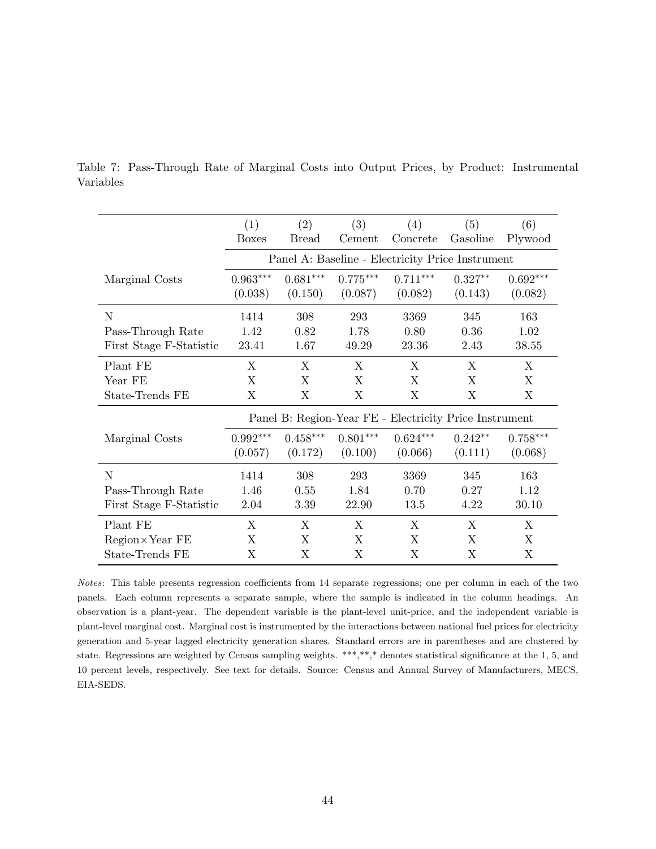|                         | (1)                                                    | (2)        | (3)        | (4)                                              | (5)       | (6)        |  |  |
|-------------------------|--------------------------------------------------------|------------|------------|--------------------------------------------------|-----------|------------|--|--|
|                         | <b>Boxes</b>                                           | Bread      | Cement     | Concrete                                         | Gasoline  | Plywood    |  |  |
|                         |                                                        |            |            | Panel A: Baseline - Electricity Price Instrument |           |            |  |  |
| Marginal Costs          | $0.963***$                                             | $0.681***$ | $0.775***$ | $0.711***$                                       | $0.327**$ | $0.692***$ |  |  |
|                         | (0.038)                                                | (0.150)    | (0.087)    | (0.082)                                          | (0.143)   | (0.082)    |  |  |
| N                       | 1414                                                   | 308        | 293        | 3369                                             | 345       | 163        |  |  |
| Pass-Through Rate       | 1.42                                                   | 0.82       | 1.78       | 0.80                                             | 0.36      | 1.02       |  |  |
| First Stage F-Statistic | 23.41                                                  | 1.67       | 49.29      | 23.36                                            | 2.43      | 38.55      |  |  |
| Plant FE                | X                                                      | X          | X          | Χ                                                | X         | X          |  |  |
| Year FE                 | X                                                      | X          | X          | X                                                | X         | X          |  |  |
| State-Trends FE         | X                                                      | X          | X          | X                                                | X         | X          |  |  |
|                         | Panel B: Region-Year FE - Electricity Price Instrument |            |            |                                                  |           |            |  |  |
| Marginal Costs          | $0.992^{\ast\ast\ast}$                                 | $0.458***$ | $0.801***$ | $0.624***$                                       | $0.242**$ | $0.758***$ |  |  |
|                         | (0.057)                                                | (0.172)    | (0.100)    | (0.066)                                          | (0.111)   | (0.068)    |  |  |
| N                       | 1414                                                   | 308        | 293        | 3369                                             | 345       | 163        |  |  |
| Pass-Through Rate       | 1.46                                                   | 0.55       | 1.84       | 0.70                                             | 0.27      | 1.12       |  |  |
| First Stage F-Statistic | 2.04                                                   | 3.39       | 22.90      | 13.5                                             | 4.22      | 30.10      |  |  |
| Plant FE                | X                                                      | X          | X          | X                                                | X         | X          |  |  |
| $Region \times Year$ FE | X                                                      | X          | X          | X                                                | X         | X          |  |  |
| State-Trends FE         | Χ                                                      | X          | X          | X                                                | X         | X          |  |  |

<span id="page-45-0"></span>Table 7: Pass-Through Rate of Marginal Costs into Output Prices, by Product: Instrumental Variables

Notes: This table presents regression coefficients from 14 separate regressions; one per column in each of the two panels. Each column represents a separate sample, where the sample is indicated in the column headings. An observation is a plant-year. The dependent variable is the plant-level unit-price, and the independent variable is plant-level marginal cost. Marginal cost is instrumented by the interactions between national fuel prices for electricity generation and 5-year lagged electricity generation shares. Standard errors are in parentheses and are clustered by state. Regressions are weighted by Census sampling weights. \*\*\*,\*\*,\* denotes statistical significance at the 1, 5, and 10 percent levels, respectively. See text for details. Source: Census and Annual Survey of Manufacturers, MECS, EIA-SEDS.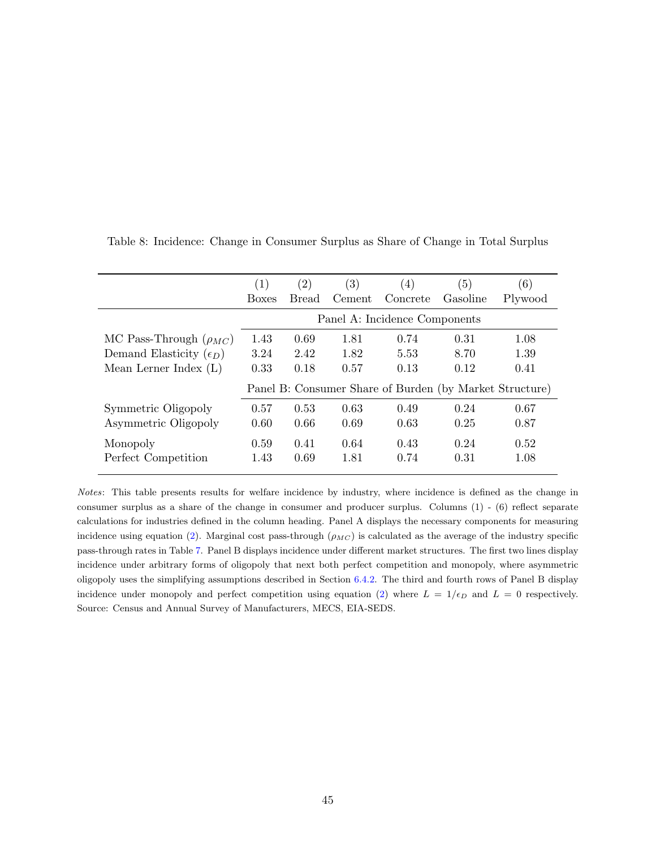|                                  | (1)                                                     | (2)   | $\left( 3\right)$ | (4)      | (5)      | (6)     |  |  |  |
|----------------------------------|---------------------------------------------------------|-------|-------------------|----------|----------|---------|--|--|--|
|                                  | <b>Boxes</b>                                            | Bread | Cement            | Concrete | Gasoline | Plywood |  |  |  |
|                                  | Panel A: Incidence Components                           |       |                   |          |          |         |  |  |  |
| MC Pass-Through $(\rho_{MC})$    | 1.43                                                    | 0.69  | 1.81              | 0.74     | 0.31     | 1.08    |  |  |  |
| Demand Elasticity $(\epsilon_D)$ | 3.24                                                    | 2.42  | 1.82              | 5.53     | 8.70     | 1.39    |  |  |  |
| Mean Lerner Index $(L)$          | 0.33                                                    | 0.18  | 0.57              | 0.13     | 0.12     | 0.41    |  |  |  |
|                                  | Panel B: Consumer Share of Burden (by Market Structure) |       |                   |          |          |         |  |  |  |
| Symmetric Oligopoly              | 0.57                                                    | 0.53  | 0.63              | 0.49     | 0.24     | 0.67    |  |  |  |
| Asymmetric Oligopoly             | 0.60                                                    | 0.66  | 0.69              | 0.63     | 0.25     | 0.87    |  |  |  |
| Monopoly                         | 0.59                                                    | 0.41  | 0.64              | 0.43     | 0.24     | 0.52    |  |  |  |
| Perfect Competition              | 1.43                                                    | 0.69  | 1.81              | 0.74     | 0.31     | 1.08    |  |  |  |

<span id="page-46-0"></span>Table 8: Incidence: Change in Consumer Surplus as Share of Change in Total Surplus

Notes: This table presents results for welfare incidence by industry, where incidence is defined as the change in consumer surplus as a share of the change in consumer and producer surplus. Columns (1) - (6) reflect separate calculations for industries defined in the column heading. Panel A displays the necessary components for measuring incidence using equation [\(2\)](#page-11-2). Marginal cost pass-through  $(\rho_{MC})$  is calculated as the average of the industry specific pass-through rates in Table [7.](#page-45-0) Panel B displays incidence under different market structures. The first two lines display incidence under arbitrary forms of oligopoly that next both perfect competition and monopoly, where asymmetric oligopoly uses the simplifying assumptions described in Section [6.4.2.](#page-28-2) The third and fourth rows of Panel B display incidence under monopoly and perfect competition using equation [\(2\)](#page-11-2) where  $L = 1/\epsilon_D$  and  $L = 0$  respectively. Source: Census and Annual Survey of Manufacturers, MECS, EIA-SEDS.